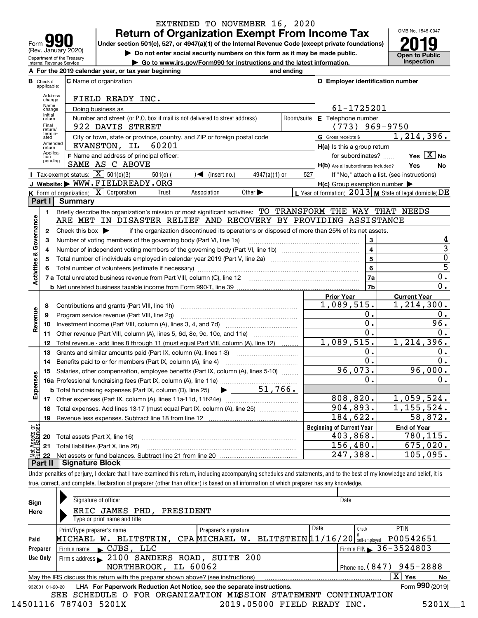| I O<br>Form                                            |
|--------------------------------------------------------|
| (Rev. January 2020)                                    |
| Department of the Treasury<br>Internal Revenue Service |

### **Return of Organization Exempt From Income Tax** EXTENDED TO NOVEMBER 16, 2020

Under section 501(c), 527, or 4947(a)(1) of the Internal Revenue Code (except private foundations) **2019** 

**| Do not enter social security numbers on this form as it may be made public.**

**| Go to www.irs.gov/Form990 for instructions and the latest information. Inspection**

OMB No. 1545-0047 **Open to Public** 

|                                |                                  | A For the 2019 calendar year, or tax year beginning                                                                                                                        | and ending       |                                                     |                                                           |
|--------------------------------|----------------------------------|----------------------------------------------------------------------------------------------------------------------------------------------------------------------------|------------------|-----------------------------------------------------|-----------------------------------------------------------|
|                                | <b>B</b> Check if<br>applicable: | <b>C</b> Name of organization                                                                                                                                              |                  | D Employer identification number                    |                                                           |
|                                | Address<br>change                | FIELD READY INC.                                                                                                                                                           |                  |                                                     |                                                           |
|                                | Name<br>change                   | Doing business as                                                                                                                                                          |                  | 61-1725201                                          |                                                           |
|                                | Initial<br>return                | Number and street (or P.O. box if mail is not delivered to street address)                                                                                                 | Room/suite       | E Telephone number                                  |                                                           |
|                                | Final<br>return/                 | 922 DAVIS STREET                                                                                                                                                           | $(773)$ 969-9750 |                                                     |                                                           |
|                                | termin-<br>ated                  | City or town, state or province, country, and ZIP or foreign postal code                                                                                                   |                  | G Gross receipts \$                                 | 1, 214, 396.                                              |
|                                | Amended<br>return                | 60201<br>EVANSTON, IL                                                                                                                                                      |                  | H(a) Is this a group return                         |                                                           |
|                                | Applica-<br>tion                 | F Name and address of principal officer:                                                                                                                                   |                  | for subordinates?                                   | Yes $X$ No                                                |
|                                | pending                          | SAME AS C ABOVE                                                                                                                                                            |                  | H(b) Are all subordinates included?                 | Yes<br><b>No</b>                                          |
|                                |                                  | Tax-exempt status: $\boxed{\mathbf{X}}$ 501(c)(3)<br>$\sqrt{\phantom{a}}$ (insert no.)<br>$501(c)$ (<br>$4947(a)(1)$ or                                                    | 527              |                                                     | If "No," attach a list. (see instructions)                |
|                                |                                  | J Website: WWW.FIELDREADY.ORG                                                                                                                                              |                  | $H(c)$ Group exemption number $\blacktriangleright$ |                                                           |
|                                |                                  | K Form of organization: $X$ Corporation<br>Other $\blacktriangleright$<br>Trust<br>Association                                                                             |                  |                                                     | L Year of formation: $2013$ M State of legal domicile: DE |
|                                |                                  | <b>Part I</b> Summary                                                                                                                                                      |                  |                                                     |                                                           |
|                                | 1.                               | Briefly describe the organization's mission or most significant activities: TO TRANSFORM THE WAY THAT NEEDS                                                                |                  |                                                     |                                                           |
|                                |                                  | ARE MET IN DISASTER RELIEF AND RECOVERY BY PROVIDING ASSISTANCE                                                                                                            |                  |                                                     |                                                           |
| Governance                     | 2                                | if the organization discontinued its operations or disposed of more than 25% of its net assets.<br>Check this box $\blacktriangleright$                                    |                  |                                                     |                                                           |
|                                | з                                | Number of voting members of the governing body (Part VI, line 1a)                                                                                                          |                  | 3                                                   | 4                                                         |
|                                | 4                                |                                                                                                                                                                            |                  | $\overline{\mathbf{4}}$                             | $\overline{3}$                                            |
|                                | 5                                |                                                                                                                                                                            |                  | $\overline{\mathbf{5}}$                             | $\overline{0}$                                            |
|                                |                                  |                                                                                                                                                                            | $6\phantom{1}$   | $\overline{5}$                                      |                                                           |
| <b>Activities &amp;</b>        |                                  |                                                                                                                                                                            |                  | 7a                                                  | 0.                                                        |
|                                |                                  |                                                                                                                                                                            |                  | 7b                                                  | $0$ .                                                     |
|                                |                                  |                                                                                                                                                                            |                  | <b>Prior Year</b>                                   | <b>Current Year</b>                                       |
|                                | 8                                | Contributions and grants (Part VIII, line 1h)                                                                                                                              |                  | 1,089,515.                                          | 1,214,300.                                                |
|                                | 9                                | Program service revenue (Part VIII, line 2g)                                                                                                                               |                  | 0.                                                  | 0.                                                        |
| Revenue                        | 10                               |                                                                                                                                                                            |                  | 0.                                                  | 96.                                                       |
|                                | 11                               | Other revenue (Part VIII, column (A), lines 5, 6d, 8c, 9c, 10c, and 11e)                                                                                                   |                  | 0.                                                  | $0$ .                                                     |
|                                | 12                               | Total revenue - add lines 8 through 11 (must equal Part VIII, column (A), line 12)                                                                                         |                  | 1,089,515.                                          | 1, 214, 396.                                              |
|                                | 13                               | Grants and similar amounts paid (Part IX, column (A), lines 1-3)                                                                                                           |                  | 0.                                                  | $0$ .                                                     |
|                                | 14                               |                                                                                                                                                                            |                  | 0.                                                  | 0.                                                        |
|                                | 15                               | Salaries, other compensation, employee benefits (Part IX, column (A), lines 5-10)                                                                                          |                  | 96,073.                                             | 96,000.                                                   |
|                                |                                  |                                                                                                                                                                            |                  | 0.                                                  | $0$ .                                                     |
| Expenses                       |                                  | $\blacktriangleright$ 51,766.<br><b>b</b> Total fundraising expenses (Part IX, column (D), line 25)                                                                        |                  |                                                     |                                                           |
|                                |                                  |                                                                                                                                                                            |                  | 808, 820.                                           | 1,059,524.                                                |
|                                |                                  | 18 Total expenses. Add lines 13-17 (must equal Part IX, column (A), line 25)                                                                                               |                  | 904,893.                                            | 1, 155, 524.                                              |
|                                |                                  | 19 Revenue less expenses. Subtract line 18 from line 12                                                                                                                    |                  | 184,622.                                            | 58,872.                                                   |
| Net Assets or<br>Fund Balances |                                  |                                                                                                                                                                            |                  | <b>Beginning of Current Year</b>                    | <b>End of Year</b>                                        |
|                                | 20                               | Total assets (Part X, line 16)                                                                                                                                             |                  | 403,868.                                            | 780,115.                                                  |
|                                | 21                               | Total liabilities (Part X, line 26)                                                                                                                                        |                  | 156,480.                                            | 675,020.                                                  |
|                                | 22                               |                                                                                                                                                                            |                  | 247,388.                                            | 105,095.                                                  |
|                                | Part II                          | Signature Block                                                                                                                                                            |                  |                                                     |                                                           |
|                                |                                  | Under penalties of perjury, I declare that I have examined this return, including accompanying schedules and statements, and to the best of my knowledge and belief, it is |                  |                                                     |                                                           |

true, correct, and complete. Declaration of preparer (other than officer) is based on all information of which preparer has any knowledge.

| Sign<br>Here | Signature of officer<br>Date<br>ERIC JAMES PHD, PRESIDENT<br>Type or print name and title                    |  |  |  |  |  |  |  |  |
|--------------|--------------------------------------------------------------------------------------------------------------|--|--|--|--|--|--|--|--|
|              | Date<br><b>PTIN</b><br>Check<br>Print/Type preparer's name<br>Preparer's signature                           |  |  |  |  |  |  |  |  |
| Paid         | W. BLITSTEIN, CPAMICHAEL W. BLITSTEIN 11/16/20<br>P00542651<br>MICHAEL<br>self-emploved                      |  |  |  |  |  |  |  |  |
| Preparer     | Firm's EIN $\triangleright$ 36 - 3524803<br>$\blacktriangleright$ CJBS, LLC<br>Firm's name                   |  |  |  |  |  |  |  |  |
| Use Only     | Firm's address > 2100 SANDERS ROAD, SUITE 200                                                                |  |  |  |  |  |  |  |  |
|              | $945 - 2888$<br>NORTHBROOK, IL 60062<br>Phone no. $(847)$                                                    |  |  |  |  |  |  |  |  |
|              | ΧI<br>Yes<br>May the IRS discuss this return with the preparer shown above? (see instructions)<br>No         |  |  |  |  |  |  |  |  |
|              | Form 990 (2019)<br>LHA For Paperwork Reduction Act Notice, see the separate instructions.<br>932001 01-20-20 |  |  |  |  |  |  |  |  |
|              | SCHEDULE O FOR ORGANIZATION MISSION STATEMENT CONTINUATION<br>SEE                                            |  |  |  |  |  |  |  |  |
| 14501<br>ାର  | 787403 5201X<br>2019.05000<br>5201X<br>FIELD<br>READY INC.                                                   |  |  |  |  |  |  |  |  |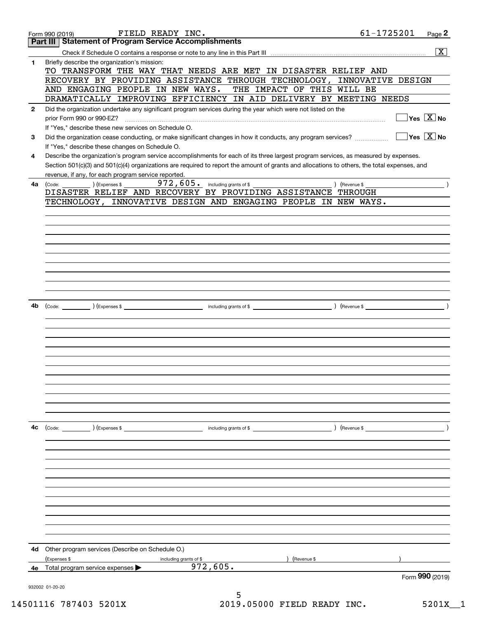|              | FIELD READY INC.<br>Form 990 (2019)                                                                                                          | 61-1725201         | Page 2                                  |  |
|--------------|----------------------------------------------------------------------------------------------------------------------------------------------|--------------------|-----------------------------------------|--|
|              | <b>Statement of Program Service Accomplishments</b><br>Part III                                                                              |                    |                                         |  |
|              |                                                                                                                                              |                    | $\boxed{\text{X}}$                      |  |
| 1            | Briefly describe the organization's mission:                                                                                                 |                    |                                         |  |
|              | TO TRANSFORM THE WAY THAT NEEDS ARE MET IN DISASTER RELIEF AND                                                                               |                    |                                         |  |
|              | RECOVERY BY PROVIDING ASSISTANCE THROUGH TECHNOLOGY,                                                                                         | INNOVATIVE DESIGN  |                                         |  |
|              | AND ENGAGING PEOPLE IN NEW WAYS.<br>THE IMPACT OF THIS WILL BE                                                                               |                    |                                         |  |
|              | DRAMATICALLY IMPROVING EFFICIENCY IN AID DELIVERY BY MEETING NEEDS                                                                           |                    |                                         |  |
| $\mathbf{2}$ | Did the organization undertake any significant program services during the year which were not listed on the                                 |                    |                                         |  |
|              | prior Form 990 or 990-EZ?                                                                                                                    |                    | $\Box$ Yes $[\overline{\mathrm{X}}]$ No |  |
|              | If "Yes," describe these new services on Schedule O.                                                                                         |                    |                                         |  |
| 3            | Did the organization cease conducting, or make significant changes in how it conducts, any program services?                                 |                    | $\sqrt{}$ Yes $\sqrt{}$ X $\sqrt{}$ No  |  |
|              | If "Yes," describe these changes on Schedule O.                                                                                              |                    |                                         |  |
| 4            | Describe the organization's program service accomplishments for each of its three largest program services, as measured by expenses.         |                    |                                         |  |
|              | Section 501(c)(3) and 501(c)(4) organizations are required to report the amount of grants and allocations to others, the total expenses, and |                    |                                         |  |
|              | revenue, if any, for each program service reported.                                                                                          |                    |                                         |  |
| 4a           |                                                                                                                                              | $($ Revenue \$ $)$ |                                         |  |
|              | DISASTER RELIEF AND RECOVERY BY PROVIDING ASSISTANCE THROUGH                                                                                 |                    |                                         |  |
|              | TECHNOLOGY, INNOVATIVE DESIGN AND ENGAGING PEOPLE IN NEW WAYS.                                                                               |                    |                                         |  |
|              |                                                                                                                                              |                    |                                         |  |
|              |                                                                                                                                              |                    |                                         |  |
|              |                                                                                                                                              |                    |                                         |  |
|              |                                                                                                                                              |                    |                                         |  |
|              |                                                                                                                                              |                    |                                         |  |
|              |                                                                                                                                              |                    |                                         |  |
|              |                                                                                                                                              |                    |                                         |  |
|              |                                                                                                                                              |                    |                                         |  |
|              |                                                                                                                                              |                    |                                         |  |
| 4b           |                                                                                                                                              |                    |                                         |  |
|              |                                                                                                                                              |                    |                                         |  |
|              |                                                                                                                                              |                    |                                         |  |
|              |                                                                                                                                              |                    |                                         |  |
|              |                                                                                                                                              |                    |                                         |  |
|              |                                                                                                                                              |                    |                                         |  |
|              |                                                                                                                                              |                    |                                         |  |
|              |                                                                                                                                              |                    |                                         |  |
|              |                                                                                                                                              |                    |                                         |  |
|              |                                                                                                                                              |                    |                                         |  |
|              |                                                                                                                                              |                    |                                         |  |
|              |                                                                                                                                              |                    |                                         |  |
|              |                                                                                                                                              |                    |                                         |  |
| 4c           | (Code: ) (Expenses \$<br>including grants of \$                                                                                              | ) (Revenue \$      |                                         |  |
|              |                                                                                                                                              |                    |                                         |  |
|              |                                                                                                                                              |                    |                                         |  |
|              |                                                                                                                                              |                    |                                         |  |
|              |                                                                                                                                              |                    |                                         |  |
|              |                                                                                                                                              |                    |                                         |  |
|              |                                                                                                                                              |                    |                                         |  |
|              |                                                                                                                                              |                    |                                         |  |
|              |                                                                                                                                              |                    |                                         |  |
|              |                                                                                                                                              |                    |                                         |  |
|              |                                                                                                                                              |                    |                                         |  |
|              |                                                                                                                                              |                    |                                         |  |
|              |                                                                                                                                              |                    |                                         |  |
| 4d           | Other program services (Describe on Schedule O.)                                                                                             |                    |                                         |  |
|              | (Expenses \$<br>(Revenue \$<br>including grants of \$                                                                                        |                    |                                         |  |
|              | 972,605.<br>4e Total program service expenses $\blacktriangleright$                                                                          |                    |                                         |  |
|              |                                                                                                                                              |                    | Form 990 (2019)                         |  |
|              | 932002 01-20-20<br>5                                                                                                                         |                    |                                         |  |
|              |                                                                                                                                              |                    |                                         |  |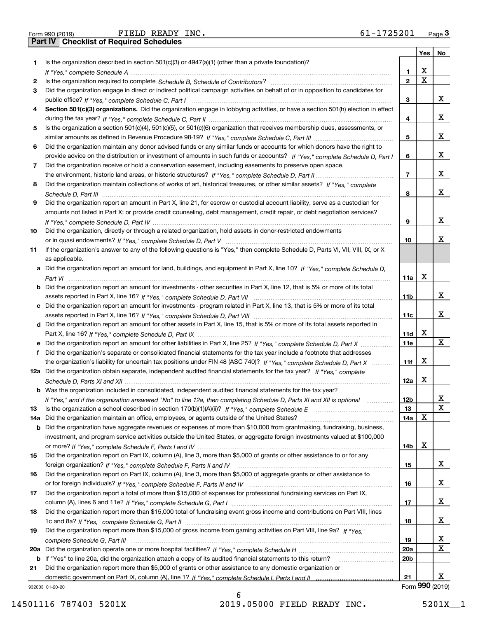| Form 990 (2019 |  |  |
|----------------|--|--|

|     |                                                                                                                                                                                                                                                            |                 | Yes | No              |
|-----|------------------------------------------------------------------------------------------------------------------------------------------------------------------------------------------------------------------------------------------------------------|-----------------|-----|-----------------|
| 1.  | Is the organization described in section $501(c)(3)$ or $4947(a)(1)$ (other than a private foundation)?                                                                                                                                                    |                 |     |                 |
|     |                                                                                                                                                                                                                                                            | 1               | х   |                 |
| 2   |                                                                                                                                                                                                                                                            | $\mathbf{2}$    | Χ   |                 |
| 3   | Did the organization engage in direct or indirect political campaign activities on behalf of or in opposition to candidates for                                                                                                                            |                 |     |                 |
|     |                                                                                                                                                                                                                                                            | 3               |     | X.              |
| 4   | Section 501(c)(3) organizations. Did the organization engage in lobbying activities, or have a section 501(h) election in effect                                                                                                                           |                 |     |                 |
|     |                                                                                                                                                                                                                                                            | 4               |     | х               |
| 5   | Is the organization a section 501(c)(4), 501(c)(5), or 501(c)(6) organization that receives membership dues, assessments, or                                                                                                                               |                 |     |                 |
|     |                                                                                                                                                                                                                                                            | 5               |     | х               |
| 6   | Did the organization maintain any donor advised funds or any similar funds or accounts for which donors have the right to                                                                                                                                  |                 |     |                 |
|     | provide advice on the distribution or investment of amounts in such funds or accounts? If "Yes," complete Schedule D, Part I                                                                                                                               | 6               |     | X.              |
| 7   | Did the organization receive or hold a conservation easement, including easements to preserve open space,                                                                                                                                                  |                 |     | х               |
|     |                                                                                                                                                                                                                                                            | 7               |     |                 |
| 8   | Did the organization maintain collections of works of art, historical treasures, or other similar assets? If "Yes," complete                                                                                                                               |                 |     | x               |
|     |                                                                                                                                                                                                                                                            | 8               |     |                 |
| 9   | Did the organization report an amount in Part X, line 21, for escrow or custodial account liability, serve as a custodian for<br>amounts not listed in Part X; or provide credit counseling, debt management, credit repair, or debt negotiation services? |                 |     |                 |
|     |                                                                                                                                                                                                                                                            | 9               |     | х               |
| 10  | Did the organization, directly or through a related organization, hold assets in donor-restricted endowments                                                                                                                                               |                 |     |                 |
|     |                                                                                                                                                                                                                                                            | 10              |     | x               |
| 11  | If the organization's answer to any of the following questions is "Yes," then complete Schedule D, Parts VI, VII, VIII, IX, or X                                                                                                                           |                 |     |                 |
|     | as applicable.                                                                                                                                                                                                                                             |                 |     |                 |
|     | a Did the organization report an amount for land, buildings, and equipment in Part X, line 10? If "Yes," complete Schedule D,                                                                                                                              |                 |     |                 |
|     |                                                                                                                                                                                                                                                            | 11a             | х   |                 |
|     | <b>b</b> Did the organization report an amount for investments - other securities in Part X, line 12, that is 5% or more of its total                                                                                                                      |                 |     |                 |
|     |                                                                                                                                                                                                                                                            | 11 <sub>b</sub> |     | x               |
|     | c Did the organization report an amount for investments - program related in Part X, line 13, that is 5% or more of its total                                                                                                                              |                 |     |                 |
|     |                                                                                                                                                                                                                                                            | 11c             |     | X.              |
|     | d Did the organization report an amount for other assets in Part X, line 15, that is 5% or more of its total assets reported in                                                                                                                            |                 |     |                 |
|     |                                                                                                                                                                                                                                                            | 11d             | X   |                 |
| е   | Did the organization report an amount for other liabilities in Part X, line 25? If "Yes," complete Schedule D, Part X                                                                                                                                      | 11e             |     | x               |
| f   | Did the organization's separate or consolidated financial statements for the tax year include a footnote that addresses                                                                                                                                    |                 |     |                 |
|     | the organization's liability for uncertain tax positions under FIN 48 (ASC 740)? If "Yes," complete Schedule D, Part X                                                                                                                                     | 11f             | X   |                 |
|     | 12a Did the organization obtain separate, independent audited financial statements for the tax year? If "Yes," complete                                                                                                                                    |                 |     |                 |
|     |                                                                                                                                                                                                                                                            | 12a             | X   |                 |
|     | <b>b</b> Was the organization included in consolidated, independent audited financial statements for the tax year?                                                                                                                                         |                 |     |                 |
|     | If "Yes," and if the organization answered "No" to line 12a, then completing Schedule D, Parts XI and XII is optional                                                                                                                                      | 12 <sub>b</sub> |     | х               |
| 13  | Is the organization a school described in section 170(b)(1)(A)(ii)? If "Yes," complete Schedule E                                                                                                                                                          | 13              |     | X               |
| 14a | Did the organization maintain an office, employees, or agents outside of the United States?                                                                                                                                                                | 14a             | X   |                 |
|     | b Did the organization have aggregate revenues or expenses of more than \$10,000 from grantmaking, fundraising, business,                                                                                                                                  |                 |     |                 |
|     | investment, and program service activities outside the United States, or aggregate foreign investments valued at \$100,000                                                                                                                                 |                 |     |                 |
|     |                                                                                                                                                                                                                                                            | 14b             | X   |                 |
| 15  | Did the organization report on Part IX, column (A), line 3, more than \$5,000 of grants or other assistance to or for any                                                                                                                                  |                 |     |                 |
|     |                                                                                                                                                                                                                                                            | 15              |     | X.              |
| 16  | Did the organization report on Part IX, column (A), line 3, more than \$5,000 of aggregate grants or other assistance to                                                                                                                                   |                 |     |                 |
|     |                                                                                                                                                                                                                                                            | 16              |     | x               |
| 17  | Did the organization report a total of more than \$15,000 of expenses for professional fundraising services on Part IX,                                                                                                                                    |                 |     | x               |
|     |                                                                                                                                                                                                                                                            | 17              |     |                 |
| 18  | Did the organization report more than \$15,000 total of fundraising event gross income and contributions on Part VIII, lines                                                                                                                               |                 |     | x               |
| 19  | Did the organization report more than \$15,000 of gross income from gaming activities on Part VIII, line 9a? If "Yes."                                                                                                                                     | 18              |     |                 |
|     |                                                                                                                                                                                                                                                            | 19              |     | x               |
|     |                                                                                                                                                                                                                                                            | 20a             |     | х               |
|     | b If "Yes" to line 20a, did the organization attach a copy of its audited financial statements to this return?                                                                                                                                             | 20 <sub>b</sub> |     |                 |
| 21  | Did the organization report more than \$5,000 of grants or other assistance to any domestic organization or                                                                                                                                                |                 |     |                 |
|     |                                                                                                                                                                                                                                                            | 21              |     | X.              |
|     | 932003 01-20-20                                                                                                                                                                                                                                            |                 |     | Form 990 (2019) |

932003 01-20-20

14501116 787403 5201X 2019.05000 FIELD READY INC. 5201X\_\_1

6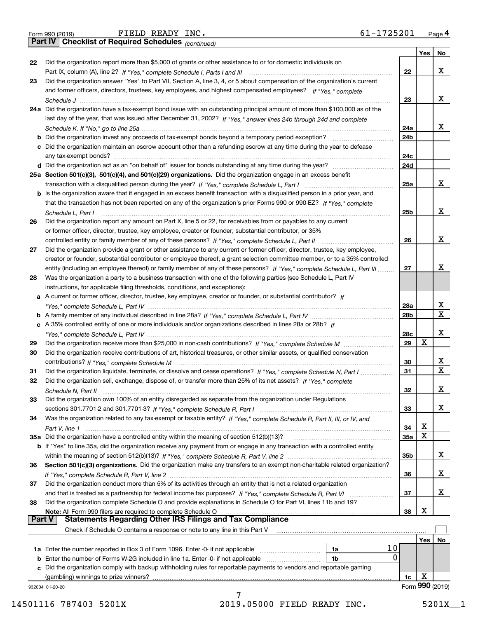| Form 990 (2019) |  |  |
|-----------------|--|--|

*(continued)*

|        |                                                                                                                              |                 | Yes | <b>No</b>       |
|--------|------------------------------------------------------------------------------------------------------------------------------|-----------------|-----|-----------------|
| 22     | Did the organization report more than \$5,000 of grants or other assistance to or for domestic individuals on                |                 |     |                 |
|        |                                                                                                                              | 22              |     | х               |
| 23     | Did the organization answer "Yes" to Part VII, Section A, line 3, 4, or 5 about compensation of the organization's current   |                 |     |                 |
|        | and former officers, directors, trustees, key employees, and highest compensated employees? If "Yes," complete               |                 |     |                 |
|        |                                                                                                                              | 23              |     | х               |
|        | 24a Did the organization have a tax-exempt bond issue with an outstanding principal amount of more than \$100,000 as of the  |                 |     |                 |
|        | last day of the year, that was issued after December 31, 2002? If "Yes," answer lines 24b through 24d and complete           |                 |     |                 |
|        |                                                                                                                              | 24a             |     | х               |
|        | b Did the organization invest any proceeds of tax-exempt bonds beyond a temporary period exception?                          | 24b             |     |                 |
|        | c Did the organization maintain an escrow account other than a refunding escrow at any time during the year to defease       |                 |     |                 |
|        | any tax-exempt bonds?                                                                                                        | 24c             |     |                 |
|        |                                                                                                                              | 24d             |     |                 |
|        | 25a Section 501(c)(3), 501(c)(4), and 501(c)(29) organizations. Did the organization engage in an excess benefit             |                 |     |                 |
|        |                                                                                                                              | 25a             |     | х               |
|        | b Is the organization aware that it engaged in an excess benefit transaction with a disqualified person in a prior year, and |                 |     |                 |
|        | that the transaction has not been reported on any of the organization's prior Forms 990 or 990-EZ? If "Yes," complete        |                 |     |                 |
|        |                                                                                                                              |                 |     | х               |
|        | Schedule L, Part I                                                                                                           | 25 <sub>b</sub> |     |                 |
| 26     | Did the organization report any amount on Part X, line 5 or 22, for receivables from or payables to any current              |                 |     |                 |
|        | or former officer, director, trustee, key employee, creator or founder, substantial contributor, or 35%                      |                 |     |                 |
|        |                                                                                                                              | 26              |     | х               |
| 27     | Did the organization provide a grant or other assistance to any current or former officer, director, trustee, key employee,  |                 |     |                 |
|        | creator or founder, substantial contributor or employee thereof, a grant selection committee member, or to a 35% controlled  |                 |     |                 |
|        | entity (including an employee thereof) or family member of any of these persons? If "Yes," complete Schedule L, Part III     | 27              |     | x               |
| 28     | Was the organization a party to a business transaction with one of the following parties (see Schedule L, Part IV            |                 |     |                 |
|        | instructions, for applicable filing thresholds, conditions, and exceptions):                                                 |                 |     |                 |
|        | a A current or former officer, director, trustee, key employee, creator or founder, or substantial contributor? If           |                 |     |                 |
|        |                                                                                                                              | 28a             |     | X               |
|        |                                                                                                                              | 28 <sub>b</sub> |     | $\mathbf X$     |
|        | c A 35% controlled entity of one or more individuals and/or organizations described in lines 28a or 28b? If                  |                 |     |                 |
|        |                                                                                                                              | 28c             |     | х               |
| 29     |                                                                                                                              | 29              | X   |                 |
| 30     | Did the organization receive contributions of art, historical treasures, or other similar assets, or qualified conservation  |                 |     |                 |
|        |                                                                                                                              | 30              |     | X               |
| 31     | Did the organization liquidate, terminate, or dissolve and cease operations? If "Yes," complete Schedule N, Part I           | 31              |     | $\mathbf x$     |
| 32     | Did the organization sell, exchange, dispose of, or transfer more than 25% of its net assets? If "Yes," complete             |                 |     |                 |
|        |                                                                                                                              | 32              |     | х               |
| 33     | Did the organization own 100% of an entity disregarded as separate from the organization under Regulations                   |                 |     |                 |
|        |                                                                                                                              | 33              |     | х               |
| 34     | Was the organization related to any tax-exempt or taxable entity? If "Yes," complete Schedule R, Part II, III, or IV, and    |                 |     |                 |
|        |                                                                                                                              | 34              | х   |                 |
|        | 35a Did the organization have a controlled entity within the meaning of section 512(b)(13)?                                  | 35a             | X   |                 |
|        | b If "Yes" to line 35a, did the organization receive any payment from or engage in any transaction with a controlled entity  |                 |     |                 |
|        |                                                                                                                              | 35 <sub>b</sub> |     | X               |
| 36     | Section 501(c)(3) organizations. Did the organization make any transfers to an exempt non-charitable related organization?   |                 |     |                 |
|        |                                                                                                                              | 36              |     | X               |
| 37     | Did the organization conduct more than 5% of its activities through an entity that is not a related organization             |                 |     |                 |
|        |                                                                                                                              | 37              |     | x               |
| 38     | Did the organization complete Schedule O and provide explanations in Schedule O for Part VI, lines 11b and 19?               |                 |     |                 |
|        | Note: All Form 990 filers are required to complete Schedule O                                                                | 38              | х   |                 |
| Part V | <b>Statements Regarding Other IRS Filings and Tax Compliance</b>                                                             |                 |     |                 |
|        | Check if Schedule O contains a response or note to any line in this Part V                                                   |                 |     |                 |
|        |                                                                                                                              |                 | Yes | No              |
|        | 10<br><b>1a</b> Enter the number reported in Box 3 of Form 1096. Enter -0- if not applicable <i>manumumumum</i><br>1a        |                 |     |                 |
|        | 0<br><b>b</b> Enter the number of Forms W-2G included in line 1a. Enter -0- if not applicable<br>1b                          |                 |     |                 |
|        | c Did the organization comply with backup withholding rules for reportable payments to vendors and reportable gaming         |                 |     |                 |
|        | (gambling) winnings to prize winners?                                                                                        | 1c              | х   |                 |
|        | 932004 01-20-20                                                                                                              |                 |     | Form 990 (2019) |
|        |                                                                                                                              |                 |     |                 |

14501116 787403 5201X 2019.05000 FIELD READY INC. 5201X\_\_1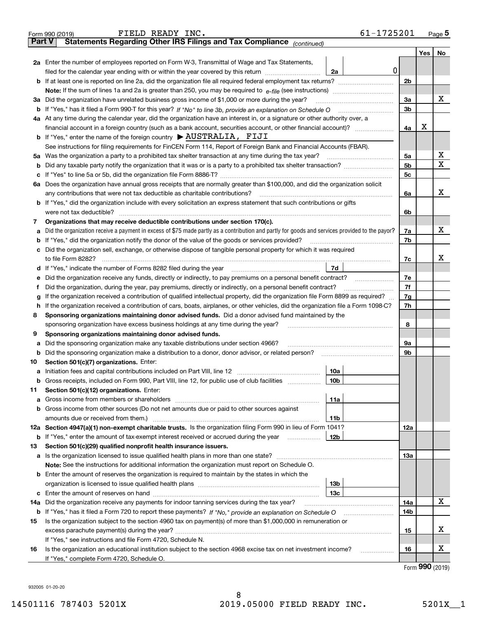|               | 61-1725201<br>FIELD READY INC.<br>Form 990 (2019)                                                                                                                                         |                |     | Page $5$ |
|---------------|-------------------------------------------------------------------------------------------------------------------------------------------------------------------------------------------|----------------|-----|----------|
| <b>Part V</b> | Statements Regarding Other IRS Filings and Tax Compliance (continued)                                                                                                                     |                |     |          |
|               |                                                                                                                                                                                           |                | Yes | No       |
|               | 2a Enter the number of employees reported on Form W-3, Transmittal of Wage and Tax Statements,                                                                                            |                |     |          |
|               | 0 <br>filed for the calendar year ending with or within the year covered by this return [11] [11] filed for the calendar year ending with or within the year covered by this return<br>2a |                |     |          |
|               |                                                                                                                                                                                           | 2 <sub>b</sub> |     |          |
|               |                                                                                                                                                                                           |                |     |          |
|               | 3a Did the organization have unrelated business gross income of \$1,000 or more during the year?                                                                                          | 3a             |     | х        |
|               |                                                                                                                                                                                           | 3 <sub>b</sub> |     |          |
|               | 4a At any time during the calendar year, did the organization have an interest in, or a signature or other authority over, a                                                              |                |     |          |
|               |                                                                                                                                                                                           | 4a             | X   |          |
|               | <b>b</b> If "Yes," enter the name of the foreign country $\triangleright$ <b>AUSTRALIA</b> , FIJI                                                                                         |                |     |          |
|               | See instructions for filing requirements for FinCEN Form 114, Report of Foreign Bank and Financial Accounts (FBAR).                                                                       |                |     |          |
|               | 5a Was the organization a party to a prohibited tax shelter transaction at any time during the tax year?                                                                                  | 5a             |     | х        |
|               |                                                                                                                                                                                           | 5 <sub>b</sub> |     | Х        |
|               |                                                                                                                                                                                           | 5 <sub>c</sub> |     |          |
|               | 6a Does the organization have annual gross receipts that are normally greater than \$100,000, and did the organization solicit                                                            |                |     |          |
|               | any contributions that were not tax deductible as charitable contributions?                                                                                                               | 6a             |     | х        |
|               | <b>b</b> If "Yes," did the organization include with every solicitation an express statement that such contributions or gifts                                                             |                |     |          |
|               | were not tax deductible?                                                                                                                                                                  | 6b             |     |          |
| 7             | Organizations that may receive deductible contributions under section 170(c).                                                                                                             |                |     |          |
| а             | Did the organization receive a payment in excess of \$75 made partly as a contribution and partly for goods and services provided to the payor?                                           | 7a             |     | х        |
|               | <b>b</b> If "Yes," did the organization notify the donor of the value of the goods or services provided?                                                                                  | 7b             |     |          |
|               | c Did the organization sell, exchange, or otherwise dispose of tangible personal property for which it was required                                                                       |                |     |          |
|               | to file Form 8282?                                                                                                                                                                        | 7c             |     | х        |
|               | 7d                                                                                                                                                                                        |                |     |          |
|               | e Did the organization receive any funds, directly or indirectly, to pay premiums on a personal benefit contract?                                                                         | 7e             |     |          |
| Ť             | Did the organization, during the year, pay premiums, directly or indirectly, on a personal benefit contract?                                                                              | 7f             |     |          |
| g             | If the organization received a contribution of qualified intellectual property, did the organization file Form 8899 as required?                                                          | 7g             |     |          |
|               | h If the organization received a contribution of cars, boats, airplanes, or other vehicles, did the organization file a Form 1098-C?                                                      | 7h             |     |          |
| 8             | Sponsoring organizations maintaining donor advised funds. Did a donor advised fund maintained by the                                                                                      |                |     |          |
|               | sponsoring organization have excess business holdings at any time during the year?                                                                                                        | 8              |     |          |
| 9             | Sponsoring organizations maintaining donor advised funds.                                                                                                                                 |                |     |          |
| а             | Did the sponsoring organization make any taxable distributions under section 4966?                                                                                                        | 9a             |     |          |
|               | <b>b</b> Did the sponsoring organization make a distribution to a donor, donor advisor, or related person?                                                                                | 9b             |     |          |
| 10            | Section 501(c)(7) organizations. Enter:                                                                                                                                                   |                |     |          |
|               | 10a                                                                                                                                                                                       |                |     |          |
|               | <b>b</b> Gross receipts, included on Form 990, Part VIII, line 12, for public use of club facilities <i>manumum</i><br>10b                                                                |                |     |          |
| 11            | Section 501(c)(12) organizations. Enter:                                                                                                                                                  |                |     |          |
|               | 11a                                                                                                                                                                                       |                |     |          |
|               | <b>b</b> Gross income from other sources (Do not net amounts due or paid to other sources against                                                                                         |                |     |          |
|               | amounts due or received from them.)<br>11b                                                                                                                                                |                |     |          |
|               | 12a Section 4947(a)(1) non-exempt charitable trusts. Is the organization filing Form 990 in lieu of Form 1041?                                                                            | 12a            |     |          |
|               | 12b<br><b>b</b> If "Yes," enter the amount of tax-exempt interest received or accrued during the year <i>manument</i>                                                                     |                |     |          |
| 13            | Section 501(c)(29) qualified nonprofit health insurance issuers.                                                                                                                          |                |     |          |
|               | <b>a</b> Is the organization licensed to issue qualified health plans in more than one state?                                                                                             | 13а            |     |          |
|               | Note: See the instructions for additional information the organization must report on Schedule O.                                                                                         |                |     |          |
|               | <b>b</b> Enter the amount of reserves the organization is required to maintain by the states in which the                                                                                 |                |     |          |
|               | 13 <sub>b</sub>                                                                                                                                                                           |                |     |          |
|               | 13с                                                                                                                                                                                       |                |     |          |
| 14a           | Did the organization receive any payments for indoor tanning services during the tax year?                                                                                                | 14a            |     | х        |
|               |                                                                                                                                                                                           | 14b            |     |          |
| 15            | Is the organization subject to the section 4960 tax on payment(s) of more than \$1,000,000 in remuneration or                                                                             |                |     |          |
|               |                                                                                                                                                                                           | 15             |     | х        |
|               | If "Yes," see instructions and file Form 4720, Schedule N.                                                                                                                                |                |     |          |
| 16            | Is the organization an educational institution subject to the section 4968 excise tax on net investment income?<br>.                                                                      | 16             |     | х        |
|               | If "Yes," complete Form 4720, Schedule O.                                                                                                                                                 |                |     |          |

Form (2019) **990**

932005 01-20-20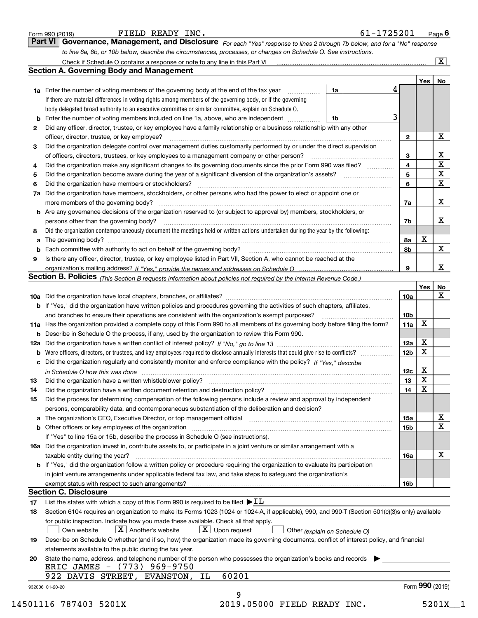|                                                                                                                                                 |                                                                                                                                                  |                 |                 | $\overline{\mathbf{x}}$ |  |
|-------------------------------------------------------------------------------------------------------------------------------------------------|--------------------------------------------------------------------------------------------------------------------------------------------------|-----------------|-----------------|-------------------------|--|
|                                                                                                                                                 | <b>Section A. Governing Body and Management</b>                                                                                                  |                 |                 |                         |  |
|                                                                                                                                                 |                                                                                                                                                  |                 | Yes   No        |                         |  |
|                                                                                                                                                 | <b>1a</b> Enter the number of voting members of the governing body at the end of the tax year<br>1a                                              | 4               |                 |                         |  |
|                                                                                                                                                 | If there are material differences in voting rights among members of the governing body, or if the governing                                      |                 |                 |                         |  |
|                                                                                                                                                 | body delegated broad authority to an executive committee or similar committee, explain on Schedule O.                                            |                 |                 |                         |  |
|                                                                                                                                                 | Enter the number of voting members included on line 1a, above, who are independent<br>1b                                                         | 3               |                 |                         |  |
| 2                                                                                                                                               | Did any officer, director, trustee, or key employee have a family relationship or a business relationship with any other                         |                 |                 |                         |  |
|                                                                                                                                                 | officer, director, trustee, or key employee?                                                                                                     | $\mathbf{2}$    |                 | X                       |  |
| 3                                                                                                                                               | Did the organization delegate control over management duties customarily performed by or under the direct supervision                            |                 |                 |                         |  |
|                                                                                                                                                 | of officers, directors, trustees, or key employees to a management company or other person?                                                      | 3               |                 | $rac{X}{X}$             |  |
| 4                                                                                                                                               | Did the organization make any significant changes to its governing documents since the prior Form 990 was filed?                                 | 4               |                 |                         |  |
| 5                                                                                                                                               |                                                                                                                                                  | 5               |                 | $\overline{\mathbf{x}}$ |  |
| 6                                                                                                                                               | Did the organization have members or stockholders?                                                                                               | 6               |                 | $\overline{\mathbf{x}}$ |  |
| 7a                                                                                                                                              | Did the organization have members, stockholders, or other persons who had the power to elect or appoint one or                                   |                 |                 |                         |  |
|                                                                                                                                                 |                                                                                                                                                  | 7a              |                 | X                       |  |
|                                                                                                                                                 | <b>b</b> Are any governance decisions of the organization reserved to (or subject to approval by) members, stockholders, or                      |                 |                 |                         |  |
|                                                                                                                                                 | persons other than the governing body?                                                                                                           | 7b              |                 | х                       |  |
| 8                                                                                                                                               | Did the organization contemporaneously document the meetings held or written actions undertaken during the year by the following:                |                 |                 |                         |  |
| а                                                                                                                                               |                                                                                                                                                  | 8а              | х               |                         |  |
| b                                                                                                                                               |                                                                                                                                                  | 8b              |                 | X                       |  |
| 9                                                                                                                                               | Is there any officer, director, trustee, or key employee listed in Part VII, Section A, who cannot be reached at the                             |                 |                 |                         |  |
|                                                                                                                                                 |                                                                                                                                                  | 9               |                 | X                       |  |
|                                                                                                                                                 | Section B. Policies (This Section B requests information about policies not required by the Internal Revenue Code.)                              |                 |                 |                         |  |
|                                                                                                                                                 |                                                                                                                                                  |                 | Yes             | No                      |  |
|                                                                                                                                                 |                                                                                                                                                  | 10a             |                 | X                       |  |
|                                                                                                                                                 | b If "Yes," did the organization have written policies and procedures governing the activities of such chapters, affiliates,                     |                 |                 |                         |  |
|                                                                                                                                                 |                                                                                                                                                  | 10 <sub>b</sub> |                 |                         |  |
|                                                                                                                                                 | 11a Has the organization provided a complete copy of this Form 990 to all members of its governing body before filing the form?                  | 11a             | x               |                         |  |
|                                                                                                                                                 | <b>b</b> Describe in Schedule O the process, if any, used by the organization to review this Form 990.                                           |                 |                 |                         |  |
|                                                                                                                                                 |                                                                                                                                                  | 12a             | x               |                         |  |
| b                                                                                                                                               |                                                                                                                                                  | 12 <sub>b</sub> | X               |                         |  |
|                                                                                                                                                 | c Did the organization regularly and consistently monitor and enforce compliance with the policy? If "Yes," describe                             |                 |                 |                         |  |
|                                                                                                                                                 | in Schedule O how this was done measured and contain an according to the state of the state of the state of th                                   | 12c             | X               |                         |  |
| 13                                                                                                                                              |                                                                                                                                                  | 13              | $\mathbf X$     |                         |  |
| 14                                                                                                                                              | Did the organization have a written document retention and destruction policy? [11] manufaction: manufaction policy?                             | 14              | X               |                         |  |
| 15                                                                                                                                              | Did the process for determining compensation of the following persons include a review and approval by independent                               |                 |                 |                         |  |
|                                                                                                                                                 | persons, comparability data, and contemporaneous substantiation of the deliberation and decision?                                                |                 |                 |                         |  |
|                                                                                                                                                 | a The organization's CEO, Executive Director, or top management official [111] [11] manument material manument                                   | 15a             |                 | х                       |  |
|                                                                                                                                                 |                                                                                                                                                  | 15b             |                 | X                       |  |
|                                                                                                                                                 | If "Yes" to line 15a or 15b, describe the process in Schedule O (see instructions).                                                              |                 |                 |                         |  |
|                                                                                                                                                 | 16a Did the organization invest in, contribute assets to, or participate in a joint venture or similar arrangement with a                        |                 |                 |                         |  |
|                                                                                                                                                 | taxable entity during the year?                                                                                                                  | 16a             |                 | х                       |  |
|                                                                                                                                                 | b If "Yes," did the organization follow a written policy or procedure requiring the organization to evaluate its participation                   |                 |                 |                         |  |
|                                                                                                                                                 | in joint venture arrangements under applicable federal tax law, and take steps to safeguard the organization's                                   |                 |                 |                         |  |
|                                                                                                                                                 |                                                                                                                                                  | 16b             |                 |                         |  |
|                                                                                                                                                 | <b>Section C. Disclosure</b>                                                                                                                     |                 |                 |                         |  |
| 17                                                                                                                                              | List the states with which a copy of this Form 990 is required to be filed $\blacktriangleright$ IL                                              |                 |                 |                         |  |
| 18                                                                                                                                              | Section 6104 requires an organization to make its Forms 1023 (1024 or 1024-A, if applicable), 990, and 990-T (Section 501(c)(3)s only) available |                 |                 |                         |  |
|                                                                                                                                                 | for public inspection. Indicate how you made these available. Check all that apply.                                                              |                 |                 |                         |  |
|                                                                                                                                                 | $ X $ Another's website<br>$\lfloor X \rfloor$ Upon request<br>Own website<br>Other (explain on Schedule O)                                      |                 |                 |                         |  |
| Describe on Schedule O whether (and if so, how) the organization made its governing documents, conflict of interest policy, and financial<br>19 |                                                                                                                                                  |                 |                 |                         |  |
|                                                                                                                                                 | statements available to the public during the tax year.                                                                                          |                 |                 |                         |  |
|                                                                                                                                                 | State the name, address, and telephone number of the person who possesses the organization's books and records                                   |                 |                 |                         |  |
| 20                                                                                                                                              | ERIC JAMES - (773) 969-9750                                                                                                                      |                 |                 |                         |  |
|                                                                                                                                                 |                                                                                                                                                  |                 |                 |                         |  |
|                                                                                                                                                 | 60201<br>922 DAVIS STREET, EVANSTON, IL                                                                                                          |                 | Form 990 (2019) |                         |  |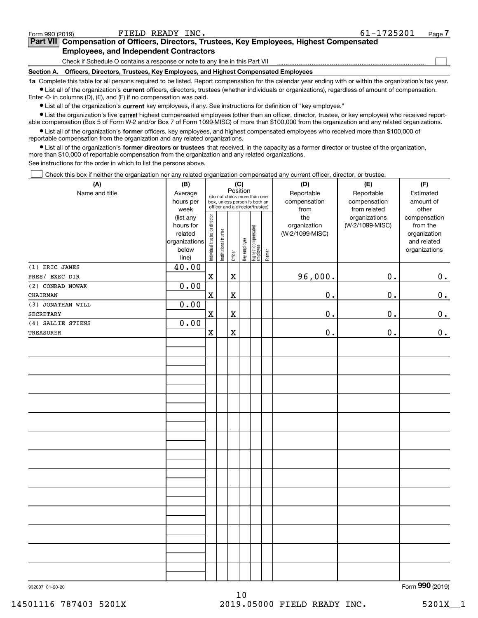| Form 990 (2019) | FIELD READY INC.                                                                                                                                            | 61-1725201 | Page |
|-----------------|-------------------------------------------------------------------------------------------------------------------------------------------------------------|------------|------|
|                 | Part VII Compensation of Officers, Directors, Trustees, Key Employees, Highest Compensated                                                                  |            |      |
|                 | <b>Employees, and Independent Contractors</b>                                                                                                               |            |      |
|                 | Check if Schedule O contains a response or note to any line in this Part VII                                                                                |            |      |
| Section A.      | Officers, Directors, Trustees, Key Employees, and Highest Compensated Employees                                                                             |            |      |
|                 | 1a. Complete this table for all persons required to be listed. Beport compensation for the calendar year ending with or within the organization's tax year. |            |      |

**1a •** List all of the organization's current officers, directors, trustees (whether individuals or organizations), regardless of amount of compensation. Complete this table for all persons required to be listed. Report compensation for the calendar year ending with or within the organization's tax year. Enter -0- in columns (D), (E), and (F) if no compensation was paid.

 $\bullet$  List all of the organization's  $\,$ current key employees, if any. See instructions for definition of "key employee."

**•** List the organization's five current highest compensated employees (other than an officer, director, trustee, or key employee) who received reportable compensation (Box 5 of Form W-2 and/or Box 7 of Form 1099-MISC) of more than \$100,000 from the organization and any related organizations.

**•** List all of the organization's former officers, key employees, and highest compensated employees who received more than \$100,000 of reportable compensation from the organization and any related organizations.

**former directors or trustees**  ¥ List all of the organization's that received, in the capacity as a former director or trustee of the organization, more than \$10,000 of reportable compensation from the organization and any related organizations.

See instructions for the order in which to list the persons above.

Check this box if neither the organization nor any related organization compensated any current officer, director, or trustee.  $\mathcal{L}^{\text{max}}$ 

| (A)               | (C)<br>(B)                                                                   |                                |                       |             |              |                                                                                                 |        | (D)                                            | (E)                                              | (F)                                                                               |
|-------------------|------------------------------------------------------------------------------|--------------------------------|-----------------------|-------------|--------------|-------------------------------------------------------------------------------------------------|--------|------------------------------------------------|--------------------------------------------------|-----------------------------------------------------------------------------------|
| Name and title    | Average<br>hours per                                                         |                                |                       | Position    |              | (do not check more than one<br>box, unless person is both an<br>officer and a director/trustee) |        | Reportable<br>compensation                     | Reportable<br>compensation                       | Estimated<br>amount of                                                            |
|                   | week<br>(list any<br>hours for<br>related<br>organizations<br>below<br>line) | Individual trustee or director | Institutional trustee | Officer     | Key employee | Highest compensated<br>employee                                                                 | Former | from<br>the<br>organization<br>(W-2/1099-MISC) | from related<br>organizations<br>(W-2/1099-MISC) | other<br>compensation<br>from the<br>organization<br>and related<br>organizations |
| $(1)$ ERIC JAMES  | 40.00                                                                        |                                |                       |             |              |                                                                                                 |        |                                                |                                                  |                                                                                   |
| PRES/ EXEC DIR    |                                                                              | $\mathbf X$                    |                       | $\mathbf X$ |              |                                                                                                 |        | 96,000.                                        | 0.                                               | 0.                                                                                |
| (2) CONRAD NOWAK  | 0.00                                                                         |                                |                       |             |              |                                                                                                 |        |                                                |                                                  |                                                                                   |
| CHAIRMAN          |                                                                              | $\mathbf X$                    |                       | $\mathbf X$ |              |                                                                                                 |        | $0$ .                                          | 0.                                               | 0.                                                                                |
| (3) JONATHAN WILL | 0.00                                                                         |                                |                       |             |              |                                                                                                 |        |                                                |                                                  |                                                                                   |
| SECRETARY         |                                                                              | $\mathbf x$                    |                       | $\mathbf X$ |              |                                                                                                 |        | $0$ .                                          | 0.                                               | 0.                                                                                |
| (4) SALLIE STIENS | 0.00                                                                         |                                |                       |             |              |                                                                                                 |        |                                                |                                                  |                                                                                   |
| TREASURER         |                                                                              | $\mathbf x$                    |                       | $\rm X$     |              |                                                                                                 |        | $0$ .                                          | 0.                                               | 0.                                                                                |
|                   |                                                                              |                                |                       |             |              |                                                                                                 |        |                                                |                                                  |                                                                                   |
|                   |                                                                              |                                |                       |             |              |                                                                                                 |        |                                                |                                                  |                                                                                   |
|                   |                                                                              |                                |                       |             |              |                                                                                                 |        |                                                |                                                  |                                                                                   |
|                   |                                                                              |                                |                       |             |              |                                                                                                 |        |                                                |                                                  |                                                                                   |
|                   |                                                                              |                                |                       |             |              |                                                                                                 |        |                                                |                                                  |                                                                                   |
|                   |                                                                              |                                |                       |             |              |                                                                                                 |        |                                                |                                                  |                                                                                   |
|                   |                                                                              |                                |                       |             |              |                                                                                                 |        |                                                |                                                  |                                                                                   |
|                   |                                                                              |                                |                       |             |              |                                                                                                 |        |                                                |                                                  |                                                                                   |
|                   |                                                                              |                                |                       |             |              |                                                                                                 |        |                                                |                                                  |                                                                                   |
|                   |                                                                              |                                |                       |             |              |                                                                                                 |        |                                                |                                                  |                                                                                   |
|                   |                                                                              |                                |                       |             |              |                                                                                                 |        |                                                |                                                  |                                                                                   |
|                   |                                                                              |                                |                       |             |              |                                                                                                 |        |                                                |                                                  |                                                                                   |

Form (2019) **990**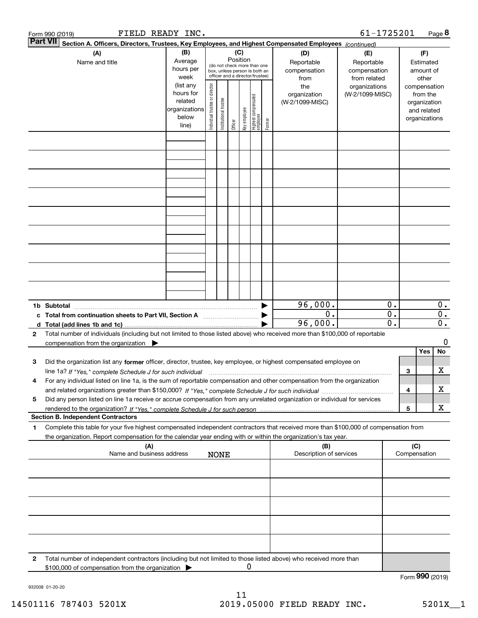|              | FIELD READY INC.<br>Form 990 (2019)                                                                                                                                                      |                                                         |                                |                                                                                                                                                                        |         |              |                                   |                                                  |                                                                    | 61-1725201      |                                                 |                                                        |                                                          | Page 8                                        |
|--------------|------------------------------------------------------------------------------------------------------------------------------------------------------------------------------------------|---------------------------------------------------------|--------------------------------|------------------------------------------------------------------------------------------------------------------------------------------------------------------------|---------|--------------|-----------------------------------|--------------------------------------------------|--------------------------------------------------------------------|-----------------|-------------------------------------------------|--------------------------------------------------------|----------------------------------------------------------|-----------------------------------------------|
|              | <b>Part VII</b><br>Section A. Officers, Directors, Trustees, Key Employees, and Highest Compensated Employees (continued)                                                                |                                                         |                                |                                                                                                                                                                        |         |              |                                   |                                                  |                                                                    |                 |                                                 |                                                        |                                                          |                                               |
|              | (A)<br>Name and title                                                                                                                                                                    |                                                         |                                | (B)<br>(C)<br>Position<br>Average<br>(do not check more than one<br>hours per<br>box, unless person is both an<br>officer and a director/trustee)<br>week<br>(list any |         |              |                                   | (D)<br>Reportable<br>compensation<br>from<br>the | (E)<br>Reportable<br>compensation<br>from related<br>organizations |                 |                                                 | (F)<br>Estimated<br>amount of<br>other<br>compensation |                                                          |                                               |
|              |                                                                                                                                                                                          | hours for<br>related<br>organizations<br>below<br>line) | Individual trustee or director | Institutional trustee                                                                                                                                                  | Officer | key employee | Highest compensated<br>  employee | Former                                           | organization<br>(W-2/1099-MISC)                                    | (W-2/1099-MISC) |                                                 |                                                        | from the<br>organization<br>and related<br>organizations |                                               |
|              |                                                                                                                                                                                          |                                                         |                                |                                                                                                                                                                        |         |              |                                   |                                                  |                                                                    |                 |                                                 |                                                        |                                                          |                                               |
|              |                                                                                                                                                                                          |                                                         |                                |                                                                                                                                                                        |         |              |                                   |                                                  |                                                                    |                 |                                                 |                                                        |                                                          |                                               |
|              |                                                                                                                                                                                          |                                                         |                                |                                                                                                                                                                        |         |              |                                   |                                                  |                                                                    |                 |                                                 |                                                        |                                                          |                                               |
|              |                                                                                                                                                                                          |                                                         |                                |                                                                                                                                                                        |         |              |                                   |                                                  |                                                                    |                 |                                                 |                                                        |                                                          |                                               |
|              |                                                                                                                                                                                          |                                                         |                                |                                                                                                                                                                        |         |              |                                   |                                                  |                                                                    |                 |                                                 |                                                        |                                                          |                                               |
|              |                                                                                                                                                                                          |                                                         |                                |                                                                                                                                                                        |         |              |                                   |                                                  |                                                                    |                 |                                                 |                                                        |                                                          |                                               |
|              |                                                                                                                                                                                          |                                                         |                                |                                                                                                                                                                        |         |              |                                   |                                                  |                                                                    |                 |                                                 |                                                        |                                                          |                                               |
|              | 1b Subtotal                                                                                                                                                                              |                                                         |                                |                                                                                                                                                                        |         |              |                                   |                                                  | 96,000.                                                            |                 | 0.                                              |                                                        |                                                          | $0$ .                                         |
|              | c Total from continuation sheets to Part VII, Section A manufactured and response Total from extension                                                                                   |                                                         |                                |                                                                                                                                                                        |         |              |                                   |                                                  | $\overline{0}$ .<br>96,000.                                        |                 | $\overline{0}$ .<br>$\overline{\mathfrak{o}}$ . |                                                        |                                                          | $\overline{0}$ .<br>$\overline{\mathbf{0}}$ . |
| $\mathbf{2}$ | Total number of individuals (including but not limited to those listed above) who received more than \$100,000 of reportable<br>compensation from the organization $\blacktriangleright$ |                                                         |                                |                                                                                                                                                                        |         |              |                                   |                                                  |                                                                    |                 |                                                 |                                                        |                                                          | 0                                             |
|              |                                                                                                                                                                                          |                                                         |                                |                                                                                                                                                                        |         |              |                                   |                                                  |                                                                    |                 |                                                 |                                                        | Yes                                                      | No                                            |
| з            | Did the organization list any former officer, director, trustee, key employee, or highest compensated employee on                                                                        |                                                         |                                |                                                                                                                                                                        |         |              |                                   |                                                  |                                                                    |                 |                                                 | З                                                      |                                                          | х                                             |
| 4            | For any individual listed on line 1a, is the sum of reportable compensation and other compensation from the organization                                                                 |                                                         |                                |                                                                                                                                                                        |         |              |                                   |                                                  |                                                                    |                 |                                                 | 4                                                      |                                                          | х                                             |
| 5            | Did any person listed on line 1a receive or accrue compensation from any unrelated organization or individual for services                                                               |                                                         |                                |                                                                                                                                                                        |         |              |                                   |                                                  |                                                                    |                 |                                                 |                                                        |                                                          |                                               |
|              | <b>Section B. Independent Contractors</b>                                                                                                                                                |                                                         |                                |                                                                                                                                                                        |         |              |                                   |                                                  |                                                                    |                 |                                                 | 5                                                      |                                                          | Х                                             |
| 1            | Complete this table for your five highest compensated independent contractors that received more than \$100,000 of compensation from                                                     |                                                         |                                |                                                                                                                                                                        |         |              |                                   |                                                  |                                                                    |                 |                                                 |                                                        |                                                          |                                               |
|              | the organization. Report compensation for the calendar year ending with or within the organization's tax year.<br>(A)                                                                    |                                                         |                                |                                                                                                                                                                        |         |              |                                   |                                                  | (B)                                                                |                 |                                                 | (C)                                                    |                                                          |                                               |
|              | Name and business address                                                                                                                                                                |                                                         |                                | <b>NONE</b>                                                                                                                                                            |         |              |                                   |                                                  | Description of services                                            |                 |                                                 | Compensation                                           |                                                          |                                               |
|              |                                                                                                                                                                                          |                                                         |                                |                                                                                                                                                                        |         |              |                                   |                                                  |                                                                    |                 |                                                 |                                                        |                                                          |                                               |
|              |                                                                                                                                                                                          |                                                         |                                |                                                                                                                                                                        |         |              |                                   |                                                  |                                                                    |                 |                                                 |                                                        |                                                          |                                               |
|              |                                                                                                                                                                                          |                                                         |                                |                                                                                                                                                                        |         |              |                                   |                                                  |                                                                    |                 |                                                 |                                                        |                                                          |                                               |
|              |                                                                                                                                                                                          |                                                         |                                |                                                                                                                                                                        |         |              |                                   |                                                  |                                                                    |                 |                                                 |                                                        |                                                          |                                               |
| 2            | Total number of independent contractors (including but not limited to those listed above) who received more than<br>\$100,000 of compensation from the organization                      |                                                         |                                |                                                                                                                                                                        |         | 0            |                                   |                                                  |                                                                    |                 |                                                 |                                                        |                                                          |                                               |
|              |                                                                                                                                                                                          |                                                         |                                |                                                                                                                                                                        |         |              |                                   |                                                  |                                                                    |                 |                                                 | Form 990 (2019)                                        |                                                          |                                               |

932008 01-20-20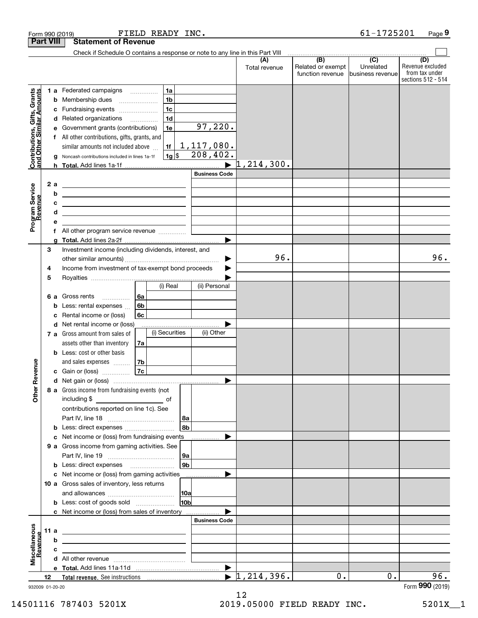|                                                           |                  | FIELD READY INC.<br>Form 990 (2019)                                                                                   |                       |                                  |                                              | 61-1725201                                        | Page 9                                                          |
|-----------------------------------------------------------|------------------|-----------------------------------------------------------------------------------------------------------------------|-----------------------|----------------------------------|----------------------------------------------|---------------------------------------------------|-----------------------------------------------------------------|
|                                                           | <b>Part VIII</b> | <b>Statement of Revenue</b>                                                                                           |                       |                                  |                                              |                                                   |                                                                 |
|                                                           |                  | Check if Schedule O contains a response or note to any line in this Part VIII                                         |                       |                                  |                                              |                                                   |                                                                 |
|                                                           |                  |                                                                                                                       |                       | (A)<br>Total revenue             | (B)<br>Related or exempt<br>function revenue | $\overline{(C)}$<br>Unrelated<br>business revenue | (D)<br>Revenue excluded<br>from tax under<br>sections 512 - 514 |
|                                                           |                  | 1a<br>1 a Federated campaigns                                                                                         |                       |                                  |                                              |                                                   |                                                                 |
| Contributions, Gifts, Grants<br>and Other Similar Amounts |                  | 1 <sub>b</sub><br><b>b</b> Membership dues                                                                            |                       |                                  |                                              |                                                   |                                                                 |
|                                                           |                  | 1 <sub>c</sub><br>c Fundraising events                                                                                |                       |                                  |                                              |                                                   |                                                                 |
|                                                           |                  | 1 <sub>d</sub><br>d Related organizations                                                                             |                       |                                  |                                              |                                                   |                                                                 |
|                                                           | е                | 1e<br>Government grants (contributions)                                                                               | 97,220.               |                                  |                                              |                                                   |                                                                 |
|                                                           | f                | All other contributions, gifts, grants, and                                                                           |                       |                                  |                                              |                                                   |                                                                 |
|                                                           |                  | similar amounts not included above<br>1f                                                                              | 1,117,080.            |                                  |                                              |                                                   |                                                                 |
|                                                           | g                | $1g$ \$<br>Noncash contributions included in lines 1a-1f                                                              | 208,402.              |                                  |                                              |                                                   |                                                                 |
|                                                           |                  |                                                                                                                       |                       | 1,214,300.                       |                                              |                                                   |                                                                 |
|                                                           |                  |                                                                                                                       | <b>Business Code</b>  |                                  |                                              |                                                   |                                                                 |
|                                                           | 2 a              | <u> 1989 - Johann Harry Harry Harry Harry Harry Harry Harry Harry Harry Harry Harry Harry Harry Harry Harry Harry</u> |                       |                                  |                                              |                                                   |                                                                 |
|                                                           | b                | <u> 1989 - Johann Barn, fransk politik amerikansk politik (</u>                                                       |                       |                                  |                                              |                                                   |                                                                 |
|                                                           | c<br>d           | <u> 1989 - Johann Harry Harry Harry Harry Harry Harry Harry Harry Harry Harry Harry Harry Harry Harry Harry Harry</u> |                       |                                  |                                              |                                                   |                                                                 |
|                                                           | е                | <u> 1989 - Johann Barn, amerikansk politiker (d. 1989)</u>                                                            |                       |                                  |                                              |                                                   |                                                                 |
| Program Service<br>Revenue                                | f                |                                                                                                                       |                       |                                  |                                              |                                                   |                                                                 |
|                                                           |                  |                                                                                                                       |                       |                                  |                                              |                                                   |                                                                 |
|                                                           | 3                | Investment income (including dividends, interest, and                                                                 |                       |                                  |                                              |                                                   |                                                                 |
|                                                           |                  |                                                                                                                       |                       | 96.                              |                                              |                                                   | 96.                                                             |
|                                                           | 4                | Income from investment of tax-exempt bond proceeds                                                                    |                       |                                  |                                              |                                                   |                                                                 |
|                                                           | 5                |                                                                                                                       |                       |                                  |                                              |                                                   |                                                                 |
|                                                           |                  | (i) Real                                                                                                              | (ii) Personal         |                                  |                                              |                                                   |                                                                 |
|                                                           |                  | 6a<br>6 a Gross rents                                                                                                 |                       |                                  |                                              |                                                   |                                                                 |
|                                                           | b                | 6b<br>Less: rental expenses                                                                                           |                       |                                  |                                              |                                                   |                                                                 |
|                                                           | с                | Rental income or (loss)<br>6с                                                                                         |                       |                                  |                                              |                                                   |                                                                 |
|                                                           |                  | d Net rental income or (loss)                                                                                         |                       |                                  |                                              |                                                   |                                                                 |
|                                                           |                  | (i) Securities<br>7 a Gross amount from sales of                                                                      | (ii) Other            |                                  |                                              |                                                   |                                                                 |
|                                                           |                  | assets other than inventory<br>7a                                                                                     |                       |                                  |                                              |                                                   |                                                                 |
|                                                           |                  | <b>b</b> Less: cost or other basis                                                                                    |                       |                                  |                                              |                                                   |                                                                 |
|                                                           |                  | 7b<br>and sales expenses                                                                                              |                       |                                  |                                              |                                                   |                                                                 |
| evenue                                                    |                  | 7c<br>c Gain or (loss)                                                                                                |                       |                                  |                                              |                                                   |                                                                 |
|                                                           |                  |                                                                                                                       |                       |                                  |                                              |                                                   |                                                                 |
| Other R                                                   |                  | 8 a Gross income from fundraising events (not                                                                         |                       |                                  |                                              |                                                   |                                                                 |
|                                                           |                  |                                                                                                                       |                       |                                  |                                              |                                                   |                                                                 |
|                                                           |                  | contributions reported on line 1c). See                                                                               |                       |                                  |                                              |                                                   |                                                                 |
|                                                           |                  | 8a<br>8b                                                                                                              |                       |                                  |                                              |                                                   |                                                                 |
|                                                           |                  | <b>b</b> Less: direct expenses <i>manually contained</i><br>c Net income or (loss) from fundraising events            |                       |                                  |                                              |                                                   |                                                                 |
|                                                           |                  | 9 a Gross income from gaming activities. See                                                                          |                       |                                  |                                              |                                                   |                                                                 |
|                                                           |                  | 9a                                                                                                                    |                       |                                  |                                              |                                                   |                                                                 |
|                                                           |                  | 9 <sub>b</sub><br><b>b</b> Less: direct expenses <b>manually</b>                                                      |                       |                                  |                                              |                                                   |                                                                 |
|                                                           |                  | c Net income or (loss) from gaming activities _______________                                                         |                       |                                  |                                              |                                                   |                                                                 |
|                                                           |                  | 10 a Gross sales of inventory, less returns                                                                           |                       |                                  |                                              |                                                   |                                                                 |
|                                                           |                  |                                                                                                                       |                       |                                  |                                              |                                                   |                                                                 |
|                                                           |                  | 10 <sub>b</sub><br><b>b</b> Less: cost of goods sold                                                                  |                       |                                  |                                              |                                                   |                                                                 |
|                                                           |                  | c Net income or (loss) from sales of inventory                                                                        |                       |                                  |                                              |                                                   |                                                                 |
|                                                           |                  |                                                                                                                       | <b>Business Code</b>  |                                  |                                              |                                                   |                                                                 |
|                                                           | 11 a             | <u> 1989 - Johann John Stone, meil in der Stone aus der Stone aus der Stone aus der Stone aus der Stone anderen S</u> |                       |                                  |                                              |                                                   |                                                                 |
| evenue                                                    | b                | the control of the control of the control of the control of the control of the control of                             |                       |                                  |                                              |                                                   |                                                                 |
|                                                           | c                | the contract of the contract of the contract of the contract of the contract of                                       |                       |                                  |                                              |                                                   |                                                                 |
| Miscellaneous                                             |                  |                                                                                                                       |                       |                                  |                                              |                                                   |                                                                 |
|                                                           |                  |                                                                                                                       | $\blacktriangleright$ |                                  |                                              |                                                   |                                                                 |
|                                                           | 12               |                                                                                                                       |                       | $\blacktriangleright$ 1,214,396. | 0.                                           | 0.                                                | 96.                                                             |
|                                                           | 932009 01-20-20  |                                                                                                                       |                       |                                  |                                              |                                                   | Form 990 (2019)                                                 |

932009 01-20-20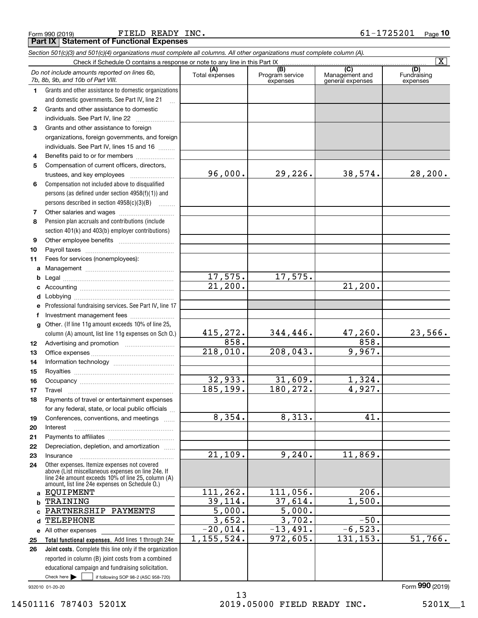Form 990 (2019) Page FIELD READY INC. 61-1725201 **Part IX Statement of Functional Expenses**

|              | Section 501(c)(3) and 501(c)(4) organizations must complete all columns. All other organizations must complete column (A).                                                                                 |                       |                                    |                                                      |                                |
|--------------|------------------------------------------------------------------------------------------------------------------------------------------------------------------------------------------------------------|-----------------------|------------------------------------|------------------------------------------------------|--------------------------------|
|              |                                                                                                                                                                                                            |                       |                                    |                                                      | $\overline{\mathbf{x}}$        |
|              | Do not include amounts reported on lines 6b,<br>7b, 8b, 9b, and 10b of Part VIII.                                                                                                                          | (A)<br>Total expenses | (B)<br>Program service<br>expenses | $\overline{C}$<br>Management and<br>general expenses | (D)<br>Fundraising<br>expenses |
| 1.           | Grants and other assistance to domestic organizations                                                                                                                                                      |                       |                                    |                                                      |                                |
|              | and domestic governments. See Part IV, line 21                                                                                                                                                             |                       |                                    |                                                      |                                |
| $\mathbf{2}$ | Grants and other assistance to domestic                                                                                                                                                                    |                       |                                    |                                                      |                                |
|              | individuals. See Part IV, line 22                                                                                                                                                                          |                       |                                    |                                                      |                                |
| 3            | Grants and other assistance to foreign                                                                                                                                                                     |                       |                                    |                                                      |                                |
|              | organizations, foreign governments, and foreign                                                                                                                                                            |                       |                                    |                                                      |                                |
|              | individuals. See Part IV, lines 15 and 16                                                                                                                                                                  |                       |                                    |                                                      |                                |
| 4            | Benefits paid to or for members                                                                                                                                                                            |                       |                                    |                                                      |                                |
| 5            | Compensation of current officers, directors,                                                                                                                                                               |                       |                                    |                                                      |                                |
|              | trustees, and key employees                                                                                                                                                                                | 96,000.               | 29,226.                            | 38,574.                                              | 28, 200.                       |
| 6            | Compensation not included above to disqualified                                                                                                                                                            |                       |                                    |                                                      |                                |
|              | persons (as defined under section 4958(f)(1)) and                                                                                                                                                          |                       |                                    |                                                      |                                |
|              | persons described in section 4958(c)(3)(B)                                                                                                                                                                 |                       |                                    |                                                      |                                |
| 7            |                                                                                                                                                                                                            |                       |                                    |                                                      |                                |
| 8            | Pension plan accruals and contributions (include                                                                                                                                                           |                       |                                    |                                                      |                                |
|              | section 401(k) and 403(b) employer contributions)                                                                                                                                                          |                       |                                    |                                                      |                                |
| 9            |                                                                                                                                                                                                            |                       |                                    |                                                      |                                |
| 10           |                                                                                                                                                                                                            |                       |                                    |                                                      |                                |
| 11           | Fees for services (nonemployees):                                                                                                                                                                          |                       |                                    |                                                      |                                |
|              |                                                                                                                                                                                                            |                       |                                    |                                                      |                                |
| b            |                                                                                                                                                                                                            | 17,575.               | 17,575.                            |                                                      |                                |
| c            |                                                                                                                                                                                                            | $\overline{21,200}$ . |                                    | $\overline{21,200}$ .                                |                                |
| d            |                                                                                                                                                                                                            |                       |                                    |                                                      |                                |
| е            | Professional fundraising services. See Part IV, line 17                                                                                                                                                    |                       |                                    |                                                      |                                |
| f            | Investment management fees                                                                                                                                                                                 |                       |                                    |                                                      |                                |
| g            | Other. (If line 11g amount exceeds 10% of line 25,                                                                                                                                                         |                       |                                    |                                                      |                                |
|              | column (A) amount, list line 11g expenses on Sch O.)                                                                                                                                                       | 415,272.              | 344,446.                           | 47, 260.                                             | 23,566.                        |
| 12           |                                                                                                                                                                                                            | 858.                  |                                    | 858.                                                 |                                |
| 13           |                                                                                                                                                                                                            | 218,010.              | 208,043.                           | 9,967.                                               |                                |
| 14           |                                                                                                                                                                                                            |                       |                                    |                                                      |                                |
| 15           |                                                                                                                                                                                                            |                       |                                    |                                                      |                                |
| 16           |                                                                                                                                                                                                            | 32,933.               | 31,609.                            | 1,324.                                               |                                |
| 17           |                                                                                                                                                                                                            | 185, 199.             | 180, 272.                          | 4,927.                                               |                                |
| 18           | Payments of travel or entertainment expenses                                                                                                                                                               |                       |                                    |                                                      |                                |
|              | for any federal, state, or local public officials                                                                                                                                                          |                       |                                    |                                                      |                                |
| 19           | Conferences, conventions, and meetings                                                                                                                                                                     | 8,354.                | 8,313.                             | 41.                                                  |                                |
| 20           | Interest                                                                                                                                                                                                   |                       |                                    |                                                      |                                |
| 21           |                                                                                                                                                                                                            |                       |                                    |                                                      |                                |
| 22           | Depreciation, depletion, and amortization                                                                                                                                                                  | $\overline{21,109}$ . | 9,240.                             | 11,869.                                              |                                |
| 23           | Insurance                                                                                                                                                                                                  |                       |                                    |                                                      |                                |
| 24           | Other expenses. Itemize expenses not covered<br>above (List miscellaneous expenses on line 24e. If<br>line 24e amount exceeds 10% of line 25, column (A)<br>amount, list line 24e expenses on Schedule O.) |                       |                                    |                                                      |                                |
|              | a EQUIPMENT                                                                                                                                                                                                | 111, 262.             | 111,056.                           | 206.                                                 |                                |
| b            | TRAINING                                                                                                                                                                                                   | 39,114.               | 37,614.                            | 1,500.                                               |                                |
| C            | PARTNERSHIP PAYMENTS                                                                                                                                                                                       | $\overline{5,000}$ .  | $\overline{5,000}$ .               |                                                      |                                |
| d            | <b>TELEPHONE</b>                                                                                                                                                                                           | 3,652.                | 3,702.                             | $-50.$                                               |                                |
|              | e All other expenses                                                                                                                                                                                       | $-20,014.$            | $-13,491.$                         | $-6,523.$                                            |                                |
| 25           | Total functional expenses. Add lines 1 through 24e                                                                                                                                                         | 1, 155, 524.          | 972,605.                           | 131, 153.                                            | 51,766.                        |
| 26           | Joint costs. Complete this line only if the organization                                                                                                                                                   |                       |                                    |                                                      |                                |
|              | reported in column (B) joint costs from a combined                                                                                                                                                         |                       |                                    |                                                      |                                |
|              | educational campaign and fundraising solicitation.                                                                                                                                                         |                       |                                    |                                                      |                                |
|              | Check here $\blacktriangleright$  <br>if following SOP 98-2 (ASC 958-720)                                                                                                                                  |                       |                                    |                                                      |                                |

932010 01-20-20

13 14501116 787403 5201X <br>2019.05000 FIELD READY INC. 5201X\_1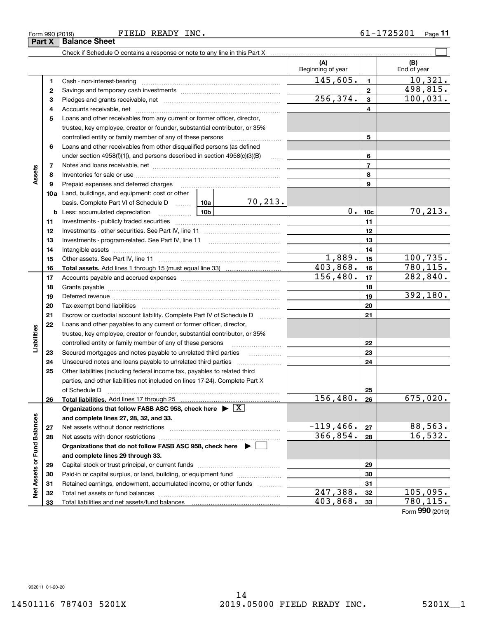Form 990 (2019) Page FIELD READY INC. 61-1725201

**Part X Balance Sheet** 

|                             |    |                                                                                                                                                                                                                               |          |                     | (A)<br>Beginning of year |                 | (B)<br>End of year |
|-----------------------------|----|-------------------------------------------------------------------------------------------------------------------------------------------------------------------------------------------------------------------------------|----------|---------------------|--------------------------|-----------------|--------------------|
|                             | 1  |                                                                                                                                                                                                                               |          |                     | 145,605.                 | $\mathbf{1}$    | 10,321.            |
|                             | 2  |                                                                                                                                                                                                                               |          |                     |                          | $\mathbf{2}$    | 498,815.           |
|                             | з  |                                                                                                                                                                                                                               |          |                     | 256, 374.                | $\mathbf{3}$    | 100,031.           |
|                             | 4  |                                                                                                                                                                                                                               |          |                     | 4                        |                 |                    |
|                             | 5  | Loans and other receivables from any current or former officer, director,                                                                                                                                                     |          |                     |                          |                 |                    |
|                             |    | trustee, key employee, creator or founder, substantial contributor, or 35%                                                                                                                                                    |          |                     |                          |                 |                    |
|                             |    | controlled entity or family member of any of these persons                                                                                                                                                                    |          |                     |                          | 5               |                    |
|                             | 6  | Loans and other receivables from other disqualified persons (as defined                                                                                                                                                       |          |                     |                          |                 |                    |
|                             |    | under section $4958(f)(1)$ , and persons described in section $4958(c)(3)(B)$                                                                                                                                                 |          | 6                   |                          |                 |                    |
|                             | 7  |                                                                                                                                                                                                                               |          |                     |                          | $\overline{7}$  |                    |
| Assets                      | 8  |                                                                                                                                                                                                                               |          |                     |                          | 8               |                    |
|                             | 9  | Prepaid expenses and deferred charges                                                                                                                                                                                         |          |                     |                          | 9               |                    |
|                             |    | <b>10a</b> Land, buildings, and equipment: cost or other                                                                                                                                                                      |          |                     |                          |                 |                    |
|                             |    | basis. Complete Part VI of Schedule D  10a                                                                                                                                                                                    |          | <u>70,213.</u>      |                          |                 |                    |
|                             |    | <b>b</b> Less: accumulated depreciation<br>. 1                                                                                                                                                                                | 10b      |                     | $0$ .                    | 10 <sub>c</sub> | 70, 213.           |
|                             | 11 |                                                                                                                                                                                                                               |          |                     |                          | 11              |                    |
|                             | 12 |                                                                                                                                                                                                                               |          | 12                  |                          |                 |                    |
|                             | 13 |                                                                                                                                                                                                                               |          | 13                  |                          |                 |                    |
|                             | 14 |                                                                                                                                                                                                                               |          | 14                  |                          |                 |                    |
|                             | 15 |                                                                                                                                                                                                                               |          | 1,889.              | 15                       | 100,735.        |                    |
|                             | 16 |                                                                                                                                                                                                                               |          | 403,868.            | 16                       | 780, 115.       |                    |
|                             | 17 |                                                                                                                                                                                                                               | 156,480. | 17                  | 282,840.                 |                 |                    |
|                             | 18 |                                                                                                                                                                                                                               |          | 18                  |                          |                 |                    |
|                             | 19 | Deferred revenue manual contracts and contracts and contracts are contracted and contracts are contracted and contract are contracted and contract are contracted and contract are contracted and contract are contracted and |          |                     |                          | 19              | 392,180.           |
|                             | 20 |                                                                                                                                                                                                                               |          |                     |                          | 20              |                    |
|                             | 21 | Escrow or custodial account liability. Complete Part IV of Schedule D                                                                                                                                                         |          | 1.1.1.1.1.1.1.1.1.1 |                          | 21              |                    |
|                             | 22 | Loans and other payables to any current or former officer, director,                                                                                                                                                          |          |                     |                          |                 |                    |
| Liabilities                 |    | trustee, key employee, creator or founder, substantial contributor, or 35%                                                                                                                                                    |          |                     |                          |                 |                    |
|                             |    | controlled entity or family member of any of these persons                                                                                                                                                                    |          |                     |                          | 22              |                    |
|                             | 23 |                                                                                                                                                                                                                               |          |                     |                          | 23              |                    |
|                             | 24 | Unsecured notes and loans payable to unrelated third parties                                                                                                                                                                  |          |                     |                          | 24              |                    |
|                             | 25 | Other liabilities (including federal income tax, payables to related third                                                                                                                                                    |          |                     |                          |                 |                    |
|                             |    | parties, and other liabilities not included on lines 17-24). Complete Part X                                                                                                                                                  |          |                     |                          |                 |                    |
|                             |    | of Schedule D <b>contract the contract of Schedule D</b>                                                                                                                                                                      |          |                     |                          | 25              |                    |
|                             | 26 |                                                                                                                                                                                                                               |          |                     | 156, 480.                | 26              | 675,020.           |
|                             |    | Organizations that follow FASB ASC 958, check here $\blacktriangleright \boxed{X}$                                                                                                                                            |          |                     |                          |                 |                    |
|                             |    | and complete lines 27, 28, 32, and 33.                                                                                                                                                                                        |          |                     |                          |                 |                    |
|                             | 27 |                                                                                                                                                                                                                               |          |                     | $-119,466.$              | 27              | 88,563.            |
|                             | 28 |                                                                                                                                                                                                                               |          |                     | 366, 854.                | 28              | 16,532.            |
|                             |    | Organizations that do not follow FASB ASC 958, check here $\blacktriangleright$                                                                                                                                               |          |                     |                          |                 |                    |
|                             |    | and complete lines 29 through 33.                                                                                                                                                                                             |          |                     |                          |                 |                    |
|                             | 29 |                                                                                                                                                                                                                               |          |                     | 29                       |                 |                    |
| Net Assets or Fund Balances | 30 | Paid-in or capital surplus, or land, building, or equipment fund                                                                                                                                                              |          |                     |                          | 30              |                    |
|                             | 31 | Retained earnings, endowment, accumulated income, or other funds                                                                                                                                                              |          |                     |                          | 31              |                    |
|                             | 32 |                                                                                                                                                                                                                               |          |                     | 247,388.                 | 32              | 105,095.           |
|                             | 33 |                                                                                                                                                                                                                               |          |                     | 403,868.                 | 33              | 780,115.           |

Form (2019) **990**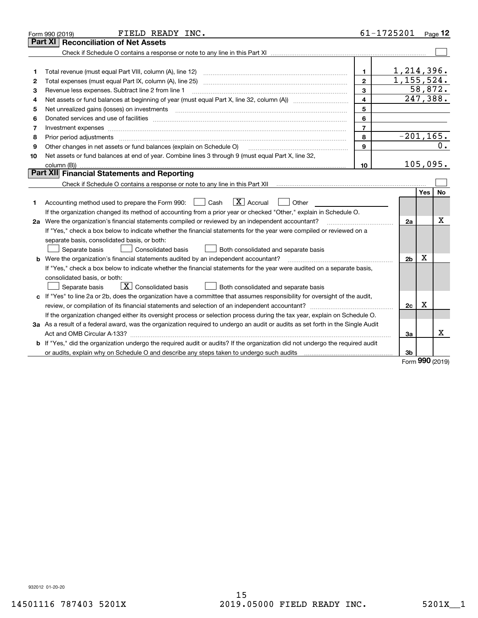|    | FIELD READY INC.<br>Form 990 (2019)                                                                                             |                         | 61-1725201     |              | Page 12  |
|----|---------------------------------------------------------------------------------------------------------------------------------|-------------------------|----------------|--------------|----------|
|    | Part XI<br><b>Reconciliation of Net Assets</b>                                                                                  |                         |                |              |          |
|    |                                                                                                                                 |                         |                |              |          |
|    |                                                                                                                                 |                         |                |              |          |
| 1  |                                                                                                                                 | 1.                      | 1,214,396.     |              |          |
| 2  |                                                                                                                                 | $\mathbf{2}$            | 1, 155, 524.   |              |          |
| 3  | Revenue less expenses. Subtract line 2 from line 1                                                                              | 3                       |                |              | 58,872.  |
| 4  |                                                                                                                                 | $\overline{\mathbf{4}}$ |                |              | 247,388. |
| 5  |                                                                                                                                 | 5                       |                |              |          |
| 6  |                                                                                                                                 | 6                       |                |              |          |
| 7  | Investment expenses www.communication.com/www.communication.com/www.communication.com/www.com                                   | $\overline{7}$          |                |              |          |
| 8  | Prior period adjustments www.communication.communication.com/news/communication.com/news/communication.com/new                  | 8                       | $-201, 165.$   |              |          |
| 9  | Other changes in net assets or fund balances (explain on Schedule O)                                                            | 9                       |                |              | 0.       |
| 10 | Net assets or fund balances at end of year. Combine lines 3 through 9 (must equal Part X, line 32,                              |                         |                |              |          |
|    | column (B))                                                                                                                     | 10                      |                |              | 105,095. |
|    | Part XII Financial Statements and Reporting                                                                                     |                         |                |              |          |
|    |                                                                                                                                 |                         |                |              |          |
|    |                                                                                                                                 |                         |                | Yes          | No.      |
| 1  | $\boxed{\mathbf{X}}$ Accrual<br>Accounting method used to prepare the Form 990: [16] Cash<br>Other                              |                         |                |              |          |
|    | If the organization changed its method of accounting from a prior year or checked "Other," explain in Schedule O.               |                         |                |              |          |
|    | 2a Were the organization's financial statements compiled or reviewed by an independent accountant?                              |                         | 2a             |              | x        |
|    | If "Yes," check a box below to indicate whether the financial statements for the year were compiled or reviewed on a            |                         |                |              |          |
|    | separate basis, consolidated basis, or both:                                                                                    |                         |                |              |          |
|    | Separate basis<br>Consolidated basis<br>Both consolidated and separate basis                                                    |                         |                |              |          |
|    | <b>b</b> Were the organization's financial statements audited by an independent accountant?                                     |                         | 2 <sub>b</sub> | x            |          |
|    | If "Yes," check a box below to indicate whether the financial statements for the year were audited on a separate basis,         |                         |                |              |          |
|    | consolidated basis, or both:                                                                                                    |                         |                |              |          |
|    | $\boxed{\textbf{X}}$ Consolidated basis<br>Separate basis<br>Both consolidated and separate basis                               |                         |                |              |          |
|    | c If "Yes" to line 2a or 2b, does the organization have a committee that assumes responsibility for oversight of the audit,     |                         |                |              |          |
|    | review, or compilation of its financial statements and selection of an independent accountant?                                  |                         | 2c             | X            |          |
|    | If the organization changed either its oversight process or selection process during the tax year, explain on Schedule O.       |                         |                |              |          |
|    | 3a As a result of a federal award, was the organization required to undergo an audit or audits as set forth in the Single Audit |                         |                |              |          |
|    | Act and OMB Circular A-133?                                                                                                     |                         | 3a             |              | x        |
|    | b If "Yes," did the organization undergo the required audit or audits? If the organization did not undergo the required audit   |                         |                |              |          |
|    | or audits, explain why on Schedule O and describe any steps taken to undergo such audits matured contains the s                 |                         | 3b             | $\mathbf{a}$ |          |
|    |                                                                                                                                 |                         |                |              |          |

Form (2019) **990**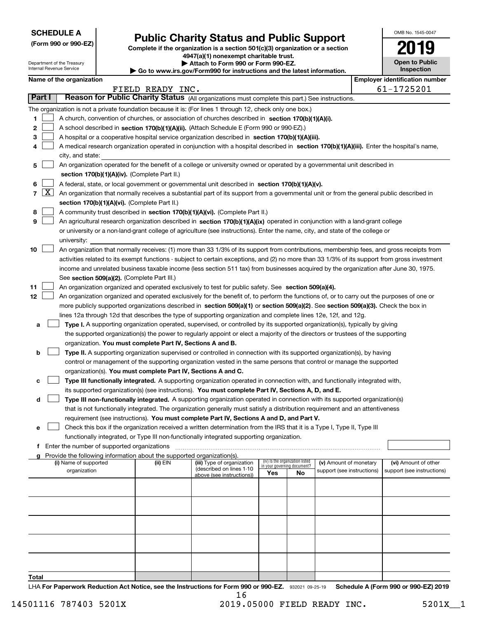| <b>SCHEDULE A</b> |  |
|-------------------|--|
|-------------------|--|

**(Form 990 or 990-EZ)**

### **Public Charity Status and Public Support**

**Complete if the organization is a section 501(c)(3) organization or a section 4947(a)(1) nonexempt charitable trust. | Attach to Form 990 or Form 990-EZ.** 

| www.irs.gov/Form990 for instructions and the latest information |  |  |
|-----------------------------------------------------------------|--|--|
|-----------------------------------------------------------------|--|--|

| OMB No. 1545-0047              |
|--------------------------------|
| 2019                           |
| <b>Open to Public</b><br>----- |

|              |                    | Department of the Treasury<br>Internal Revenue Service |                                                                        | Attach to Form 990 or Form 990-EZ.<br>Go to www.irs.gov/Form990 for instructions and the latest information.                                                                                                             |     |                                                                |                            | <b>Open to Public</b><br><b>Inspection</b> |
|--------------|--------------------|--------------------------------------------------------|------------------------------------------------------------------------|--------------------------------------------------------------------------------------------------------------------------------------------------------------------------------------------------------------------------|-----|----------------------------------------------------------------|----------------------------|--------------------------------------------|
|              |                    | Name of the organization                               |                                                                        |                                                                                                                                                                                                                          |     |                                                                |                            | <b>Employer identification number</b>      |
|              |                    |                                                        | FIELD READY INC.                                                       |                                                                                                                                                                                                                          |     |                                                                |                            | 61-1725201                                 |
|              | Part I             |                                                        |                                                                        | Reason for Public Charity Status (All organizations must complete this part.) See instructions.                                                                                                                          |     |                                                                |                            |                                            |
|              |                    |                                                        |                                                                        | The organization is not a private foundation because it is: (For lines 1 through 12, check only one box.)                                                                                                                |     |                                                                |                            |                                            |
| 1            |                    |                                                        |                                                                        | A church, convention of churches, or association of churches described in section 170(b)(1)(A)(i).                                                                                                                       |     |                                                                |                            |                                            |
| 2            |                    |                                                        |                                                                        | A school described in section 170(b)(1)(A)(ii). (Attach Schedule E (Form 990 or 990-EZ).)                                                                                                                                |     |                                                                |                            |                                            |
| з            |                    |                                                        |                                                                        | A hospital or a cooperative hospital service organization described in section 170(b)(1)(A)(iii).                                                                                                                        |     |                                                                |                            |                                            |
| 4            |                    |                                                        |                                                                        | A medical research organization operated in conjunction with a hospital described in section 170(b)(1)(A)(iii). Enter the hospital's name,                                                                               |     |                                                                |                            |                                            |
|              |                    | city, and state:                                       |                                                                        |                                                                                                                                                                                                                          |     |                                                                |                            |                                            |
| 5            |                    |                                                        |                                                                        | An organization operated for the benefit of a college or university owned or operated by a governmental unit described in                                                                                                |     |                                                                |                            |                                            |
|              |                    |                                                        | section 170(b)(1)(A)(iv). (Complete Part II.)                          |                                                                                                                                                                                                                          |     |                                                                |                            |                                            |
| 6            |                    |                                                        |                                                                        | A federal, state, or local government or governmental unit described in section 170(b)(1)(A)(v).                                                                                                                         |     |                                                                |                            |                                            |
| $\mathbf{7}$ | $\boxed{\text{X}}$ |                                                        |                                                                        | An organization that normally receives a substantial part of its support from a governmental unit or from the general public described in                                                                                |     |                                                                |                            |                                            |
|              |                    |                                                        | section 170(b)(1)(A)(vi). (Complete Part II.)                          |                                                                                                                                                                                                                          |     |                                                                |                            |                                            |
| 8            |                    |                                                        |                                                                        | A community trust described in section 170(b)(1)(A)(vi). (Complete Part II.)                                                                                                                                             |     |                                                                |                            |                                            |
| 9            |                    |                                                        |                                                                        | An agricultural research organization described in section 170(b)(1)(A)(ix) operated in conjunction with a land-grant college                                                                                            |     |                                                                |                            |                                            |
|              |                    |                                                        |                                                                        | or university or a non-land-grant college of agriculture (see instructions). Enter the name, city, and state of the college or                                                                                           |     |                                                                |                            |                                            |
|              |                    | university:                                            |                                                                        |                                                                                                                                                                                                                          |     |                                                                |                            |                                            |
| 10           |                    |                                                        |                                                                        | An organization that normally receives: (1) more than 33 1/3% of its support from contributions, membership fees, and gross receipts from                                                                                |     |                                                                |                            |                                            |
|              |                    |                                                        |                                                                        | activities related to its exempt functions - subject to certain exceptions, and (2) no more than 33 1/3% of its support from gross investment                                                                            |     |                                                                |                            |                                            |
|              |                    |                                                        |                                                                        | income and unrelated business taxable income (less section 511 tax) from businesses acquired by the organization after June 30, 1975.                                                                                    |     |                                                                |                            |                                            |
|              |                    |                                                        | See section 509(a)(2). (Complete Part III.)                            |                                                                                                                                                                                                                          |     |                                                                |                            |                                            |
| 11           |                    |                                                        |                                                                        | An organization organized and operated exclusively to test for public safety. See section 509(a)(4).                                                                                                                     |     |                                                                |                            |                                            |
| 12           |                    |                                                        |                                                                        | An organization organized and operated exclusively for the benefit of, to perform the functions of, or to carry out the purposes of one or                                                                               |     |                                                                |                            |                                            |
|              |                    |                                                        |                                                                        | more publicly supported organizations described in section 509(a)(1) or section 509(a)(2). See section 509(a)(3). Check the box in                                                                                       |     |                                                                |                            |                                            |
|              |                    |                                                        |                                                                        | lines 12a through 12d that describes the type of supporting organization and complete lines 12e, 12f, and 12g.                                                                                                           |     |                                                                |                            |                                            |
| а            |                    |                                                        |                                                                        | Type I. A supporting organization operated, supervised, or controlled by its supported organization(s), typically by giving                                                                                              |     |                                                                |                            |                                            |
|              |                    |                                                        |                                                                        | the supported organization(s) the power to regularly appoint or elect a majority of the directors or trustees of the supporting                                                                                          |     |                                                                |                            |                                            |
|              |                    |                                                        | organization. You must complete Part IV, Sections A and B.             |                                                                                                                                                                                                                          |     |                                                                |                            |                                            |
| b            |                    |                                                        |                                                                        | Type II. A supporting organization supervised or controlled in connection with its supported organization(s), by having                                                                                                  |     |                                                                |                            |                                            |
|              |                    |                                                        |                                                                        | control or management of the supporting organization vested in the same persons that control or manage the supported                                                                                                     |     |                                                                |                            |                                            |
|              |                    |                                                        | organization(s). You must complete Part IV, Sections A and C.          |                                                                                                                                                                                                                          |     |                                                                |                            |                                            |
| с            |                    |                                                        |                                                                        | Type III functionally integrated. A supporting organization operated in connection with, and functionally integrated with,                                                                                               |     |                                                                |                            |                                            |
|              |                    |                                                        |                                                                        | its supported organization(s) (see instructions). You must complete Part IV, Sections A, D, and E.                                                                                                                       |     |                                                                |                            |                                            |
|              | d                  |                                                        |                                                                        | Type III non-functionally integrated. A supporting organization operated in connection with its supported organization(s)                                                                                                |     |                                                                |                            |                                            |
|              |                    |                                                        |                                                                        | that is not functionally integrated. The organization generally must satisfy a distribution requirement and an attentiveness<br>requirement (see instructions). You must complete Part IV, Sections A and D, and Part V. |     |                                                                |                            |                                            |
| е            |                    |                                                        |                                                                        | Check this box if the organization received a written determination from the IRS that it is a Type I, Type II, Type III                                                                                                  |     |                                                                |                            |                                            |
|              |                    |                                                        |                                                                        | functionally integrated, or Type III non-functionally integrated supporting organization.                                                                                                                                |     |                                                                |                            |                                            |
|              | f                  | Enter the number of supported organizations            |                                                                        |                                                                                                                                                                                                                          |     |                                                                |                            |                                            |
|              |                    |                                                        | Provide the following information about the supported organization(s). |                                                                                                                                                                                                                          |     |                                                                |                            |                                            |
|              |                    | (i) Name of supported                                  | (ii) EIN                                                               | (iii) Type of organization                                                                                                                                                                                               |     | (iv) Is the organization listed<br>in your governing document? | (v) Amount of monetary     | (vi) Amount of other                       |
|              |                    | organization                                           |                                                                        | (described on lines 1-10<br>above (see instructions))                                                                                                                                                                    | Yes | No                                                             | support (see instructions) | support (see instructions)                 |
|              |                    |                                                        |                                                                        |                                                                                                                                                                                                                          |     |                                                                |                            |                                            |
|              |                    |                                                        |                                                                        |                                                                                                                                                                                                                          |     |                                                                |                            |                                            |
|              |                    |                                                        |                                                                        |                                                                                                                                                                                                                          |     |                                                                |                            |                                            |
|              |                    |                                                        |                                                                        |                                                                                                                                                                                                                          |     |                                                                |                            |                                            |
|              |                    |                                                        |                                                                        |                                                                                                                                                                                                                          |     |                                                                |                            |                                            |
|              |                    |                                                        |                                                                        |                                                                                                                                                                                                                          |     |                                                                |                            |                                            |
|              |                    |                                                        |                                                                        |                                                                                                                                                                                                                          |     |                                                                |                            |                                            |
|              |                    |                                                        |                                                                        |                                                                                                                                                                                                                          |     |                                                                |                            |                                            |
|              |                    |                                                        |                                                                        |                                                                                                                                                                                                                          |     |                                                                |                            |                                            |
|              |                    |                                                        |                                                                        |                                                                                                                                                                                                                          |     |                                                                |                            |                                            |
| Total        |                    |                                                        |                                                                        |                                                                                                                                                                                                                          |     |                                                                |                            |                                            |

LHA For Paperwork Reduction Act Notice, see the Instructions for Form 990 or 990-EZ. 932021 09-25-19 Schedule A (Form 990 or 990-EZ) 2019 16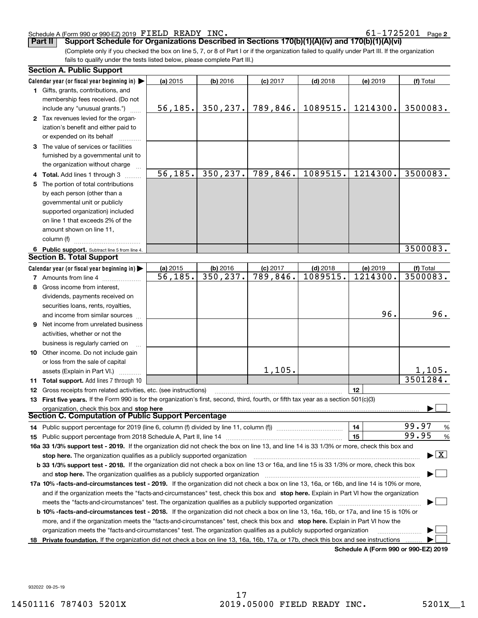#### Schedule A (Form 990 or 990-EZ) 2019 Page FIELD READY INC. 61-1725201

**2**

**Part II** | Support Schedule for Organizations Described in Sections 170(b)(1)(A)(iv) and 170(b)(1)(A)(vi)

(Complete only if you checked the box on line 5, 7, or 8 of Part I or if the organization failed to qualify under Part III. If the organization fails to qualify under the tests listed below, please complete Part III.)

| <b>Section A. Public Support</b>                                                                                                               |          |            |                        |            |                                             |                                          |
|------------------------------------------------------------------------------------------------------------------------------------------------|----------|------------|------------------------|------------|---------------------------------------------|------------------------------------------|
| Calendar year (or fiscal year beginning in) $\blacktriangleright$                                                                              | (a) 2015 | $(b)$ 2016 | $(c)$ 2017             | $(d)$ 2018 | (e) 2019                                    | (f) Total                                |
| 1 Gifts, grants, contributions, and                                                                                                            |          |            |                        |            |                                             |                                          |
| membership fees received. (Do not                                                                                                              |          |            |                        |            |                                             |                                          |
| include any "unusual grants.")                                                                                                                 | 56, 185. | 350, 237.  | 789,846.               | 1089515.   | 1214300.                                    | 3500083.                                 |
| 2 Tax revenues levied for the organ-                                                                                                           |          |            |                        |            |                                             |                                          |
| ization's benefit and either paid to                                                                                                           |          |            |                        |            |                                             |                                          |
| or expended on its behalf                                                                                                                      |          |            |                        |            |                                             |                                          |
| 3 The value of services or facilities                                                                                                          |          |            |                        |            |                                             |                                          |
| furnished by a governmental unit to                                                                                                            |          |            |                        |            |                                             |                                          |
| the organization without charge                                                                                                                |          |            |                        |            |                                             |                                          |
| 4 Total. Add lines 1 through 3                                                                                                                 | 56, 185. | 350, 237.  | $\overline{789,846}$ . | 1089515.   | 1214300.                                    | 3500083.                                 |
| 5 The portion of total contributions                                                                                                           |          |            |                        |            |                                             |                                          |
| by each person (other than a                                                                                                                   |          |            |                        |            |                                             |                                          |
| governmental unit or publicly                                                                                                                  |          |            |                        |            |                                             |                                          |
| supported organization) included                                                                                                               |          |            |                        |            |                                             |                                          |
| on line 1 that exceeds 2% of the                                                                                                               |          |            |                        |            |                                             |                                          |
| amount shown on line 11,                                                                                                                       |          |            |                        |            |                                             |                                          |
| column (f)                                                                                                                                     |          |            |                        |            |                                             |                                          |
| 6 Public support. Subtract line 5 from line 4.                                                                                                 |          |            |                        |            |                                             | 3500083.                                 |
| <b>Section B. Total Support</b>                                                                                                                |          |            |                        |            |                                             |                                          |
| Calendar year (or fiscal year beginning in)                                                                                                    | (a) 2015 | $(b)$ 2016 | $(c)$ 2017             | $(d)$ 2018 | (e) 2019                                    | (f) Total                                |
| <b>7</b> Amounts from line 4                                                                                                                   | 56, 185. | 350, 237.  | $\overline{789,846}$ . | 1089515.   | 1214300.                                    | 3500083.                                 |
| 8 Gross income from interest,                                                                                                                  |          |            |                        |            |                                             |                                          |
|                                                                                                                                                |          |            |                        |            |                                             |                                          |
| dividends, payments received on                                                                                                                |          |            |                        |            |                                             |                                          |
| securities loans, rents, royalties,                                                                                                            |          |            |                        |            | 96.                                         | 96.                                      |
| and income from similar sources                                                                                                                |          |            |                        |            |                                             |                                          |
| 9 Net income from unrelated business                                                                                                           |          |            |                        |            |                                             |                                          |
| activities, whether or not the                                                                                                                 |          |            |                        |            |                                             |                                          |
| business is regularly carried on                                                                                                               |          |            |                        |            |                                             |                                          |
| <b>10</b> Other income. Do not include gain                                                                                                    |          |            |                        |            |                                             |                                          |
| or loss from the sale of capital                                                                                                               |          |            |                        |            |                                             |                                          |
| assets (Explain in Part VI.)                                                                                                                   |          |            | 1,105.                 |            |                                             | 1,105.                                   |
| 11 Total support. Add lines 7 through 10                                                                                                       |          |            |                        |            |                                             | 3501284.                                 |
| <b>12</b> Gross receipts from related activities, etc. (see instructions)                                                                      |          |            |                        |            | 12                                          |                                          |
| 13 First five years. If the Form 990 is for the organization's first, second, third, fourth, or fifth tax year as a section 501(c)(3)          |          |            |                        |            |                                             |                                          |
| organization, check this box and stop here                                                                                                     |          |            |                        |            |                                             |                                          |
| Section C. Computation of Public Support Percentage                                                                                            |          |            |                        |            |                                             |                                          |
| 14 Public support percentage for 2019 (line 6, column (f) divided by line 11, column (f) <i>mummeronom</i>                                     |          |            |                        |            | 14                                          | 99.97<br>%                               |
|                                                                                                                                                |          |            |                        |            | 15                                          | 99.95<br>%                               |
| 16a 33 1/3% support test - 2019. If the organization did not check the box on line 13, and line 14 is 33 1/3% or more, check this box and      |          |            |                        |            |                                             |                                          |
| stop here. The organization qualifies as a publicly supported organization                                                                     |          |            |                        |            |                                             | $\blacktriangleright$ $\boxed{\text{X}}$ |
| b 33 1/3% support test - 2018. If the organization did not check a box on line 13 or 16a, and line 15 is 33 1/3% or more, check this box       |          |            |                        |            |                                             |                                          |
| and stop here. The organization qualifies as a publicly supported organization                                                                 |          |            |                        |            |                                             |                                          |
| 17a 10% -facts-and-circumstances test - 2019. If the organization did not check a box on line 13, 16a, or 16b, and line 14 is 10% or more,     |          |            |                        |            |                                             |                                          |
| and if the organization meets the "facts-and-circumstances" test, check this box and stop here. Explain in Part VI how the organization        |          |            |                        |            |                                             |                                          |
| meets the "facts-and-circumstances" test. The organization qualifies as a publicly supported organization                                      |          |            |                        |            |                                             |                                          |
| <b>b 10% -facts-and-circumstances test - 2018.</b> If the organization did not check a box on line 13, 16a, 16b, or 17a, and line 15 is 10% or |          |            |                        |            |                                             |                                          |
| more, and if the organization meets the "facts-and-circumstances" test, check this box and stop here. Explain in Part VI how the               |          |            |                        |            |                                             |                                          |
| organization meets the "facts-and-circumstances" test. The organization qualifies as a publicly supported organization                         |          |            |                        |            |                                             |                                          |
| 18 Private foundation. If the organization did not check a box on line 13, 16a, 16b, 17a, or 17b, check this box and see instructions          |          |            |                        |            |                                             |                                          |
|                                                                                                                                                |          |            |                        |            | <b>Cohodulo A (Form 000 or 000 EZ) 2010</b> |                                          |

**Schedule A (Form 990 or 990-EZ) 2019**

932022 09-25-19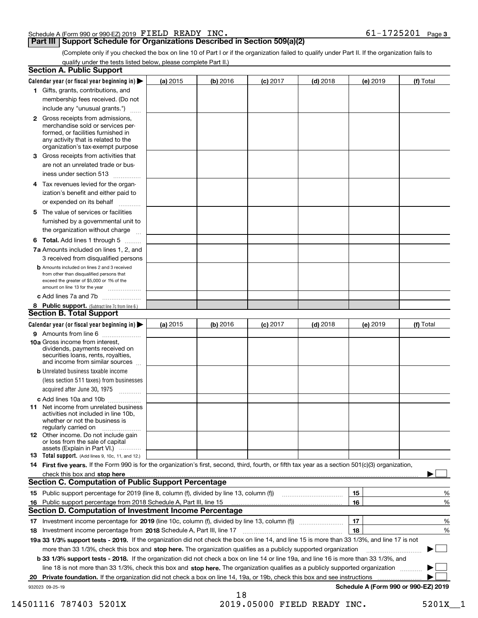#### Schedule A (Form 990 or 990-EZ) 2019 Page FIELD READY INC. 61-1725201

#### **Part III Support Schedule for Organizations Described in Section 509(a)(2)**

**3**

(Complete only if you checked the box on line 10 of Part I or if the organization failed to qualify under Part II. If the organization fails to qualify under the tests listed below, please complete Part II.)

|    | <b>Section A. Public Support</b>                                                                                                                                                                                               |            |          |                 |            |          |                                      |
|----|--------------------------------------------------------------------------------------------------------------------------------------------------------------------------------------------------------------------------------|------------|----------|-----------------|------------|----------|--------------------------------------|
|    | Calendar year (or fiscal year beginning in) $\blacktriangleright$                                                                                                                                                              | (a) 2015   | (b) 2016 | <b>(c)</b> 2017 | $(d)$ 2018 | (e) 2019 | (f) Total                            |
|    | 1 Gifts, grants, contributions, and                                                                                                                                                                                            |            |          |                 |            |          |                                      |
|    | membership fees received. (Do not                                                                                                                                                                                              |            |          |                 |            |          |                                      |
|    | include any "unusual grants.")                                                                                                                                                                                                 |            |          |                 |            |          |                                      |
|    | <b>2</b> Gross receipts from admissions,<br>merchandise sold or services per-<br>formed, or facilities furnished in<br>any activity that is related to the<br>organization's tax-exempt purpose                                |            |          |                 |            |          |                                      |
|    | 3 Gross receipts from activities that<br>are not an unrelated trade or bus-                                                                                                                                                    |            |          |                 |            |          |                                      |
|    | iness under section 513                                                                                                                                                                                                        |            |          |                 |            |          |                                      |
|    | 4 Tax revenues levied for the organ-<br>ization's benefit and either paid to<br>or expended on its behalf<br>.                                                                                                                 |            |          |                 |            |          |                                      |
|    | 5 The value of services or facilities<br>furnished by a governmental unit to                                                                                                                                                   |            |          |                 |            |          |                                      |
|    | the organization without charge                                                                                                                                                                                                |            |          |                 |            |          |                                      |
|    | <b>6 Total.</b> Add lines 1 through 5                                                                                                                                                                                          |            |          |                 |            |          |                                      |
|    | 7a Amounts included on lines 1, 2, and<br>3 received from disqualified persons                                                                                                                                                 |            |          |                 |            |          |                                      |
|    | <b>b</b> Amounts included on lines 2 and 3 received<br>from other than disqualified persons that<br>exceed the greater of \$5,000 or 1% of the<br>amount on line 13 for the year                                               |            |          |                 |            |          |                                      |
|    | c Add lines 7a and 7b                                                                                                                                                                                                          |            |          |                 |            |          |                                      |
|    | 8 Public support. (Subtract line 7c from line 6.)                                                                                                                                                                              |            |          |                 |            |          |                                      |
|    | <b>Section B. Total Support</b>                                                                                                                                                                                                |            |          |                 |            |          |                                      |
|    | Calendar year (or fiscal year beginning in)                                                                                                                                                                                    | (a) $2015$ | (b) 2016 | <b>(c)</b> 2017 | $(d)$ 2018 | (e) 2019 | (f) Total                            |
|    | 9 Amounts from line 6                                                                                                                                                                                                          |            |          |                 |            |          |                                      |
|    | 10a Gross income from interest,<br>dividends, payments received on<br>securities loans, rents, royalties,<br>and income from similar sources                                                                                   |            |          |                 |            |          |                                      |
|    | <b>b</b> Unrelated business taxable income<br>(less section 511 taxes) from businesses<br>acquired after June 30, 1975 [10001]                                                                                                 |            |          |                 |            |          |                                      |
|    | c Add lines 10a and 10b                                                                                                                                                                                                        |            |          |                 |            |          |                                      |
|    | 11 Net income from unrelated business<br>activities not included in line 10b,<br>whether or not the business is<br>regularly carried on                                                                                        |            |          |                 |            |          |                                      |
|    | <b>12</b> Other income. Do not include gain<br>or loss from the sale of capital<br>assets (Explain in Part VI.)                                                                                                                |            |          |                 |            |          |                                      |
|    | 13 Total support. (Add lines 9, 10c, 11, and 12.)                                                                                                                                                                              |            |          |                 |            |          |                                      |
|    | 14 First five years. If the Form 990 is for the organization's first, second, third, fourth, or fifth tax year as a section 501(c)(3) organization,                                                                            |            |          |                 |            |          |                                      |
|    | check this box and stop here communication and content to the state of the state of the state of the state of the state of the state of the state of the state of the state of the state of the state of the state of the stat |            |          |                 |            |          |                                      |
|    | <b>Section C. Computation of Public Support Percentage</b>                                                                                                                                                                     |            |          |                 |            |          |                                      |
|    |                                                                                                                                                                                                                                |            |          |                 |            | 15       | %                                    |
| 16 | Public support percentage from 2018 Schedule A, Part III, line 15                                                                                                                                                              |            |          |                 |            | 16       | %                                    |
|    | <b>Section D. Computation of Investment Income Percentage</b>                                                                                                                                                                  |            |          |                 |            |          |                                      |
|    | 17 Investment income percentage for 2019 (line 10c, column (f), divided by line 13, column (f))                                                                                                                                |            |          |                 |            | 17       | %                                    |
|    | 18 Investment income percentage from 2018 Schedule A, Part III, line 17                                                                                                                                                        |            |          |                 |            | 18       | %                                    |
|    | 19a 33 1/3% support tests - 2019. If the organization did not check the box on line 14, and line 15 is more than 33 1/3%, and line 17 is not                                                                                   |            |          |                 |            |          |                                      |
|    | more than 33 1/3%, check this box and stop here. The organization qualifies as a publicly supported organization                                                                                                               |            |          |                 |            |          | $\sim$ 1                             |
|    | b 33 1/3% support tests - 2018. If the organization did not check a box on line 14 or line 19a, and line 16 is more than 33 1/3%, and                                                                                          |            |          |                 |            |          |                                      |
|    | line 18 is not more than 33 1/3%, check this box and stop here. The organization qualifies as a publicly supported organization                                                                                                |            |          |                 |            |          |                                      |
| 20 | Private foundation. If the organization did not check a box on line 14, 19a, or 19b, check this box and see instructions                                                                                                       |            |          |                 |            |          |                                      |
|    | 932023 09-25-19                                                                                                                                                                                                                |            | 18       |                 |            |          | Schedule A (Form 990 or 990-EZ) 2019 |

14501116 787403 5201X 2019.05000 FIELD READY INC. 5201X\_\_1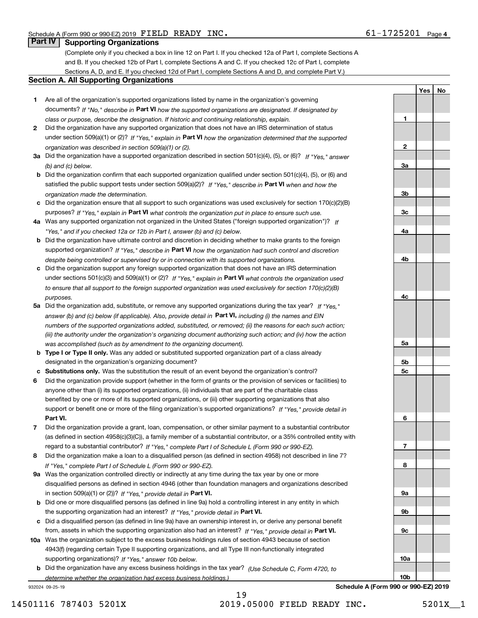**1**

**2**

**3a**

**3b**

**3c**

**4a**

**4b**

**YesNo**

### **Part IV Supporting Organizations**

(Complete only if you checked a box in line 12 on Part I. If you checked 12a of Part I, complete Sections A and B. If you checked 12b of Part I, complete Sections A and C. If you checked 12c of Part I, complete Sections A, D, and E. If you checked 12d of Part I, complete Sections A and D, and complete Part V.)

#### **Section A. All Supporting Organizations**

- **1** Are all of the organization's supported organizations listed by name in the organization's governing documents? If "No," describe in **Part VI** how the supported organizations are designated. If designated by *class or purpose, describe the designation. If historic and continuing relationship, explain.*
- **2** Did the organization have any supported organization that does not have an IRS determination of status under section 509(a)(1) or (2)? If "Yes," explain in Part VI how the organization determined that the supported *organization was described in section 509(a)(1) or (2).*
- **3a** Did the organization have a supported organization described in section 501(c)(4), (5), or (6)? If "Yes," answer *(b) and (c) below.*
- **b** Did the organization confirm that each supported organization qualified under section 501(c)(4), (5), or (6) and satisfied the public support tests under section 509(a)(2)? If "Yes," describe in **Part VI** when and how the *organization made the determination.*
- **c**Did the organization ensure that all support to such organizations was used exclusively for section 170(c)(2)(B) purposes? If "Yes," explain in **Part VI** what controls the organization put in place to ensure such use.
- **4a***If* Was any supported organization not organized in the United States ("foreign supported organization")? *"Yes," and if you checked 12a or 12b in Part I, answer (b) and (c) below.*
- **b** Did the organization have ultimate control and discretion in deciding whether to make grants to the foreign supported organization? If "Yes," describe in **Part VI** how the organization had such control and discretion *despite being controlled or supervised by or in connection with its supported organizations.*
- **c** Did the organization support any foreign supported organization that does not have an IRS determination under sections 501(c)(3) and 509(a)(1) or (2)? If "Yes," explain in **Part VI** what controls the organization used *to ensure that all support to the foreign supported organization was used exclusively for section 170(c)(2)(B) purposes.*
- **5a** Did the organization add, substitute, or remove any supported organizations during the tax year? If "Yes," answer (b) and (c) below (if applicable). Also, provide detail in **Part VI,** including (i) the names and EIN *numbers of the supported organizations added, substituted, or removed; (ii) the reasons for each such action; (iii) the authority under the organization's organizing document authorizing such action; and (iv) how the action was accomplished (such as by amendment to the organizing document).*
- **b** Type I or Type II only. Was any added or substituted supported organization part of a class already designated in the organization's organizing document?
- **cSubstitutions only.**  Was the substitution the result of an event beyond the organization's control?
- **6** Did the organization provide support (whether in the form of grants or the provision of services or facilities) to **Part VI.** *If "Yes," provide detail in* support or benefit one or more of the filing organization's supported organizations? anyone other than (i) its supported organizations, (ii) individuals that are part of the charitable class benefited by one or more of its supported organizations, or (iii) other supporting organizations that also
- **7**Did the organization provide a grant, loan, compensation, or other similar payment to a substantial contributor *If "Yes," complete Part I of Schedule L (Form 990 or 990-EZ).* regard to a substantial contributor? (as defined in section 4958(c)(3)(C)), a family member of a substantial contributor, or a 35% controlled entity with
- **8** Did the organization make a loan to a disqualified person (as defined in section 4958) not described in line 7? *If "Yes," complete Part I of Schedule L (Form 990 or 990-EZ).*
- **9a** Was the organization controlled directly or indirectly at any time during the tax year by one or more in section 509(a)(1) or (2))? If "Yes," *provide detail in* <code>Part VI.</code> disqualified persons as defined in section 4946 (other than foundation managers and organizations described
- **b** Did one or more disqualified persons (as defined in line 9a) hold a controlling interest in any entity in which the supporting organization had an interest? If "Yes," provide detail in P**art VI**.
- **c**Did a disqualified person (as defined in line 9a) have an ownership interest in, or derive any personal benefit from, assets in which the supporting organization also had an interest? If "Yes," provide detail in P**art VI.**
- **10a** Was the organization subject to the excess business holdings rules of section 4943 because of section supporting organizations)? If "Yes," answer 10b below. 4943(f) (regarding certain Type II supporting organizations, and all Type III non-functionally integrated
- **b** Did the organization have any excess business holdings in the tax year? (Use Schedule C, Form 4720, to *determine whether the organization had excess business holdings.)*

932024 09-25-19



19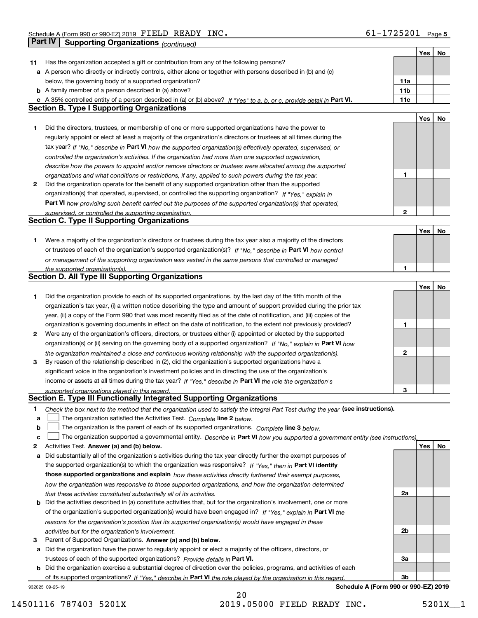|    |                                                                                                                                   |              | Yes | No |
|----|-----------------------------------------------------------------------------------------------------------------------------------|--------------|-----|----|
| 11 | Has the organization accepted a gift or contribution from any of the following persons?                                           |              |     |    |
|    | a A person who directly or indirectly controls, either alone or together with persons described in (b) and (c)                    |              |     |    |
|    | below, the governing body of a supported organization?                                                                            | 11a          |     |    |
|    | <b>b</b> A family member of a person described in (a) above?                                                                      | 11b          |     |    |
|    | c A 35% controlled entity of a person described in (a) or (b) above? If "Yes" to a, b, or c, provide detail in Part VI.           | 11c          |     |    |
|    | <b>Section B. Type I Supporting Organizations</b>                                                                                 |              |     |    |
|    |                                                                                                                                   |              | Yes | No |
| 1  | Did the directors, trustees, or membership of one or more supported organizations have the power to                               |              |     |    |
|    | regularly appoint or elect at least a majority of the organization's directors or trustees at all times during the                |              |     |    |
|    | tax year? If "No," describe in Part VI how the supported organization(s) effectively operated, supervised, or                     |              |     |    |
|    | controlled the organization's activities. If the organization had more than one supported organization,                           |              |     |    |
|    | describe how the powers to appoint and/or remove directors or trustees were allocated among the supported                         |              |     |    |
|    | organizations and what conditions or restrictions, if any, applied to such powers during the tax year.                            | 1            |     |    |
| 2  | Did the organization operate for the benefit of any supported organization other than the supported                               |              |     |    |
|    | organization(s) that operated, supervised, or controlled the supporting organization? If "Yes," explain in                        |              |     |    |
|    | <b>Part VI</b> how providing such benefit carried out the purposes of the supported organization(s) that operated,                |              |     |    |
|    | supervised, or controlled the supporting organization.                                                                            | $\mathbf{2}$ |     |    |
|    | <b>Section C. Type II Supporting Organizations</b>                                                                                |              |     |    |
|    |                                                                                                                                   |              | Yes | No |
| 1  | Were a majority of the organization's directors or trustees during the tax year also a majority of the directors                  |              |     |    |
|    | or trustees of each of the organization's supported organization(s)? If "No," describe in Part VI how control                     |              |     |    |
|    | or management of the supporting organization was vested in the same persons that controlled or managed                            |              |     |    |
|    | the supported organization(s).                                                                                                    | 1            |     |    |
|    | <b>Section D. All Type III Supporting Organizations</b>                                                                           |              |     |    |
|    |                                                                                                                                   |              | Yes | No |
| 1  | Did the organization provide to each of its supported organizations, by the last day of the fifth month of the                    |              |     |    |
|    | organization's tax year, (i) a written notice describing the type and amount of support provided during the prior tax             |              |     |    |
|    | year, (ii) a copy of the Form 990 that was most recently filed as of the date of notification, and (iii) copies of the            |              |     |    |
|    | organization's governing documents in effect on the date of notification, to the extent not previously provided?                  | 1            |     |    |
| 2  | Were any of the organization's officers, directors, or trustees either (i) appointed or elected by the supported                  |              |     |    |
|    | organization(s) or (ii) serving on the governing body of a supported organization? If "No," explain in Part VI how                |              |     |    |
|    | the organization maintained a close and continuous working relationship with the supported organization(s).                       | $\mathbf{2}$ |     |    |
| 3  | By reason of the relationship described in (2), did the organization's supported organizations have a                             |              |     |    |
|    | significant voice in the organization's investment policies and in directing the use of the organization's                        |              |     |    |
|    | income or assets at all times during the tax year? If "Yes," describe in Part VI the role the organization's                      |              |     |    |
|    | supported organizations played in this regard.                                                                                    | 3            |     |    |
|    | Section E. Type III Functionally Integrated Supporting Organizations                                                              |              |     |    |
| 1  | Check the box next to the method that the organization used to satisfy the Integral Part Test during the year (see instructions). |              |     |    |
| a  | The organization satisfied the Activities Test. Complete line 2 below.                                                            |              |     |    |
| b  | The organization is the parent of each of its supported organizations. Complete line 3 below.                                     |              |     |    |
| C  | The organization supported a governmental entity. Describe in Part VI how you supported a government entity (see instructions),   |              |     |    |
| 2  | Activities Test. Answer (a) and (b) below.                                                                                        |              | Yes | No |
| а  | Did substantially all of the organization's activities during the tax year directly further the exempt purposes of                |              |     |    |
|    | the supported organization(s) to which the organization was responsive? If "Yes," then in Part VI identify                        |              |     |    |
|    | those supported organizations and explain how these activities directly furthered their exempt purposes,                          |              |     |    |
|    | how the organization was responsive to those supported organizations, and how the organization determined                         |              |     |    |
|    | that these activities constituted substantially all of its activities.                                                            | 2a           |     |    |
|    | <b>b</b> Did the activities described in (a) constitute activities that, but for the organization's involvement, one or more      |              |     |    |
|    | of the organization's supported organization(s) would have been engaged in? If "Yes," explain in Part VI the                      |              |     |    |
|    | reasons for the organization's position that its supported organization(s) would have engaged in these                            |              |     |    |
|    | activities but for the organization's involvement.                                                                                | 2b           |     |    |
| з  | Parent of Supported Organizations. Answer (a) and (b) below.                                                                      |              |     |    |
| a  | Did the organization have the power to regularly appoint or elect a majority of the officers, directors, or                       |              |     |    |
|    | trustees of each of the supported organizations? Provide details in Part VI.                                                      | За           |     |    |
|    | <b>b</b> Did the organization exercise a substantial degree of direction over the policies, programs, and activities of each      |              |     |    |
|    | of its supported organizations? If "Yes," describe in Part VI the role played by the organization in this regard                  | Зb           |     |    |
|    | Schedule A (Form 990 or 990-EZ) 2019<br>932025 09-25-19                                                                           |              |     |    |

14501116 787403 5201X 2019.05000 FIELD READY INC. 5201X\_1

20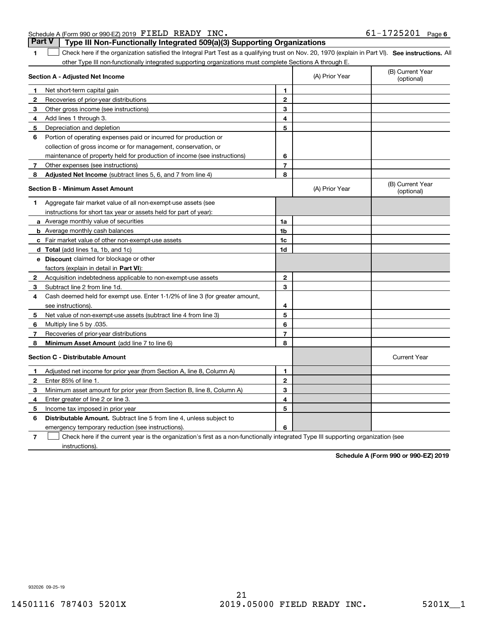932026 09-25-19

**1**

#### 1 Check here if the organization satisfied the Integral Part Test as a qualifying trust on Nov. 20, 1970 (explain in Part VI). See instructions. All other Type III non-functionally integrated supporting organizations must complete Sections A through E.

**Part V Type III Non-Functionally Integrated 509(a)(3) Supporting Organizations** 

| Section A - Adjusted Net Income         |                                                                                                                                   |                | (A) Prior Year | (B) Current Year<br>(optional) |
|-----------------------------------------|-----------------------------------------------------------------------------------------------------------------------------------|----------------|----------------|--------------------------------|
| 1                                       | Net short-term capital gain                                                                                                       | 1              |                |                                |
| $\mathbf{2}$                            | Recoveries of prior-year distributions                                                                                            | $\overline{2}$ |                |                                |
| 3                                       | Other gross income (see instructions)                                                                                             | 3              |                |                                |
| 4                                       | Add lines 1 through 3.                                                                                                            | 4              |                |                                |
| 5                                       | Depreciation and depletion                                                                                                        | 5              |                |                                |
| 6                                       | Portion of operating expenses paid or incurred for production or                                                                  |                |                |                                |
|                                         | collection of gross income or for management, conservation, or                                                                    |                |                |                                |
|                                         | maintenance of property held for production of income (see instructions)                                                          | 6              |                |                                |
| 7                                       | Other expenses (see instructions)                                                                                                 | $\overline{7}$ |                |                                |
| 8                                       | <b>Adjusted Net Income</b> (subtract lines 5, 6, and 7 from line 4)                                                               | 8              |                |                                |
|                                         | <b>Section B - Minimum Asset Amount</b>                                                                                           |                | (A) Prior Year | (B) Current Year<br>(optional) |
| 1                                       | Aggregate fair market value of all non-exempt-use assets (see                                                                     |                |                |                                |
|                                         | instructions for short tax year or assets held for part of year):                                                                 |                |                |                                |
|                                         | <b>a</b> Average monthly value of securities                                                                                      | 1a             |                |                                |
|                                         | <b>b</b> Average monthly cash balances                                                                                            | 1 <sub>b</sub> |                |                                |
|                                         | c Fair market value of other non-exempt-use assets                                                                                | 1c             |                |                                |
|                                         | d Total (add lines 1a, 1b, and 1c)                                                                                                | 1d             |                |                                |
|                                         | e Discount claimed for blockage or other                                                                                          |                |                |                                |
|                                         | factors (explain in detail in Part VI):                                                                                           |                |                |                                |
| $\mathbf{2}$                            | Acquisition indebtedness applicable to non-exempt-use assets                                                                      | $\mathbf{2}$   |                |                                |
| 3                                       | Subtract line 2 from line 1d.                                                                                                     | 3              |                |                                |
| 4                                       | Cash deemed held for exempt use. Enter 1-1/2% of line 3 (for greater amount,                                                      |                |                |                                |
|                                         | see instructions).                                                                                                                | 4              |                |                                |
| 5                                       | Net value of non-exempt-use assets (subtract line 4 from line 3)                                                                  | 5              |                |                                |
| 6                                       | Multiply line 5 by .035.                                                                                                          | 6              |                |                                |
| 7                                       | Recoveries of prior-year distributions                                                                                            | $\overline{7}$ |                |                                |
| 8                                       | Minimum Asset Amount (add line 7 to line 6)                                                                                       | 8              |                |                                |
| <b>Section C - Distributable Amount</b> |                                                                                                                                   |                |                | <b>Current Year</b>            |
| 1                                       | Adjusted net income for prior year (from Section A, line 8, Column A)                                                             | 1              |                |                                |
| 2                                       | Enter 85% of line 1.                                                                                                              | $\overline{2}$ |                |                                |
| 3                                       | Minimum asset amount for prior year (from Section B, line 8, Column A)                                                            | 3              |                |                                |
| 4                                       | Enter greater of line 2 or line 3.                                                                                                | 4              |                |                                |
| 5                                       | Income tax imposed in prior year                                                                                                  | 5              |                |                                |
| 6                                       | <b>Distributable Amount.</b> Subtract line 5 from line 4, unless subject to                                                       |                |                |                                |
|                                         | emergency temporary reduction (see instructions).                                                                                 | 6              |                |                                |
| 7                                       | Check here if the current year is the organization's first as a non-functionally integrated Type III supporting organization (see |                |                |                                |

Check here if the current year is the organization's first as a non-functionally integrated Type III supporting organization (see instructions).

**Schedule A (Form 990 or 990-EZ) 2019**

Τ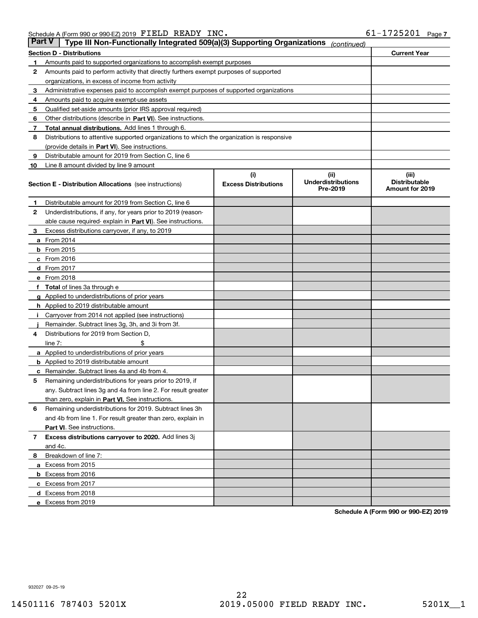| Part V | Type III Non-Functionally Integrated 509(a)(3) Supporting Organizations                    |                             | (continued)                           |                                         |  |
|--------|--------------------------------------------------------------------------------------------|-----------------------------|---------------------------------------|-----------------------------------------|--|
|        | Section D - Distributions                                                                  |                             |                                       | <b>Current Year</b>                     |  |
| 1      | Amounts paid to supported organizations to accomplish exempt purposes                      |                             |                                       |                                         |  |
| 2      | Amounts paid to perform activity that directly furthers exempt purposes of supported       |                             |                                       |                                         |  |
|        | organizations, in excess of income from activity                                           |                             |                                       |                                         |  |
| 3      | Administrative expenses paid to accomplish exempt purposes of supported organizations      |                             |                                       |                                         |  |
| 4      | Amounts paid to acquire exempt-use assets                                                  |                             |                                       |                                         |  |
| 5      | Qualified set-aside amounts (prior IRS approval required)                                  |                             |                                       |                                         |  |
| 6      | Other distributions (describe in Part VI). See instructions.                               |                             |                                       |                                         |  |
| 7      | <b>Total annual distributions.</b> Add lines 1 through 6.                                  |                             |                                       |                                         |  |
| 8      | Distributions to attentive supported organizations to which the organization is responsive |                             |                                       |                                         |  |
|        | (provide details in Part VI). See instructions.                                            |                             |                                       |                                         |  |
| 9      | Distributable amount for 2019 from Section C, line 6                                       |                             |                                       |                                         |  |
| 10     | Line 8 amount divided by line 9 amount                                                     |                             |                                       |                                         |  |
|        |                                                                                            | (i)                         | (iii)                                 | (iii)                                   |  |
|        | <b>Section E - Distribution Allocations</b> (see instructions)                             | <b>Excess Distributions</b> | <b>Underdistributions</b><br>Pre-2019 | <b>Distributable</b><br>Amount for 2019 |  |
| 1      | Distributable amount for 2019 from Section C, line 6                                       |                             |                                       |                                         |  |
| 2      | Underdistributions, if any, for years prior to 2019 (reason-                               |                             |                                       |                                         |  |
|        | able cause required- explain in <b>Part VI</b> ). See instructions.                        |                             |                                       |                                         |  |
| З      | Excess distributions carryover, if any, to 2019                                            |                             |                                       |                                         |  |
|        | <b>a</b> From 2014                                                                         |                             |                                       |                                         |  |
|        | <b>b</b> From $2015$                                                                       |                             |                                       |                                         |  |
|        | c From 2016                                                                                |                             |                                       |                                         |  |
|        | <b>d</b> From 2017                                                                         |                             |                                       |                                         |  |
|        | e From 2018                                                                                |                             |                                       |                                         |  |
|        | <b>Total</b> of lines 3a through e                                                         |                             |                                       |                                         |  |
|        | <b>g</b> Applied to underdistributions of prior years                                      |                             |                                       |                                         |  |
|        | <b>h</b> Applied to 2019 distributable amount                                              |                             |                                       |                                         |  |
|        | Carryover from 2014 not applied (see instructions)                                         |                             |                                       |                                         |  |
|        | Remainder. Subtract lines 3g, 3h, and 3i from 3f.                                          |                             |                                       |                                         |  |
| 4      | Distributions for 2019 from Section D,                                                     |                             |                                       |                                         |  |
|        | line $7:$                                                                                  |                             |                                       |                                         |  |
|        | <b>a</b> Applied to underdistributions of prior years                                      |                             |                                       |                                         |  |
|        | <b>b</b> Applied to 2019 distributable amount                                              |                             |                                       |                                         |  |
| c      | Remainder. Subtract lines 4a and 4b from 4.                                                |                             |                                       |                                         |  |
| 5      | Remaining underdistributions for years prior to 2019, if                                   |                             |                                       |                                         |  |
|        | any. Subtract lines 3g and 4a from line 2. For result greater                              |                             |                                       |                                         |  |
|        | than zero, explain in Part VI. See instructions.                                           |                             |                                       |                                         |  |
| 6      | Remaining underdistributions for 2019. Subtract lines 3h                                   |                             |                                       |                                         |  |
|        | and 4b from line 1. For result greater than zero, explain in                               |                             |                                       |                                         |  |
|        | <b>Part VI.</b> See instructions.                                                          |                             |                                       |                                         |  |
| 7      | Excess distributions carryover to 2020. Add lines 3j                                       |                             |                                       |                                         |  |
|        | and 4c.                                                                                    |                             |                                       |                                         |  |
| 8      | Breakdown of line 7:                                                                       |                             |                                       |                                         |  |
|        | a Excess from 2015                                                                         |                             |                                       |                                         |  |
|        | <b>b</b> Excess from 2016                                                                  |                             |                                       |                                         |  |
|        | c Excess from 2017                                                                         |                             |                                       |                                         |  |
|        | d Excess from 2018                                                                         |                             |                                       |                                         |  |
|        | e Excess from 2019                                                                         |                             |                                       |                                         |  |

**Schedule A (Form 990 or 990-EZ) 2019**

932027 09-25-19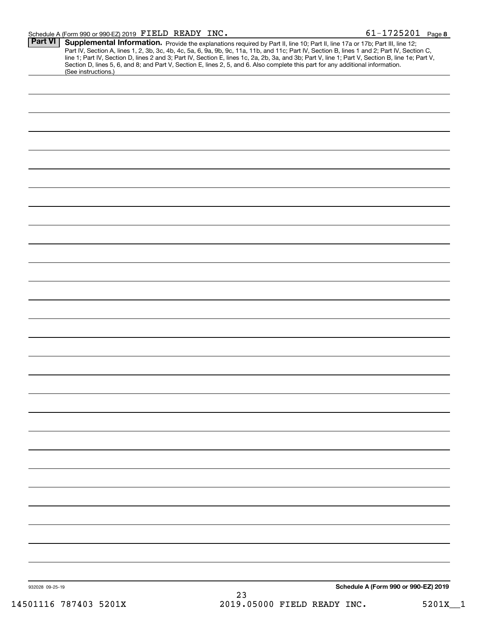#### Schedule A (Form 990 or 990-EZ) 2019 Page FIELD READY INC. 61-1725201

| <b>Part VI</b>  | Supplemental Information. Provide the explanations required by Part II, line 10; Part II, line 17a or 17b; Part III, line 12;<br>Part IV, Section A, lines 1, 2, 3b, 3c, 4b, 4c, 5a, 6, 9a, 9b, 9c, 11a, 11b, and 11c; Part IV, Section B, lines 1 and 2; Part IV, Section C,<br>line 1; Part IV, Section D, lines 2 and 3; Part IV, Section E, lines 1c, 2a, 2b, 3a, and 3b; Part V, line 1; Part V, Section B, line 1e; Part V,<br>Section D, lines 5, 6, and 8; and Part V, Section E, lines 2, 5, and 6. Also complete this part for any additional information.<br>(See instructions.) |
|-----------------|---------------------------------------------------------------------------------------------------------------------------------------------------------------------------------------------------------------------------------------------------------------------------------------------------------------------------------------------------------------------------------------------------------------------------------------------------------------------------------------------------------------------------------------------------------------------------------------------|
|                 |                                                                                                                                                                                                                                                                                                                                                                                                                                                                                                                                                                                             |
|                 |                                                                                                                                                                                                                                                                                                                                                                                                                                                                                                                                                                                             |
|                 |                                                                                                                                                                                                                                                                                                                                                                                                                                                                                                                                                                                             |
|                 |                                                                                                                                                                                                                                                                                                                                                                                                                                                                                                                                                                                             |
|                 |                                                                                                                                                                                                                                                                                                                                                                                                                                                                                                                                                                                             |
|                 |                                                                                                                                                                                                                                                                                                                                                                                                                                                                                                                                                                                             |
|                 |                                                                                                                                                                                                                                                                                                                                                                                                                                                                                                                                                                                             |
|                 |                                                                                                                                                                                                                                                                                                                                                                                                                                                                                                                                                                                             |
|                 |                                                                                                                                                                                                                                                                                                                                                                                                                                                                                                                                                                                             |
|                 |                                                                                                                                                                                                                                                                                                                                                                                                                                                                                                                                                                                             |
|                 |                                                                                                                                                                                                                                                                                                                                                                                                                                                                                                                                                                                             |
|                 |                                                                                                                                                                                                                                                                                                                                                                                                                                                                                                                                                                                             |
|                 |                                                                                                                                                                                                                                                                                                                                                                                                                                                                                                                                                                                             |
|                 |                                                                                                                                                                                                                                                                                                                                                                                                                                                                                                                                                                                             |
|                 |                                                                                                                                                                                                                                                                                                                                                                                                                                                                                                                                                                                             |
|                 |                                                                                                                                                                                                                                                                                                                                                                                                                                                                                                                                                                                             |
|                 |                                                                                                                                                                                                                                                                                                                                                                                                                                                                                                                                                                                             |
|                 |                                                                                                                                                                                                                                                                                                                                                                                                                                                                                                                                                                                             |
|                 |                                                                                                                                                                                                                                                                                                                                                                                                                                                                                                                                                                                             |
|                 |                                                                                                                                                                                                                                                                                                                                                                                                                                                                                                                                                                                             |
|                 |                                                                                                                                                                                                                                                                                                                                                                                                                                                                                                                                                                                             |
|                 |                                                                                                                                                                                                                                                                                                                                                                                                                                                                                                                                                                                             |
|                 |                                                                                                                                                                                                                                                                                                                                                                                                                                                                                                                                                                                             |
|                 |                                                                                                                                                                                                                                                                                                                                                                                                                                                                                                                                                                                             |
|                 |                                                                                                                                                                                                                                                                                                                                                                                                                                                                                                                                                                                             |
|                 |                                                                                                                                                                                                                                                                                                                                                                                                                                                                                                                                                                                             |
|                 |                                                                                                                                                                                                                                                                                                                                                                                                                                                                                                                                                                                             |
|                 |                                                                                                                                                                                                                                                                                                                                                                                                                                                                                                                                                                                             |
|                 |                                                                                                                                                                                                                                                                                                                                                                                                                                                                                                                                                                                             |
|                 |                                                                                                                                                                                                                                                                                                                                                                                                                                                                                                                                                                                             |
|                 |                                                                                                                                                                                                                                                                                                                                                                                                                                                                                                                                                                                             |
| 932028 09-25-19 | Schedule A (Form 990 or 990-EZ) 2019<br>23                                                                                                                                                                                                                                                                                                                                                                                                                                                                                                                                                  |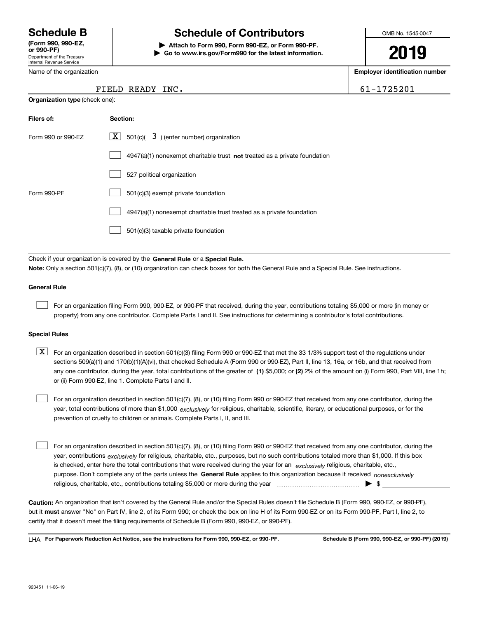Department of the Treasury Internal Revenue Service **(Form 990, 990-EZ, or 990-PF)**

Name of the organization

**Organization type** (check one):

## **Schedule B Schedule of Contributors**

**| Attach to Form 990, Form 990-EZ, or Form 990-PF. | Go to www.irs.gov/Form990 for the latest information.** OMB No. 1545-0047

**2019**

**Employer identification number**

61-1725201

| FIELD READY INC. |  |
|------------------|--|
|                  |  |

| Filers of:         | Section:                                                                    |
|--------------------|-----------------------------------------------------------------------------|
| Form 990 or 990-EZ | $\lfloor x \rfloor$ 501(c)( 3) (enter number) organization                  |
|                    | $4947(a)(1)$ nonexempt charitable trust not treated as a private foundation |
|                    | 527 political organization                                                  |
| Form 990-PF        | 501(c)(3) exempt private foundation                                         |
|                    | 4947(a)(1) nonexempt charitable trust treated as a private foundation       |
|                    | 501(c)(3) taxable private foundation                                        |

Check if your organization is covered by the **General Rule** or a **Special Rule. Note:**  Only a section 501(c)(7), (8), or (10) organization can check boxes for both the General Rule and a Special Rule. See instructions.

#### **General Rule**

 $\mathcal{L}^{\text{max}}$ 

For an organization filing Form 990, 990-EZ, or 990-PF that received, during the year, contributions totaling \$5,000 or more (in money or property) from any one contributor. Complete Parts I and II. See instructions for determining a contributor's total contributions.

#### **Special Rules**

any one contributor, during the year, total contributions of the greater of  $\,$  (1) \$5,000; or **(2)** 2% of the amount on (i) Form 990, Part VIII, line 1h;  $\boxed{\textbf{X}}$  For an organization described in section 501(c)(3) filing Form 990 or 990-EZ that met the 33 1/3% support test of the regulations under sections 509(a)(1) and 170(b)(1)(A)(vi), that checked Schedule A (Form 990 or 990-EZ), Part II, line 13, 16a, or 16b, and that received from or (ii) Form 990-EZ, line 1. Complete Parts I and II.

year, total contributions of more than \$1,000 *exclusively* for religious, charitable, scientific, literary, or educational purposes, or for the For an organization described in section 501(c)(7), (8), or (10) filing Form 990 or 990-EZ that received from any one contributor, during the prevention of cruelty to children or animals. Complete Parts I, II, and III.  $\mathcal{L}^{\text{max}}$ 

purpose. Don't complete any of the parts unless the **General Rule** applies to this organization because it received *nonexclusively* year, contributions <sub>exclusively</sub> for religious, charitable, etc., purposes, but no such contributions totaled more than \$1,000. If this box is checked, enter here the total contributions that were received during the year for an  $\;$ exclusively religious, charitable, etc., For an organization described in section 501(c)(7), (8), or (10) filing Form 990 or 990-EZ that received from any one contributor, during the religious, charitable, etc., contributions totaling \$5,000 or more during the year  $\Box$ — $\Box$   $\Box$  $\mathcal{L}^{\text{max}}$ 

**Caution:**  An organization that isn't covered by the General Rule and/or the Special Rules doesn't file Schedule B (Form 990, 990-EZ, or 990-PF),  **must** but it answer "No" on Part IV, line 2, of its Form 990; or check the box on line H of its Form 990-EZ or on its Form 990-PF, Part I, line 2, to certify that it doesn't meet the filing requirements of Schedule B (Form 990, 990-EZ, or 990-PF).

**For Paperwork Reduction Act Notice, see the instructions for Form 990, 990-EZ, or 990-PF. Schedule B (Form 990, 990-EZ, or 990-PF) (2019)** LHA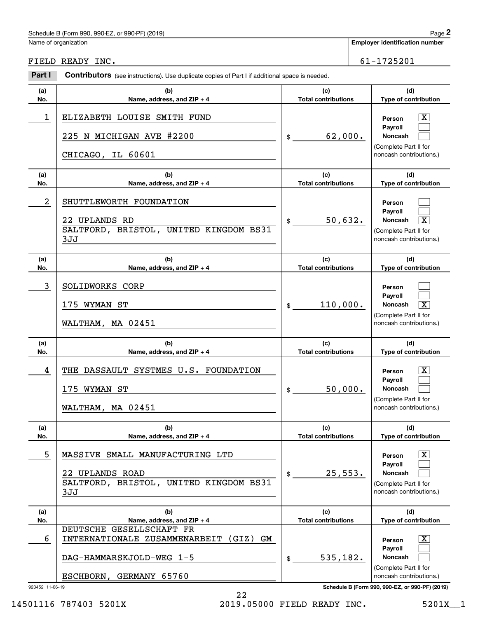### Schedule B (Form 990, 990-EZ, or 990-PF) (2019) Page 2

|                  | Schedule B (Form 990, 990-EZ, or 990-PF) (2019)                                                       |                                   |                             | Page 2                                                                                                      |
|------------------|-------------------------------------------------------------------------------------------------------|-----------------------------------|-----------------------------|-------------------------------------------------------------------------------------------------------------|
|                  | Name of organization                                                                                  |                                   |                             | <b>Employer identification number</b>                                                                       |
| FIELD READY INC. |                                                                                                       | 61-1725201                        |                             |                                                                                                             |
| Part I           | <b>Contributors</b> (see instructions). Use duplicate copies of Part I if additional space is needed. |                                   |                             |                                                                                                             |
| (a)<br>No.       | (c)<br>(b)<br><b>Total contributions</b><br>Name, address, and ZIP + 4                                |                                   | (d)<br>Type of contribution |                                                                                                             |
| 1                | ELIZABETH LOUISE SMITH FUND<br>225 N MICHIGAN AVE #2200<br>CHICAGO, IL 60601                          | 62,000.<br>\$                     |                             | X<br>Person<br>Payroll<br>Noncash<br>(Complete Part II for<br>noncash contributions.)                       |
| (a)<br>No.       | (b)<br>Name, address, and ZIP + 4                                                                     | (c)<br><b>Total contributions</b> |                             | (d)<br>Type of contribution                                                                                 |
| 2                | SHUTTLEWORTH FOUNDATION<br>22 UPLANDS RD<br>SALTFORD, BRISTOL, UNITED KINGDOM BS31<br>3JJ             | 50,632.<br>\$                     |                             | Person<br>Payroll<br>Noncash<br>$\overline{\mathbf{x}}$<br>(Complete Part II for<br>noncash contributions.) |
| (a)<br>No.       | (c)<br>(b)<br><b>Total contributions</b><br>Name, address, and ZIP + 4                                |                                   |                             | (d)<br>Type of contribution                                                                                 |
| 3                | SOLIDWORKS CORP<br>175 WYMAN ST<br>WALTHAM, MA 02451                                                  | 110,000.<br>\$                    |                             | Person<br>Payroll<br>Noncash<br>$\overline{\mathbf{x}}$<br>(Complete Part II for<br>noncash contributions.) |
| (a)<br>No.       | (b)<br>Name, address, and ZIP + 4                                                                     | (c)<br><b>Total contributions</b> |                             | (d)<br>Type of contribution                                                                                 |
| 4                | THE DASSAULT SYSTMES U.S. FOUNDATION<br>175 WYMAN ST<br>WALTHAM, MA 02451                             | 50,000.<br>\$                     |                             | $\mathbf{X}$<br>Person<br>Payroll<br>Noncash<br>(Complete Part II for<br>noncash contributions.)            |
| (a)<br>No.       | (b)<br>Name, address, and ZIP + 4                                                                     | (c)<br><b>Total contributions</b> |                             | (d)<br>Type of contribution                                                                                 |
| 5                | MASSIVE SMALL MANUFACTURING LTD<br>22 UPLANDS ROAD<br>SALTFORD, BRISTOL, UNITED KINGDOM BS31<br>3JJ   | 25,553.<br>\$                     |                             | $\mathbf{X}$<br>Person<br>Payroll<br>Noncash<br>(Complete Part II for<br>noncash contributions.)            |
| (a)<br>No.       | (b)<br>Name, address, and ZIP + 4                                                                     | (c)<br><b>Total contributions</b> |                             | (d)<br>Type of contribution                                                                                 |
| 6                | DEUTSCHE GESELLSCHAFT FR<br>INTERNATIONALE ZUSAMMENARBEIT (GIZ)<br>GМ                                 |                                   |                             | $\mathbf{X}$<br>Person<br>Payroll                                                                           |
|                  | DAG-HAMMARSKJOLD-WEG 1-5                                                                              | 535,182.<br>\$                    |                             | Noncash<br>(Complete Part II for                                                                            |
| 923452 11-06-19  | ESCHBORN, GERMANY 65760                                                                               |                                   |                             | noncash contributions.)<br>Schedule B (Form 990, 990-EZ, or 990-PF) (2019)                                  |

22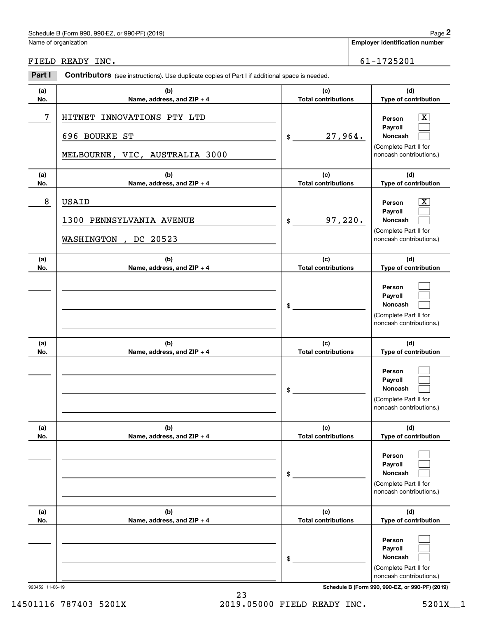## Schedule B (Form 990, 990-EZ, or 990-PF) (2019) Page 2

| Name of organization<br>FIELD READY INC.<br>Part I<br>Contributors (see instructions). Use duplicate copies of Part I if additional space is needed.<br>(a)<br>(b)<br>No.<br>Name, address, and ZIP + 4<br>7<br>INNOVATIONS PTY LTD<br><b>HITNET</b><br>696 BOURKE ST<br>\$<br>MELBOURNE, VIC, AUSTRALIA 3000<br>(b)<br>(a)<br>No.<br>Name, address, and ZIP + 4<br>8<br><b>USAID</b><br>1300 PENNSYLVANIA AVENUE<br>\$<br>WASHINGTON<br>DC 20523<br>$\overline{ }$<br>(b)<br>(a)<br>No.<br>Name, address, and ZIP + 4 | (c)<br><b>Total contributions</b> | <b>Employer identification number</b><br>61-1725201<br>(d)                                                         |
|------------------------------------------------------------------------------------------------------------------------------------------------------------------------------------------------------------------------------------------------------------------------------------------------------------------------------------------------------------------------------------------------------------------------------------------------------------------------------------------------------------------------|-----------------------------------|--------------------------------------------------------------------------------------------------------------------|
|                                                                                                                                                                                                                                                                                                                                                                                                                                                                                                                        |                                   |                                                                                                                    |
|                                                                                                                                                                                                                                                                                                                                                                                                                                                                                                                        |                                   |                                                                                                                    |
|                                                                                                                                                                                                                                                                                                                                                                                                                                                                                                                        |                                   |                                                                                                                    |
|                                                                                                                                                                                                                                                                                                                                                                                                                                                                                                                        |                                   | Type of contribution                                                                                               |
|                                                                                                                                                                                                                                                                                                                                                                                                                                                                                                                        | 27,964.                           | $\overline{\mathbf{X}}$<br>Person<br>Payroll<br><b>Noncash</b><br>(Complete Part II for<br>noncash contributions.) |
|                                                                                                                                                                                                                                                                                                                                                                                                                                                                                                                        | (c)<br><b>Total contributions</b> | (d)<br>Type of contribution                                                                                        |
|                                                                                                                                                                                                                                                                                                                                                                                                                                                                                                                        | 97,220.                           | $\mathbf{X}$<br>Person<br>Payroll<br><b>Noncash</b><br>(Complete Part II for<br>noncash contributions.)            |
|                                                                                                                                                                                                                                                                                                                                                                                                                                                                                                                        | (c)<br><b>Total contributions</b> | (d)<br>Type of contribution                                                                                        |
| \$                                                                                                                                                                                                                                                                                                                                                                                                                                                                                                                     |                                   | Person<br>Payroll<br>Noncash<br>(Complete Part II for<br>noncash contributions.)                                   |
| (b)<br>(a)<br>No.<br>Name, address, and ZIP + 4                                                                                                                                                                                                                                                                                                                                                                                                                                                                        | (c)<br><b>Total contributions</b> | (d)<br>Type of contribution                                                                                        |
| \$                                                                                                                                                                                                                                                                                                                                                                                                                                                                                                                     |                                   | Person<br>Payroll<br><b>Noncash</b><br>(Complete Part II for<br>noncash contributions.)                            |
| (b)<br>(a)<br>No.<br>Name, address, and ZIP + 4                                                                                                                                                                                                                                                                                                                                                                                                                                                                        | (c)<br><b>Total contributions</b> | (d)<br>Type of contribution                                                                                        |
| \$                                                                                                                                                                                                                                                                                                                                                                                                                                                                                                                     |                                   | Person<br>Payroll<br>Noncash<br>(Complete Part II for<br>noncash contributions.)                                   |
| (b)<br>(a)<br>No.<br>Name, address, and ZIP + 4                                                                                                                                                                                                                                                                                                                                                                                                                                                                        | (c)<br><b>Total contributions</b> | (d)<br>Type of contribution                                                                                        |
| \$<br>923452 11-06-19                                                                                                                                                                                                                                                                                                                                                                                                                                                                                                  |                                   | Person                                                                                                             |

23 14501116 787403 5201X 2019.05000 FIELD READY INC. 5201X\_\_1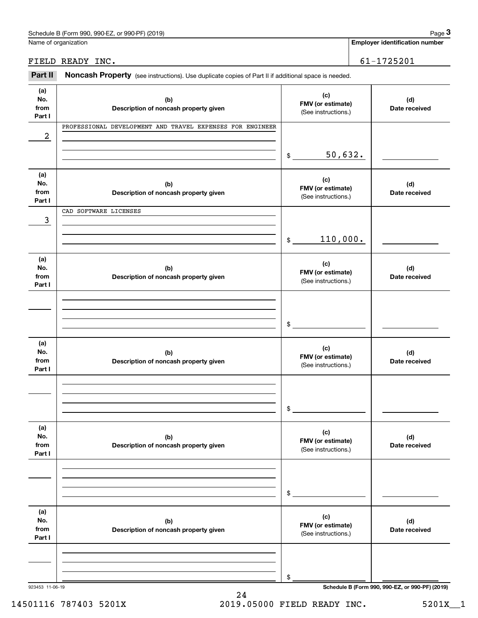|                              | Schedule B (Form 990, 990-EZ, or 990-PF) (2019)                                                     |                                                 |  | Page 3                                          |
|------------------------------|-----------------------------------------------------------------------------------------------------|-------------------------------------------------|--|-------------------------------------------------|
|                              | Name of organization                                                                                |                                                 |  | <b>Employer identification number</b>           |
|                              | FIELD READY INC.                                                                                    |                                                 |  | 61-1725201                                      |
| Part II                      | Noncash Property (see instructions). Use duplicate copies of Part II if additional space is needed. |                                                 |  |                                                 |
| (a)<br>No.<br>from<br>Part I | (b)<br>Description of noncash property given                                                        | (c)<br>FMV (or estimate)<br>(See instructions.) |  | (d)<br>Date received                            |
| 2                            | PROFESSIONAL DEVELOPMENT AND TRAVEL EXPENSES FOR ENGINEER                                           |                                                 |  |                                                 |
|                              |                                                                                                     | 50,632.<br>\$                                   |  |                                                 |
| (a)<br>No.<br>from<br>Part I | (b)<br>Description of noncash property given                                                        | (c)<br>FMV (or estimate)<br>(See instructions.) |  | (d)<br>Date received                            |
| 3                            | CAD SOFTWARE LICENSES                                                                               |                                                 |  |                                                 |
|                              |                                                                                                     | 110,000.<br>$\$\$                               |  |                                                 |
| (a)<br>No.<br>from<br>Part I | (b)<br>Description of noncash property given                                                        | (c)<br>FMV (or estimate)<br>(See instructions.) |  | (d)<br>Date received                            |
|                              |                                                                                                     | \$                                              |  |                                                 |
| (a)<br>No.<br>from<br>Part I | (b)<br>Description of noncash property given                                                        | (c)<br>FMV (or estimate)<br>(See instructions.) |  | (d)<br>Date received                            |
|                              |                                                                                                     | \$                                              |  |                                                 |
| (a)<br>No.<br>from<br>Part I | (b)<br>Description of noncash property given                                                        | (c)<br>FMV (or estimate)<br>(See instructions.) |  | (d)<br>Date received                            |
|                              |                                                                                                     | \$                                              |  |                                                 |
| (a)<br>No.<br>from<br>Part I | (b)<br>Description of noncash property given                                                        | (c)<br>FMV (or estimate)<br>(See instructions.) |  | (d)<br>Date received                            |
|                              |                                                                                                     | \$                                              |  |                                                 |
| 923453 11-06-19              |                                                                                                     |                                                 |  | Schedule B (Form 990, 990-EZ, or 990-PF) (2019) |

14501116 787403 5201X 2019.05000 FIELD READY INC. 5201X\_\_1

24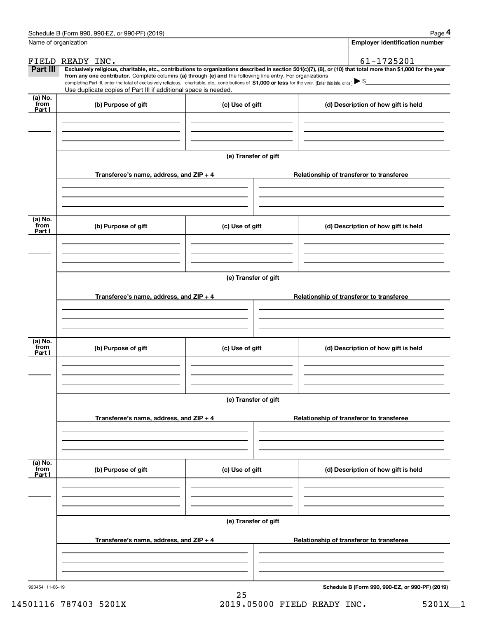|                           | Schedule B (Form 990, 990-EZ, or 990-PF) (2019)                                                                                                                                   |                      | Page 4                                                                                                                                                         |  |  |  |
|---------------------------|-----------------------------------------------------------------------------------------------------------------------------------------------------------------------------------|----------------------|----------------------------------------------------------------------------------------------------------------------------------------------------------------|--|--|--|
| Name of organization      |                                                                                                                                                                                   |                      | <b>Employer identification number</b>                                                                                                                          |  |  |  |
|                           | FIELD READY INC.                                                                                                                                                                  |                      | 61-1725201                                                                                                                                                     |  |  |  |
| Part III                  | from any one contributor. Complete columns (a) through (e) and the following line entry. For organizations                                                                        |                      | Exclusively religious, charitable, etc., contributions to organizations described in section 501(c)(7), (8), or (10) that total more than \$1,000 for the year |  |  |  |
|                           | completing Part III, enter the total of exclusively religious, charitable, etc., contributions of \$1,000 or less for the year. (Enter this info. once.) $\blacktriangleright$ \$ |                      |                                                                                                                                                                |  |  |  |
| (a) No.                   | Use duplicate copies of Part III if additional space is needed.                                                                                                                   |                      |                                                                                                                                                                |  |  |  |
| from<br>Part I            | (b) Purpose of gift                                                                                                                                                               | (c) Use of gift      | (d) Description of how gift is held                                                                                                                            |  |  |  |
|                           |                                                                                                                                                                                   |                      |                                                                                                                                                                |  |  |  |
|                           |                                                                                                                                                                                   |                      |                                                                                                                                                                |  |  |  |
|                           |                                                                                                                                                                                   |                      |                                                                                                                                                                |  |  |  |
|                           |                                                                                                                                                                                   | (e) Transfer of gift |                                                                                                                                                                |  |  |  |
|                           | Transferee's name, address, and ZIP + 4                                                                                                                                           |                      | Relationship of transferor to transferee                                                                                                                       |  |  |  |
|                           |                                                                                                                                                                                   |                      |                                                                                                                                                                |  |  |  |
|                           |                                                                                                                                                                                   |                      |                                                                                                                                                                |  |  |  |
|                           |                                                                                                                                                                                   |                      |                                                                                                                                                                |  |  |  |
| (a) No.<br>from<br>Part I | (b) Purpose of gift                                                                                                                                                               | (c) Use of gift      | (d) Description of how gift is held                                                                                                                            |  |  |  |
|                           |                                                                                                                                                                                   |                      |                                                                                                                                                                |  |  |  |
|                           |                                                                                                                                                                                   |                      |                                                                                                                                                                |  |  |  |
|                           |                                                                                                                                                                                   |                      |                                                                                                                                                                |  |  |  |
|                           | (e) Transfer of gift                                                                                                                                                              |                      |                                                                                                                                                                |  |  |  |
|                           | Transferee's name, address, and ZIP + 4                                                                                                                                           |                      | Relationship of transferor to transferee                                                                                                                       |  |  |  |
|                           |                                                                                                                                                                                   |                      |                                                                                                                                                                |  |  |  |
|                           |                                                                                                                                                                                   |                      |                                                                                                                                                                |  |  |  |
|                           |                                                                                                                                                                                   |                      |                                                                                                                                                                |  |  |  |
| (a) No.<br>from           | (b) Purpose of gift                                                                                                                                                               | (c) Use of gift      | (d) Description of how gift is held                                                                                                                            |  |  |  |
| Part I                    |                                                                                                                                                                                   |                      |                                                                                                                                                                |  |  |  |
|                           |                                                                                                                                                                                   |                      |                                                                                                                                                                |  |  |  |
|                           |                                                                                                                                                                                   |                      |                                                                                                                                                                |  |  |  |
|                           |                                                                                                                                                                                   | (e) Transfer of gift |                                                                                                                                                                |  |  |  |
|                           |                                                                                                                                                                                   |                      |                                                                                                                                                                |  |  |  |
|                           | Transferee's name, address, and ZIP + 4                                                                                                                                           |                      | Relationship of transferor to transferee                                                                                                                       |  |  |  |
|                           |                                                                                                                                                                                   |                      |                                                                                                                                                                |  |  |  |
|                           |                                                                                                                                                                                   |                      |                                                                                                                                                                |  |  |  |
| (a) No.<br>from           |                                                                                                                                                                                   |                      |                                                                                                                                                                |  |  |  |
| Part I                    | (b) Purpose of gift                                                                                                                                                               | (c) Use of gift      | (d) Description of how gift is held                                                                                                                            |  |  |  |
|                           |                                                                                                                                                                                   |                      |                                                                                                                                                                |  |  |  |
|                           |                                                                                                                                                                                   |                      |                                                                                                                                                                |  |  |  |
|                           |                                                                                                                                                                                   |                      |                                                                                                                                                                |  |  |  |
|                           |                                                                                                                                                                                   | (e) Transfer of gift |                                                                                                                                                                |  |  |  |
|                           | Transferee's name, address, and ZIP + 4                                                                                                                                           |                      | Relationship of transferor to transferee                                                                                                                       |  |  |  |
|                           |                                                                                                                                                                                   |                      |                                                                                                                                                                |  |  |  |
|                           |                                                                                                                                                                                   |                      |                                                                                                                                                                |  |  |  |
|                           |                                                                                                                                                                                   |                      |                                                                                                                                                                |  |  |  |
| 923454 11-06-19           |                                                                                                                                                                                   |                      | Schedule B (Form 990, 990-EZ, or 990-PF) (2019)                                                                                                                |  |  |  |

14501116 787403 5201X <br>2019.05000 FIELD READY INC. 5201X\_1

25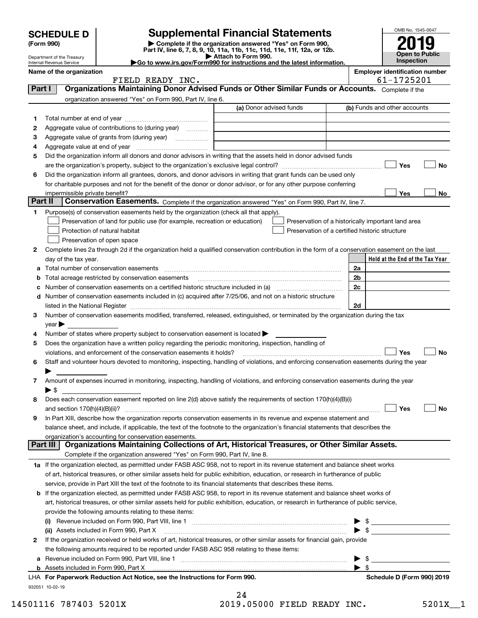| <b>SCHEDULE D</b>                   |                                                                  | <b>Supplemental Financial Statements</b>                                                                                             |                |
|-------------------------------------|------------------------------------------------------------------|--------------------------------------------------------------------------------------------------------------------------------------|----------------|
| (Form 990)                          |                                                                  | Complete if the organization answered "Yes" on Form 990,<br>Part IV, line 6, 7, 8, 9, 10, 11a, 11b, 11c, 11d, 11e, 11f, 12a, or 12b. |                |
| Department of the Treasury          |                                                                  | Attach to Form 990.                                                                                                                  |                |
| <b>Internal Revenue Service</b>     |                                                                  | Go to www.irs.gov/Form990 for instructions and the latest information.                                                               |                |
| Name of the organization            |                                                                  |                                                                                                                                      | <b>Employe</b> |
|                                     | FIELD READY INC.                                                 |                                                                                                                                      |                |
| Part I                              |                                                                  | Organizations Maintaining Donor Advised Funds or Other Similar Funds or Accounts.                                                    |                |
|                                     | organization answered "Yes" on Form 990, Part IV, line 6.        |                                                                                                                                      |                |
|                                     |                                                                  | (a) Donor advised funds                                                                                                              | (b) Funds a    |
| 1                                   |                                                                  |                                                                                                                                      |                |
| 2                                   | Aggregate value of contributions to (during year) <i>mimimal</i> |                                                                                                                                      |                |
| 3                                   | Aggregate value of grants from (during year)                     |                                                                                                                                      |                |
| Aggregate value at end of year<br>4 |                                                                  |                                                                                                                                      |                |
| 5                                   |                                                                  | Did the organization inform all donors and donor advisors in writing that the assets held in donor advised funds                     |                |
|                                     |                                                                  | are the organization's property, subject to the organization's exclusive legal control?                                              |                |
| 6                                   |                                                                  | Did the organization inform all grantees, donors, and donor advisors in writing that grant funds can be used only                    |                |
|                                     |                                                                  |                                                                                                                                      |                |
|                                     |                                                                  | for charitable purposes and not for the benefit of the donor or donor advisor, or for any other purpose conferring                   |                |

### OMB No. 1545-0047 **Open to Public 2019**

**Inspection Employer identification number** 

61-1725201

| Part I  |                            | Organizations Maintaining Donor Advised Funds or Other Similar Funds or Accounts. Complete if the                                                                                                                             |                         |                                                    |
|---------|----------------------------|-------------------------------------------------------------------------------------------------------------------------------------------------------------------------------------------------------------------------------|-------------------------|----------------------------------------------------|
|         |                            | organization answered "Yes" on Form 990, Part IV, line 6.                                                                                                                                                                     |                         |                                                    |
|         |                            |                                                                                                                                                                                                                               | (a) Donor advised funds | (b) Funds and other accounts                       |
| 1       |                            |                                                                                                                                                                                                                               |                         |                                                    |
| 2       |                            | Aggregate value of contributions to (during year)                                                                                                                                                                             |                         |                                                    |
| з       |                            | Aggregate value of grants from (during year)<br>.                                                                                                                                                                             |                         |                                                    |
| 4       |                            |                                                                                                                                                                                                                               |                         |                                                    |
| 5       |                            | Did the organization inform all donors and donor advisors in writing that the assets held in donor advised funds                                                                                                              |                         |                                                    |
|         |                            |                                                                                                                                                                                                                               |                         | Yes<br>No                                          |
| 6       |                            | Did the organization inform all grantees, donors, and donor advisors in writing that grant funds can be used only                                                                                                             |                         |                                                    |
|         |                            | for charitable purposes and not for the benefit of the donor or donor advisor, or for any other purpose conferring                                                                                                            |                         |                                                    |
|         |                            | impermissible private benefit?                                                                                                                                                                                                |                         | Yes<br>No                                          |
| Part II |                            | Conservation Easements. Complete if the organization answered "Yes" on Form 990, Part IV, line 7.                                                                                                                             |                         |                                                    |
| 1.      |                            | Purpose(s) of conservation easements held by the organization (check all that apply).                                                                                                                                         |                         |                                                    |
|         |                            | Preservation of land for public use (for example, recreation or education)                                                                                                                                                    |                         | Preservation of a historically important land area |
|         |                            | Protection of natural habitat                                                                                                                                                                                                 |                         | Preservation of a certified historic structure     |
|         |                            | Preservation of open space                                                                                                                                                                                                    |                         |                                                    |
| 2       |                            | Complete lines 2a through 2d if the organization held a qualified conservation contribution in the form of a conservation easement on the last                                                                                |                         |                                                    |
|         |                            | day of the tax year.                                                                                                                                                                                                          |                         | Held at the End of the Tax Year                    |
|         |                            | Total number of conservation easements                                                                                                                                                                                        |                         | 2a                                                 |
|         |                            | Total acreage restricted by conservation easements                                                                                                                                                                            |                         | 2 <sub>b</sub>                                     |
|         |                            | Number of conservation easements on a certified historic structure included in (a) manufacture included in (a)                                                                                                                |                         | 2c                                                 |
| d       |                            | Number of conservation easements included in (c) acquired after 7/25/06, and not on a historic structure                                                                                                                      |                         |                                                    |
|         |                            | listed in the National Register [111] Marshall Register [11] Marshall Register [11] Marshall Register [11] Marshall Register [11] Marshall Register [11] Marshall Register [11] Marshall Register [11] Marshall Register [11] |                         | 2d                                                 |
| з       |                            | Number of conservation easements modified, transferred, released, extinguished, or terminated by the organization during the tax                                                                                              |                         |                                                    |
|         | $year \blacktriangleright$ |                                                                                                                                                                                                                               |                         |                                                    |
| 4       |                            | Number of states where property subject to conservation easement is located >                                                                                                                                                 |                         |                                                    |
| 5       |                            | Does the organization have a written policy regarding the periodic monitoring, inspection, handling of                                                                                                                        |                         |                                                    |
|         |                            | violations, and enforcement of the conservation easements it holds?                                                                                                                                                           |                         | Yes<br>No                                          |
| 6       |                            | Staff and volunteer hours devoted to monitoring, inspecting, handling of violations, and enforcing conservation easements during the year                                                                                     |                         |                                                    |
|         |                            | Amount of expenses incurred in monitoring, inspecting, handling of violations, and enforcing conservation easements during the year                                                                                           |                         |                                                    |
| 7.      | ▶ \$                       |                                                                                                                                                                                                                               |                         |                                                    |
| 8       |                            | Does each conservation easement reported on line 2(d) above satisfy the requirements of section 170(h)(4)(B)(i)                                                                                                               |                         |                                                    |
|         |                            | and section $170(h)(4)(B)(ii)?$                                                                                                                                                                                               |                         | Yes<br>No                                          |
| 9       |                            | In Part XIII, describe how the organization reports conservation easements in its revenue and expense statement and                                                                                                           |                         |                                                    |
|         |                            | balance sheet, and include, if applicable, the text of the footnote to the organization's financial statements that describes the                                                                                             |                         |                                                    |
|         |                            | organization's accounting for conservation easements.                                                                                                                                                                         |                         |                                                    |
|         | Part III                   | Organizations Maintaining Collections of Art, Historical Treasures, or Other Similar Assets.                                                                                                                                  |                         |                                                    |
|         |                            | Complete if the organization answered "Yes" on Form 990, Part IV, line 8.                                                                                                                                                     |                         |                                                    |
|         |                            | 1a If the organization elected, as permitted under FASB ASC 958, not to report in its revenue statement and balance sheet works                                                                                               |                         |                                                    |
|         |                            | of art, historical treasures, or other similar assets held for public exhibition, education, or research in furtherance of public                                                                                             |                         |                                                    |
|         |                            | service, provide in Part XIII the text of the footnote to its financial statements that describes these items.                                                                                                                |                         |                                                    |
|         |                            | <b>b</b> If the organization elected, as permitted under FASB ASC 958, to report in its revenue statement and balance sheet works of                                                                                          |                         |                                                    |
|         |                            | art, historical treasures, or other similar assets held for public exhibition, education, or research in furtherance of public service,                                                                                       |                         |                                                    |
|         |                            | provide the following amounts relating to these items:                                                                                                                                                                        |                         |                                                    |
|         |                            |                                                                                                                                                                                                                               |                         |                                                    |
|         |                            | (ii) Assets included in Form 990, Part X                                                                                                                                                                                      |                         | $\mathbb{S}$                                       |
| 2       |                            | If the organization received or held works of art, historical treasures, or other similar assets for financial gain, provide                                                                                                  |                         |                                                    |
|         |                            | the following amounts required to be reported under FASB ASC 958 relating to these items:                                                                                                                                     |                         |                                                    |
|         |                            |                                                                                                                                                                                                                               |                         | \$                                                 |
|         |                            | <b>b</b> Assets included in Form 990, Part X                                                                                                                                                                                  |                         | $\blacktriangleright$ s                            |
|         |                            | LHA For Paperwork Reduction Act Notice, see the Instructions for Form 990.                                                                                                                                                    |                         | Schedule D (Form 990) 2019                         |

932051 10-02-19

| 14501116 787403 5201X | 2019.05000 FIELD READY INC. | 5201X 1 |
|-----------------------|-----------------------------|---------|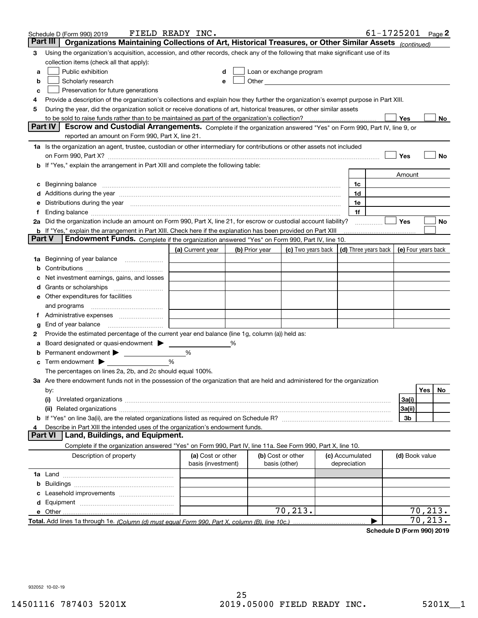|               | Schedule D (Form 990) 2019                                                                                                                                                                                                                                                                                                  | FIELD READY INC.                        |   |                |                                                                                                                                                                                                                               |                                 | $61 - 1725201$ Page 2 |                     |                        |     |
|---------------|-----------------------------------------------------------------------------------------------------------------------------------------------------------------------------------------------------------------------------------------------------------------------------------------------------------------------------|-----------------------------------------|---|----------------|-------------------------------------------------------------------------------------------------------------------------------------------------------------------------------------------------------------------------------|---------------------------------|-----------------------|---------------------|------------------------|-----|
|               | Part III<br>Organizations Maintaining Collections of Art, Historical Treasures, or Other Similar Assets (continued)                                                                                                                                                                                                         |                                         |   |                |                                                                                                                                                                                                                               |                                 |                       |                     |                        |     |
| 3             | Using the organization's acquisition, accession, and other records, check any of the following that make significant use of its                                                                                                                                                                                             |                                         |   |                |                                                                                                                                                                                                                               |                                 |                       |                     |                        |     |
|               | collection items (check all that apply):                                                                                                                                                                                                                                                                                    |                                         |   |                |                                                                                                                                                                                                                               |                                 |                       |                     |                        |     |
| а             | Public exhibition                                                                                                                                                                                                                                                                                                           |                                         |   |                | Loan or exchange program                                                                                                                                                                                                      |                                 |                       |                     |                        |     |
| b             | Scholarly research                                                                                                                                                                                                                                                                                                          |                                         |   |                | Other and the contract of the contract of the contract of the contract of the contract of the contract of the contract of the contract of the contract of the contract of the contract of the contract of the contract of the |                                 |                       |                     |                        |     |
| с             | Preservation for future generations                                                                                                                                                                                                                                                                                         |                                         |   |                |                                                                                                                                                                                                                               |                                 |                       |                     |                        |     |
| 4             | Provide a description of the organization's collections and explain how they further the organization's exempt purpose in Part XIII.                                                                                                                                                                                        |                                         |   |                |                                                                                                                                                                                                                               |                                 |                       |                     |                        |     |
| 5             | During the year, did the organization solicit or receive donations of art, historical treasures, or other similar assets                                                                                                                                                                                                    |                                         |   |                |                                                                                                                                                                                                                               |                                 |                       |                     |                        |     |
|               | Part IV                                                                                                                                                                                                                                                                                                                     |                                         |   |                |                                                                                                                                                                                                                               |                                 |                       | Yes                 |                        | No  |
|               | Escrow and Custodial Arrangements. Complete if the organization answered "Yes" on Form 990, Part IV, line 9, or<br>reported an amount on Form 990, Part X, line 21.                                                                                                                                                         |                                         |   |                |                                                                                                                                                                                                                               |                                 |                       |                     |                        |     |
|               | 1a Is the organization an agent, trustee, custodian or other intermediary for contributions or other assets not included                                                                                                                                                                                                    |                                         |   |                |                                                                                                                                                                                                                               |                                 |                       |                     |                        |     |
|               |                                                                                                                                                                                                                                                                                                                             |                                         |   |                |                                                                                                                                                                                                                               |                                 |                       | Yes                 |                        | No  |
|               | on Form 990, Part X? [11] matter contracts and contracts and contracts are contracted and contracts are contracted and contract and contract of the contract of the contract of the contract of the contract of the contract o<br><b>b</b> If "Yes," explain the arrangement in Part XIII and complete the following table: |                                         |   |                |                                                                                                                                                                                                                               |                                 |                       |                     |                        |     |
|               |                                                                                                                                                                                                                                                                                                                             |                                         |   |                |                                                                                                                                                                                                                               |                                 |                       | Amount              |                        |     |
| c             | Beginning balance <b>with the contract of the contract of the contract of the contract of the contract of the contract of the contract of the contract of the contract of the contract of the contract of the contract of the co</b>                                                                                        |                                         |   |                |                                                                                                                                                                                                                               | 1c                              |                       |                     |                        |     |
|               | Additions during the year manufactured and an account of the year manufactured and account of the year manufactured and account of the state of the state of the state of the state of the state of the state of the state of                                                                                               |                                         |   |                |                                                                                                                                                                                                                               | 1d                              |                       |                     |                        |     |
| е             | Distributions during the year manufactured and an account of the year manufactured and the year manufactured and the year manufactured and the year manufactured and the year manufactured and the year manufactured and the y                                                                                              |                                         |   |                |                                                                                                                                                                                                                               | 1e                              |                       |                     |                        |     |
| f             |                                                                                                                                                                                                                                                                                                                             |                                         |   |                |                                                                                                                                                                                                                               | 1f                              |                       |                     |                        |     |
|               | 2a Did the organization include an amount on Form 990, Part X, line 21, for escrow or custodial account liability?                                                                                                                                                                                                          |                                         |   |                |                                                                                                                                                                                                                               |                                 | .                     | Yes                 |                        | No  |
|               | <b>b</b> If "Yes," explain the arrangement in Part XIII. Check here if the explanation has been provided on Part XIII                                                                                                                                                                                                       |                                         |   |                |                                                                                                                                                                                                                               |                                 |                       |                     |                        |     |
| <b>Part V</b> | Endowment Funds. Complete if the organization answered "Yes" on Form 990, Part IV, line 10.                                                                                                                                                                                                                                 |                                         |   |                |                                                                                                                                                                                                                               |                                 |                       |                     |                        |     |
|               |                                                                                                                                                                                                                                                                                                                             | (a) Current year                        |   | (b) Prior year | (c) Two years back $\vert$ (d) Three years back $\vert$                                                                                                                                                                       |                                 |                       | (e) Four years back |                        |     |
| 1a            | Beginning of year balance                                                                                                                                                                                                                                                                                                   |                                         |   |                |                                                                                                                                                                                                                               |                                 |                       |                     |                        |     |
| b             |                                                                                                                                                                                                                                                                                                                             |                                         |   |                |                                                                                                                                                                                                                               |                                 |                       |                     |                        |     |
|               | Net investment earnings, gains, and losses                                                                                                                                                                                                                                                                                  |                                         |   |                |                                                                                                                                                                                                                               |                                 |                       |                     |                        |     |
|               |                                                                                                                                                                                                                                                                                                                             |                                         |   |                |                                                                                                                                                                                                                               |                                 |                       |                     |                        |     |
|               | e Other expenditures for facilities                                                                                                                                                                                                                                                                                         |                                         |   |                |                                                                                                                                                                                                                               |                                 |                       |                     |                        |     |
|               | and programs                                                                                                                                                                                                                                                                                                                |                                         |   |                |                                                                                                                                                                                                                               |                                 |                       |                     |                        |     |
|               | f Administrative expenses                                                                                                                                                                                                                                                                                                   |                                         |   |                |                                                                                                                                                                                                                               |                                 |                       |                     |                        |     |
| g<br>2        | Provide the estimated percentage of the current year end balance (line 1g, column (a)) held as:                                                                                                                                                                                                                             |                                         |   |                |                                                                                                                                                                                                                               |                                 |                       |                     |                        |     |
| а             | Board designated or quasi-endowment                                                                                                                                                                                                                                                                                         |                                         | % |                |                                                                                                                                                                                                                               |                                 |                       |                     |                        |     |
|               | Permanent endowment >                                                                                                                                                                                                                                                                                                       | %                                       |   |                |                                                                                                                                                                                                                               |                                 |                       |                     |                        |     |
|               | <b>c</b> Term endowment $\blacktriangleright$                                                                                                                                                                                                                                                                               | %                                       |   |                |                                                                                                                                                                                                                               |                                 |                       |                     |                        |     |
|               | The percentages on lines 2a, 2b, and 2c should equal 100%.                                                                                                                                                                                                                                                                  |                                         |   |                |                                                                                                                                                                                                                               |                                 |                       |                     |                        |     |
|               | 3a Are there endowment funds not in the possession of the organization that are held and administered for the organization                                                                                                                                                                                                  |                                         |   |                |                                                                                                                                                                                                                               |                                 |                       |                     |                        |     |
|               | by:                                                                                                                                                                                                                                                                                                                         |                                         |   |                |                                                                                                                                                                                                                               |                                 |                       |                     | <b>Yes</b>             | No. |
|               | (i)                                                                                                                                                                                                                                                                                                                         |                                         |   |                |                                                                                                                                                                                                                               |                                 |                       | 3a(i)               |                        |     |
|               |                                                                                                                                                                                                                                                                                                                             |                                         |   |                |                                                                                                                                                                                                                               |                                 |                       | 3a(ii)              |                        |     |
|               |                                                                                                                                                                                                                                                                                                                             |                                         |   |                |                                                                                                                                                                                                                               |                                 |                       | 3b                  |                        |     |
| 4             | Describe in Part XIII the intended uses of the organization's endowment funds.                                                                                                                                                                                                                                              |                                         |   |                |                                                                                                                                                                                                                               |                                 |                       |                     |                        |     |
|               | Land, Buildings, and Equipment.<br><b>Part VI</b>                                                                                                                                                                                                                                                                           |                                         |   |                |                                                                                                                                                                                                                               |                                 |                       |                     |                        |     |
|               | Complete if the organization answered "Yes" on Form 990, Part IV, line 11a. See Form 990, Part X, line 10.                                                                                                                                                                                                                  |                                         |   |                |                                                                                                                                                                                                                               |                                 |                       |                     |                        |     |
|               | Description of property                                                                                                                                                                                                                                                                                                     | (a) Cost or other<br>basis (investment) |   |                | (b) Cost or other<br>basis (other)                                                                                                                                                                                            | (c) Accumulated<br>depreciation |                       | (d) Book value      |                        |     |
|               |                                                                                                                                                                                                                                                                                                                             |                                         |   |                |                                                                                                                                                                                                                               |                                 |                       |                     |                        |     |
| b             |                                                                                                                                                                                                                                                                                                                             |                                         |   |                |                                                                                                                                                                                                                               |                                 |                       |                     |                        |     |
| c             |                                                                                                                                                                                                                                                                                                                             |                                         |   |                |                                                                                                                                                                                                                               |                                 |                       |                     |                        |     |
| d             |                                                                                                                                                                                                                                                                                                                             |                                         |   |                |                                                                                                                                                                                                                               |                                 |                       |                     |                        |     |
|               |                                                                                                                                                                                                                                                                                                                             |                                         |   |                | 70,213.                                                                                                                                                                                                                       |                                 |                       |                     | 70,213.                |     |
|               | Total. Add lines 1a through 1e. (Column (d) must equal Form 990. Part X, column (B), line 10c.)                                                                                                                                                                                                                             |                                         |   |                |                                                                                                                                                                                                                               |                                 |                       |                     | $\overline{70}$ , 213. |     |

**Schedule D (Form 990) 2019**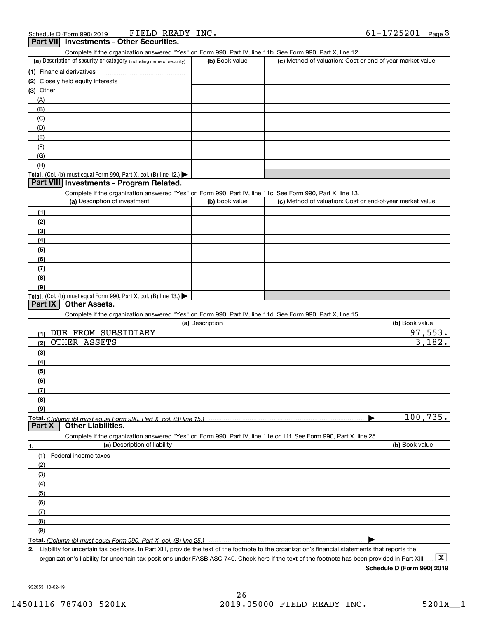| Complete if the organization answered "Yes" on Form 990, Part IV, line 11b. See Form 990, Part X, line 12. |                |                                                           |
|------------------------------------------------------------------------------------------------------------|----------------|-----------------------------------------------------------|
| (a) Description of security or category (including name of security)                                       | (b) Book value | (c) Method of valuation: Cost or end-of-year market value |
| (1) Financial derivatives                                                                                  |                |                                                           |
| (2) Closely held equity interests                                                                          |                |                                                           |
| (3) Other                                                                                                  |                |                                                           |
| (A)                                                                                                        |                |                                                           |
| (B)                                                                                                        |                |                                                           |
| (C)                                                                                                        |                |                                                           |
| (D)                                                                                                        |                |                                                           |
| (E)                                                                                                        |                |                                                           |
| (F)                                                                                                        |                |                                                           |
| (G)                                                                                                        |                |                                                           |
| (H)                                                                                                        |                |                                                           |
| Total. (Col. (b) must equal Form 990, Part X, col. (B) line $12$ .)                                        |                |                                                           |
| <b>Dort VIII Investments Dreament Delated</b>                                                              |                |                                                           |

#### **Part VIII Investments - Program Related.**

Complete if the organization answered "Yes" on Form 990, Part IV, line 11c. See Form 990, Part X, line 13.

| (a) Description of investment                                                                 | (b) Book value | (c) Method of valuation: Cost or end-of-year market value |
|-----------------------------------------------------------------------------------------------|----------------|-----------------------------------------------------------|
| (1)                                                                                           |                |                                                           |
| (2)                                                                                           |                |                                                           |
| (3)                                                                                           |                |                                                           |
| (4)                                                                                           |                |                                                           |
| $\frac{1}{2}$                                                                                 |                |                                                           |
| (6)                                                                                           |                |                                                           |
| (7)                                                                                           |                |                                                           |
| (8)                                                                                           |                |                                                           |
| (9)                                                                                           |                |                                                           |
| <b>Total.</b> (Col. (b) must equal Form 990, Part X, col. (B) line 13.) $\blacktriangleright$ |                |                                                           |

### **Part IX Other Assets.**

Complete if the organization answered "Yes" on Form 990, Part IV, line 11d. See Form 990, Part X, line 15.

| (a) Description                                                                                                   | (b) Book value |
|-------------------------------------------------------------------------------------------------------------------|----------------|
| DUE FROM SUBSIDIARY<br>(1)                                                                                        | 97,553.        |
| OTHER ASSETS<br>(2)                                                                                               | 3,182.         |
| (3)                                                                                                               |                |
| (4)                                                                                                               |                |
| (5)                                                                                                               |                |
| (6)                                                                                                               |                |
| (7)                                                                                                               |                |
| (8)                                                                                                               |                |
| (9)                                                                                                               |                |
|                                                                                                                   | 100,735.       |
| <b>Other Liabilities.</b><br><b>Part X</b>                                                                        |                |
| Complete if the organization answered "Yes" on Form 990, Part IV, line 11e or 11f. See Form 990, Part X, line 25. |                |
| (a) Description of liability<br>1.                                                                                | (b) Book value |
| Federal income taxes<br>(1)                                                                                       |                |
| (2)                                                                                                               |                |
| (3)                                                                                                               |                |
| (4)                                                                                                               |                |
| (5)                                                                                                               |                |
| (6)                                                                                                               |                |
| (7)                                                                                                               |                |

**Total.**  *(Column (b) must equal Form 990, Part X, col. (B) line 25.)*

 $\blacktriangleright$ 

**2.**Liability for uncertain tax positions. In Part XIII, provide the text of the footnote to the organization's financial statements that reports the organization's liability for uncertain tax positions under FASB ASC 740. Check here if the text of the footnote has been provided in Part XIII  $\boxed{\text{X}}$ 

**Schedule D (Form 990) 2019**

932053 10-02-19

(8)(9)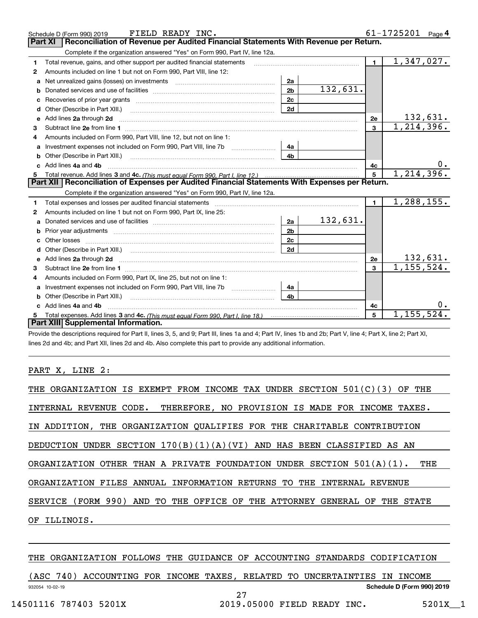|    | FIELD READY INC.<br>Schedule D (Form 990) 2019                                                                                                                                                                                      |                |          |                | 61-1725201<br>Page $4$   |
|----|-------------------------------------------------------------------------------------------------------------------------------------------------------------------------------------------------------------------------------------|----------------|----------|----------------|--------------------------|
|    | Reconciliation of Revenue per Audited Financial Statements With Revenue per Return.<br><b>Part XI</b>                                                                                                                               |                |          |                |                          |
|    | Complete if the organization answered "Yes" on Form 990, Part IV, line 12a.                                                                                                                                                         |                |          |                |                          |
| 1  | Total revenue, gains, and other support per audited financial statements                                                                                                                                                            |                |          | $\blacksquare$ | $\overline{1,347,027}$ . |
| 2  | Amounts included on line 1 but not on Form 990, Part VIII, line 12:                                                                                                                                                                 |                |          |                |                          |
| a  |                                                                                                                                                                                                                                     | 2a             |          |                |                          |
|    |                                                                                                                                                                                                                                     | 2 <sub>b</sub> | 132,631. |                |                          |
|    |                                                                                                                                                                                                                                     | 2c             |          |                |                          |
| d  | Other (Describe in Part XIII.) <b>Construction Contract Construction</b> Chemical Construction Chemical Chemical Chemical Chemical Chemical Chemical Chemical Chemical Chemical Chemical Chemical Chemical Chemical Chemical Chemic | 2d             |          |                |                          |
| е  | Add lines 2a through 2d                                                                                                                                                                                                             |                |          | 2e             | <u>132,631.</u>          |
| 3  |                                                                                                                                                                                                                                     |                |          | $\mathbf{3}$   | 1, 214, 396.             |
| 4  | Amounts included on Form 990, Part VIII, line 12, but not on line 1:                                                                                                                                                                |                |          |                |                          |
|    |                                                                                                                                                                                                                                     | 4a             |          |                |                          |
| b  | Other (Describe in Part XIII.) <b>Construction Contract Construction</b> Chemical Construction Chemical Chemical Chemical Chemical Chemical Chemical Chemical Chemical Chemical Chemical Chemical Chemical Chemical Chemical Chemic | 4 <sub>h</sub> |          |                |                          |
| c. | Add lines 4a and 4b                                                                                                                                                                                                                 |                |          | 4c             | υ.                       |
|    |                                                                                                                                                                                                                                     |                |          | $\overline{5}$ | 1, 214, 396.             |
|    |                                                                                                                                                                                                                                     |                |          |                |                          |
|    | Part XII   Reconciliation of Expenses per Audited Financial Statements With Expenses per Return.                                                                                                                                    |                |          |                |                          |
|    | Complete if the organization answered "Yes" on Form 990, Part IV, line 12a.                                                                                                                                                         |                |          |                |                          |
| 1  | Total expenses and losses per audited financial statements [11, 11] manuscription control expenses and losses per audited financial statements [11] manuscription of the statements [11] manuscription of the statements [11]       |                |          | $\mathbf{1}$   | 1,288,155.               |
| 2  | Amounts included on line 1 but not on Form 990, Part IX, line 25:                                                                                                                                                                   |                |          |                |                          |
| a  |                                                                                                                                                                                                                                     | 2a             | 132,631. |                |                          |
|    |                                                                                                                                                                                                                                     | 2 <sub>b</sub> |          |                |                          |
| c  |                                                                                                                                                                                                                                     | 2c             |          |                |                          |
|    |                                                                                                                                                                                                                                     | 2d             |          |                |                          |
|    | Add lines 2a through 2d <b>contained a contained a contained a contained a</b> contained a contained a contact the set                                                                                                              |                |          | 2e             | 132,631.                 |
| 3  |                                                                                                                                                                                                                                     |                |          | $\mathbf{3}$   | 1, 155, 524.             |
| 4  | Amounts included on Form 990, Part IX, line 25, but not on line 1:                                                                                                                                                                  |                |          |                |                          |
| a  |                                                                                                                                                                                                                                     | 4a             |          |                |                          |
| b  |                                                                                                                                                                                                                                     | 4b             |          |                |                          |
|    | Add lines 4a and 4b                                                                                                                                                                                                                 |                |          | 4с             | 0.                       |
|    | Part XIII Supplemental Information.                                                                                                                                                                                                 |                |          | 5              | $\overline{1,155,524}$ . |

Provide the descriptions required for Part II, lines 3, 5, and 9; Part III, lines 1a and 4; Part IV, lines 1b and 2b; Part V, line 4; Part X, line 2; Part XI, lines 2d and 4b; and Part XII, lines 2d and 4b. Also complete this part to provide any additional information.

#### PART X, LINE 2:

| THE ORGANIZATION IS EXEMPT FROM INCOME TAX UNDER SECTION 501(C)(3) OF THE       |
|---------------------------------------------------------------------------------|
| INTERNAL REVENUE CODE. THEREFORE, NO PROVISION IS MADE FOR INCOME TAXES.        |
| IN ADDITION, THE ORGANIZATION OUALIFIES FOR THE CHARITABLE CONTRIBUTION         |
| DEDUCTION UNDER SECTION $170(B)(1)(A)(VI)$ AND HAS BEEN CLASSIFIED AS AN        |
| ORGANIZATION OTHER THAN A PRIVATE FOUNDATION UNDER SECTION $501(A)(1)$ .<br>THE |
| ORGANIZATION FILES ANNUAL INFORMATION RETURNS TO THE INTERNAL REVENUE           |
| SERVICE (FORM 990) AND TO THE OFFICE OF THE ATTORNEY GENERAL OF THE STATE       |
| OF ILLINOIS.                                                                    |
|                                                                                 |

#### THE ORGANIZATION FOLLOWS THE GUIDANCE OF ACCOUNTING STANDARDS CODIFICATION

|                 | 740) |  |  |    | ACCOUNTING FOR INCOME TAXES, RELATED TO UNCERTAINTIES IN INCOME |                            |  |
|-----------------|------|--|--|----|-----------------------------------------------------------------|----------------------------|--|
| 932054 10-02-19 |      |  |  |    |                                                                 | Schedule D (Form 990) 2019 |  |
|                 |      |  |  | ⌒冖 |                                                                 |                            |  |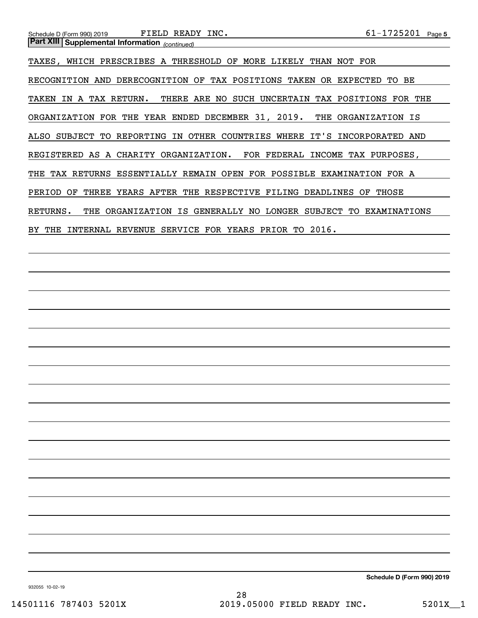TAXES, WHICH PRESCRIBES A THRESHOLD OF MORE LIKELY THAN NOT FOR RECOGNITION AND DERECOGNITION OF TAX POSITIONS TAKEN OR EXPECTED TO BE TAKEN IN A TAX RETURN. THERE ARE NO SUCH UNCERTAIN TAX POSITIONS FOR THE ORGANIZATION FOR THE YEAR ENDED DECEMBER 31, 2019. THE ORGANIZATION IS ALSO SUBJECT TO REPORTING IN OTHER COUNTRIES WHERE IT'S INCORPORATED AND REGISTERED AS A CHARITY ORGANIZATION. FOR FEDERAL INCOME TAX PURPOSES, THE TAX RETURNS ESSENTIALLY REMAIN OPEN FOR POSSIBLE EXAMINATION FOR A PERIOD OF THREE YEARS AFTER THE RESPECTIVE FILING DEADLINES OF THOSE RETURNS. THE ORGANIZATION IS GENERALLY NO LONGER SUBJECT TO EXAMINATIONS BY THE INTERNAL REVENUE SERVICE FOR YEARS PRIOR TO 2016.

**Schedule D (Form 990) 2019**

932055 10-02-19

28 14501116 787403 5201X 2019.05000 FIELD READY INC. 5201X 1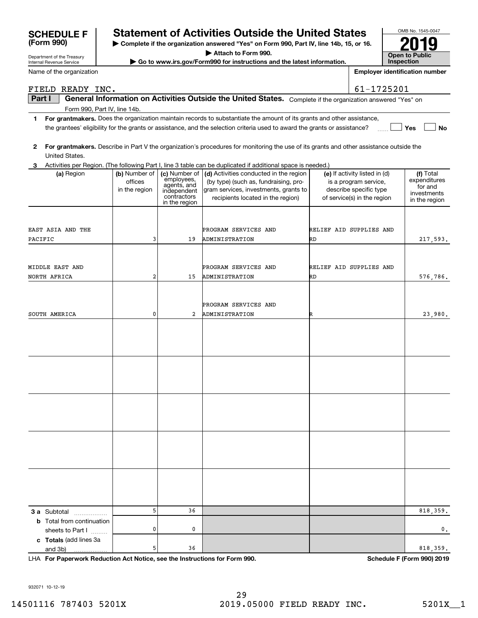|                                                                            |   |           | PROGRAM SERVICES AND        |   |                            |
|----------------------------------------------------------------------------|---|-----------|-----------------------------|---|----------------------------|
| SOUTH AMERICA                                                              | 0 |           | 2 ADMINISTRATION            | R | 23,980.                    |
|                                                                            |   |           |                             |   |                            |
|                                                                            |   |           |                             |   |                            |
|                                                                            |   |           |                             |   |                            |
|                                                                            |   |           |                             |   |                            |
|                                                                            |   |           |                             |   |                            |
|                                                                            |   |           |                             |   |                            |
|                                                                            |   |           |                             |   |                            |
|                                                                            |   |           |                             |   |                            |
|                                                                            |   |           |                             |   |                            |
|                                                                            |   |           |                             |   |                            |
|                                                                            |   |           |                             |   |                            |
|                                                                            |   |           |                             |   |                            |
|                                                                            |   |           |                             |   |                            |
|                                                                            |   |           |                             |   |                            |
|                                                                            |   |           |                             |   |                            |
|                                                                            |   |           |                             |   |                            |
|                                                                            |   |           |                             |   |                            |
|                                                                            |   |           |                             |   |                            |
|                                                                            |   |           |                             |   |                            |
|                                                                            |   |           |                             |   |                            |
| <b>3 a</b> Subtotal                                                        | 5 | 36        |                             |   | 818,359.                   |
| <b>b</b> Total from continuation                                           |   |           |                             |   |                            |
| sheets to Part I                                                           | 0 | $\pmb{0}$ |                             |   | $\mathsf{o}\,$ .           |
| c Totals (add lines 3a                                                     |   |           |                             |   |                            |
| and 3b)                                                                    | 5 | 36        |                             |   | 818,359.                   |
| LHA For Paperwork Reduction Act Notice, see the Instructions for Form 990. |   |           |                             |   | Schedule F (Form 990) 2019 |
|                                                                            |   |           |                             |   |                            |
|                                                                            |   |           |                             |   |                            |
| 932071 10-12-19                                                            |   |           |                             |   |                            |
|                                                                            |   |           | 29                          |   |                            |
| 14501116 787403 5201X                                                      |   |           | 2019.05000 FIELD READY INC. |   | $5201X_1$                  |
|                                                                            |   |           |                             |   |                            |
|                                                                            |   |           |                             |   |                            |

| 2 For grantmakers. Describe in Part V the organization's procedures for monitoring the use of its grants and other assistance outside the |
|-------------------------------------------------------------------------------------------------------------------------------------------|
| United States.                                                                                                                            |

ADMINISTRATION

ADMINISTRATION

PROGRAM SERVICES AND

the grantees' eligibility for the grants or assistance, and the selection criteria used to award the grants or assistance?

**(a)** Region  $\begin{pmatrix} \mathbf{b} \end{pmatrix}$  Number of  $\begin{pmatrix} \mathbf{c} \end{pmatrix}$  Activities conducted in the region  $\begin{pmatrix} \mathbf{e} \end{pmatrix}$  If activity listed in (d)  $\begin{pmatrix} \mathbf{f} \end{pmatrix}$ 

(by type) (such as, fundraising, program services, investments, grants to recipients located in the region)

ON RD

PROGRAM SERVICES AND **RELIEF AID SUPPLIES AND** 

RD

**1For grantmakers.**  Does the organization maintain records to substantiate the amount of its grants and other assistance,

**3** Activities per Region. (The following Part I, line 3 table can be duplicated if additional space is needed.)

employees, agents, and independent contractorsin the region

19

15

| Department of the Treasury<br>Internal Revenue Service | Go to www.irs.gov/F |
|--------------------------------------------------------|---------------------|
| Name of the organization                               |                     |

Form 990, Part IV, line 14b.

(a) Region (b) Number of

officesin the region

3

2

# **SCHEDULE F Statement of Activities Outside the United States**

**| Complete if the organization answered "Yes" on Form 990, Part IV, line 14b, 15, or 16.**

**| Attach to Form 990.**

**Corm990 for instructions and the latest information.** 

| <b>DULE F</b>   | <b>Statement</b>                         |
|-----------------|------------------------------------------|
| 990)            | $\blacktriangleright$ Complete if the or |
| of the Treasury | --------                                 |

OMB No. 1545-0047 **Open to Public InspectionEmployer identification number 2019**

**Yes**

**No**

Total expenditures for and investmentsin the region

217,593.

576,786.

 $(e)$  If activity listed in  $(d)$ is a program service, describe specific type of service(s) in the region

RELIEF AID SUPPLIES AND

| <b>SCHEDULE F</b> | S |
|-------------------|---|
| (Form 990)        | ▶ |
|                   |   |

### **Part I**  $\parallel$  General Information on Activities Outside the United States. Complete if the organization answered "Yes" on FIELD READY INC. 61-1725201

EAST ASIA AND THE

MIDDLE EAST AND

NORTH AFRICA

PACIFIC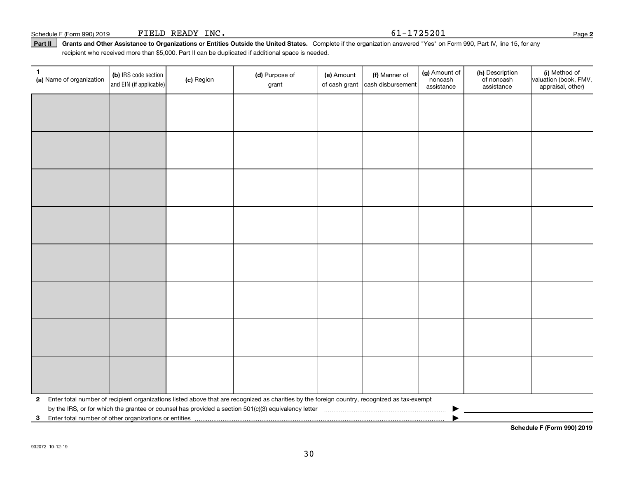**1**

(c) Region

|  | 2 Enter total number of recipient organizations listed above that are recognized as charities by the foreign country, recognized as tax-exempt<br>by the IRS, or for which the grantee or counsel has provided a section 501(c)(3) equivalency letter |  | ▶ |  |
|--|-------------------------------------------------------------------------------------------------------------------------------------------------------------------------------------------------------------------------------------------------------|--|---|--|

Part II | Grants and Other Assistance to Organizations or Entities Outside the United States. Complete if the organization answered "Yes" on Form 990, Part IV, line 15, for any recipient who received more than \$5,000. Part II can be duplicated if additional space is needed.

grant

(b) IRS code section (b) **Conserved Conserved Conserved Conserved Conserved Conserved Conserved Conserved Conserved Conserved Conserved Conserved Conserved Conserved Conserved Conserved Conserved Conserved Conserved Conser** 

**(d)** Purpose of **c i (e)** Amount **i (f)** 

(e) Amount

of cash grant |cash disbursement

(f) Manner of

**(a)** Name of organization  $\begin{bmatrix} 1 & 0 \\ 0 & 1 \end{bmatrix}$  (c) Region

and EIN (if applicable)

(g) Amount of noncashassistance

(h) Description of noncash assistance

**Schedule F (Form 990) 2019**

(i) Method of valuation (book, FMV, appraisal, other)

**3**Enter total number of other organizations or entities |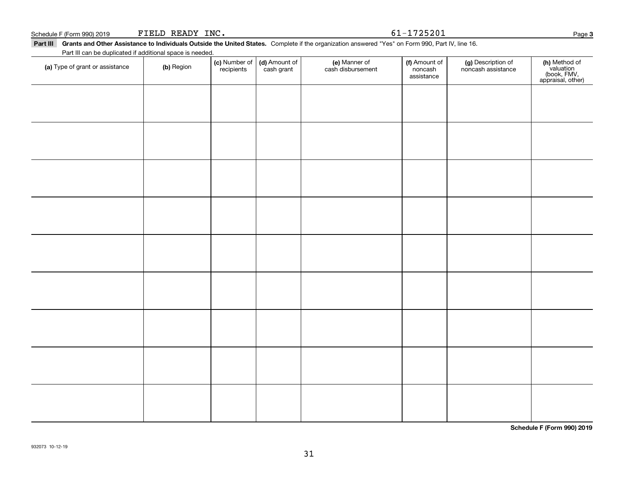cash grant

#### **Part III Grants and Other Assistance to Individuals Outside the United States.**  Complete if the organization answered "Yes" on Form 990, Part IV, line 16.

recipients

| , , ,, <del>,,,,, ,,,, ,,,,,</del>                                                                                                               |                             |  |                                                     |               |                      |                    |     |
|--------------------------------------------------------------------------------------------------------------------------------------------------|-----------------------------|--|-----------------------------------------------------|---------------|----------------------|--------------------|-----|
| Grants and Other Assistance to Individuals Outside the United States. Complete if the organization answered "Yes" on Form 990, Part IV, line 16. |                             |  |                                                     |               |                      |                    |     |
| Part III can be duplicated if additional space is needed.                                                                                        |                             |  |                                                     |               |                      |                    |     |
| 5. mar - Afrancask en erstekender                                                                                                                | $\left( \mathbf{L} \right)$ |  | $\vert$ (c) Number of $\vert$ (d) Amount of $\vert$ | (e) Manner of | <b>(f)</b> Amount of | (g) Description of | (h) |

**(h)** Method of<br>valuation<br>(book, FMV,<br>appraisal, other)

**Schedule F (Form 990) 2019**

**(a)** Type of grant or assistance  $\qquad$  **(b)** Region

(f) Amount of noncashassistance

noncash assistance

(e) Manner of cash disbursement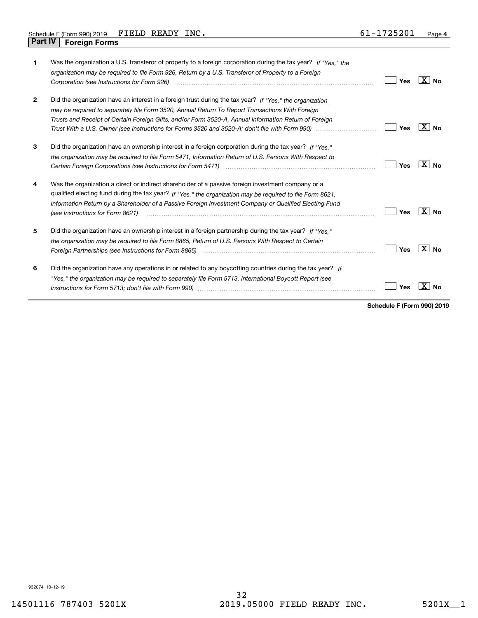| 1            | Was the organization a U.S. transferor of property to a foreign corporation during the tax year? If "Yes," the<br>organization may be required to file Form 926, Return by a U.S. Transferor of Property to a Foreign                                                                                                                                                                                                                          | <b>Yes</b> | ⊦X∣No          |
|--------------|------------------------------------------------------------------------------------------------------------------------------------------------------------------------------------------------------------------------------------------------------------------------------------------------------------------------------------------------------------------------------------------------------------------------------------------------|------------|----------------|
| $\mathbf{2}$ | Did the organization have an interest in a foreign trust during the tax year? If "Yes," the organization<br>may be required to separately file Form 3520, Annual Return To Report Transactions With Foreign<br>Trusts and Receipt of Certain Foreign Gifts, and/or Form 3520-A, Annual Information Return of Foreign<br>Trust With a U.S. Owner (see Instructions for Forms 3520 and 3520-A; don't file with Form 990) manual manual manual    | <b>Yes</b> | X  <br>Nο      |
| 3            | Did the organization have an ownership interest in a foreign corporation during the tax year? If "Yes."<br>the organization may be required to file Form 5471, Information Return of U.S. Persons With Respect to                                                                                                                                                                                                                              | Yes        | $X \mid N_0$   |
| 4            | Was the organization a direct or indirect shareholder of a passive foreign investment company or a<br>qualified electing fund during the tax year? If "Yes," the organization may be required to file Form 8621,<br>Information Return by a Shareholder of a Passive Foreign Investment Company or Qualified Electing Fund<br>(see Instructions for Form 8621)                                                                                 | Yes        | X  <br>Nο      |
| 5            | Did the organization have an ownership interest in a foreign partnership during the tax year? If "Yes."<br>the organization may be required to file Form 8865, Return of U.S. Persons With Respect to Certain<br>Foreign Partnerships (see Instructions for Form 8865) manufactured contain the control of the control of the control of the control of the control of the control of the control of the control of the control of the control | Yes        | $X \mid N_{0}$ |
| 6            | Did the organization have any operations in or related to any boycotting countries during the tax year? If<br>"Yes," the organization may be required to separately file Form 5713, International Boycott Report (see                                                                                                                                                                                                                          | Yes        |                |

**Schedule F (Form 990) 2019**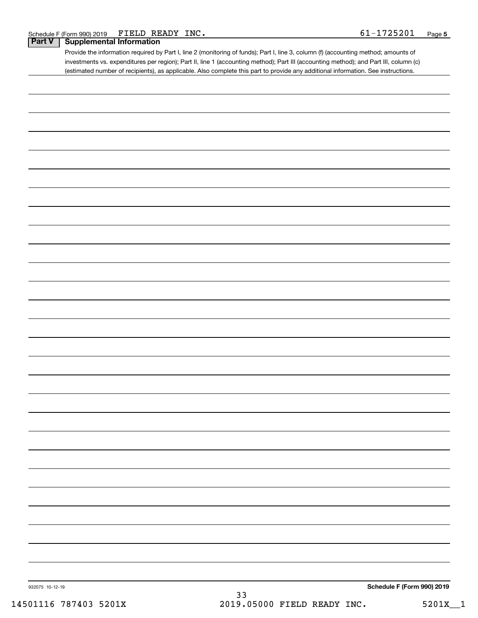| Schedule F (Form 990) 2019 | FIELD READY<br>$^{\circ}$ INC. | 1725201 | Page |
|----------------------------|--------------------------------|---------|------|
|----------------------------|--------------------------------|---------|------|

#### **Part V Supplemental Information**

Provide the information required by Part I, line 2 (monitoring of funds); Part I, line 3, column (f) (accounting method; amounts of investments vs. expenditures per region); Part II, line 1 (accounting method); Part III (accounting method); and Part III, column (c) (estimated number of recipients), as applicable. Also complete this part to provide any additional information. See instructions.

| 932075 10-12-19 | $33$ | Schedule F (Form 990) 2019 |
|-----------------|------|----------------------------|
|                 |      |                            |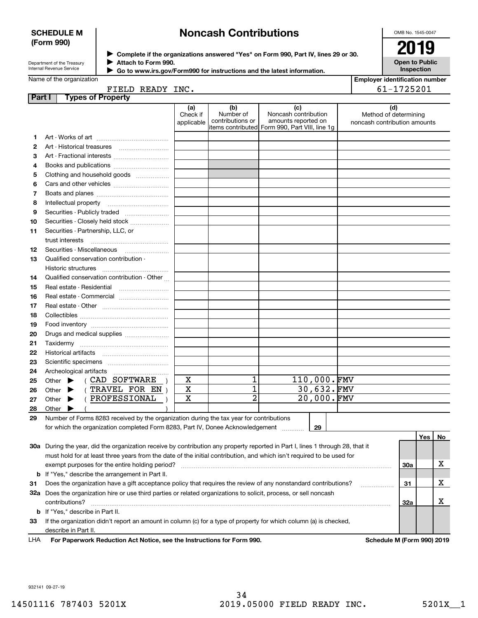#### **SCHEDULE M (Form 990)**

## **Noncash Contributions**

OMB No. 1545-0047

| Department of the Treasury      |  |
|---------------------------------|--|
| <b>Internal Revenue Service</b> |  |

**Complete if the organizations answered "Yes" on Form 990, Part IV, lines 29 or 30.** <sup>J</sup>**2019 Attach to Form 990.** J

**Open to Public Inspection**

|  | Name of the organization |  |
|--|--------------------------|--|

| Go to www.irs.gov/Form990 for instructions and the latest information. |
|------------------------------------------------------------------------|
|                                                                        |

| <b>Employer identification number</b> |
|---------------------------------------|
| 61-1725201                            |

Name of the organization

| FIELD READY J |  |
|---------------|--|
|               |  |

| Part I | <b>Types of Property</b>                                                                                                                  |                               |                                      |                                                                                                       |                                                              |     |    |
|--------|-------------------------------------------------------------------------------------------------------------------------------------------|-------------------------------|--------------------------------------|-------------------------------------------------------------------------------------------------------|--------------------------------------------------------------|-----|----|
|        |                                                                                                                                           | (a)<br>Check if<br>applicable | (b)<br>Number of<br>contributions or | (c)<br>Noncash contribution<br>amounts reported on<br>items contributed  Form 990, Part VIII, line 1g | (d)<br>Method of determining<br>noncash contribution amounts |     |    |
| 1      |                                                                                                                                           |                               |                                      |                                                                                                       |                                                              |     |    |
| 2      | Art - Historical treasures                                                                                                                |                               |                                      |                                                                                                       |                                                              |     |    |
| з      | Art - Fractional interests                                                                                                                |                               |                                      |                                                                                                       |                                                              |     |    |
| 4      | Books and publications                                                                                                                    |                               |                                      |                                                                                                       |                                                              |     |    |
| 5      | Clothing and household goods                                                                                                              |                               |                                      |                                                                                                       |                                                              |     |    |
| 6      |                                                                                                                                           |                               |                                      |                                                                                                       |                                                              |     |    |
| 7      |                                                                                                                                           |                               |                                      |                                                                                                       |                                                              |     |    |
| 8      | Intellectual property                                                                                                                     |                               |                                      |                                                                                                       |                                                              |     |    |
| 9      | Securities - Publicly traded                                                                                                              |                               |                                      |                                                                                                       |                                                              |     |    |
| 10     | Securities - Closely held stock                                                                                                           |                               |                                      |                                                                                                       |                                                              |     |    |
| 11     | Securities - Partnership, LLC, or                                                                                                         |                               |                                      |                                                                                                       |                                                              |     |    |
|        | trust interests                                                                                                                           |                               |                                      |                                                                                                       |                                                              |     |    |
| 12     | Securities - Miscellaneous                                                                                                                |                               |                                      |                                                                                                       |                                                              |     |    |
| 13     | Qualified conservation contribution -                                                                                                     |                               |                                      |                                                                                                       |                                                              |     |    |
|        | Historic structures                                                                                                                       |                               |                                      |                                                                                                       |                                                              |     |    |
| 14     | Qualified conservation contribution - Other                                                                                               |                               |                                      |                                                                                                       |                                                              |     |    |
| 15     | Real estate - Residential                                                                                                                 |                               |                                      |                                                                                                       |                                                              |     |    |
| 16     | Real estate - Commercial                                                                                                                  |                               |                                      |                                                                                                       |                                                              |     |    |
| 17     |                                                                                                                                           |                               |                                      |                                                                                                       |                                                              |     |    |
| 18     |                                                                                                                                           |                               |                                      |                                                                                                       |                                                              |     |    |
| 19     |                                                                                                                                           |                               |                                      |                                                                                                       |                                                              |     |    |
| 20     | Drugs and medical supplies                                                                                                                |                               |                                      |                                                                                                       |                                                              |     |    |
| 21     |                                                                                                                                           |                               |                                      |                                                                                                       |                                                              |     |    |
| 22     |                                                                                                                                           |                               |                                      |                                                                                                       |                                                              |     |    |
| 23     |                                                                                                                                           |                               |                                      |                                                                                                       |                                                              |     |    |
| 24     | Archeological artifacts                                                                                                                   |                               |                                      |                                                                                                       |                                                              |     |    |
| 25     | ( CAD SOFTWARE<br>Other $\blacktriangleright$                                                                                             | X                             | 1                                    | 110,000.FMV                                                                                           |                                                              |     |    |
| 26     | (TRAVEL FOR EN<br>Other $\blacktriangleright$                                                                                             | $\mathbf X$                   | 1                                    | 30,632.FMV                                                                                            |                                                              |     |    |
| 27     | PROFESSIONAL<br>Other $\blacktriangleright$                                                                                               | $\mathbf X$                   | $\overline{a}$                       | 20,000.FMV                                                                                            |                                                              |     |    |
| 28     | Other                                                                                                                                     |                               |                                      |                                                                                                       |                                                              |     |    |
| 29     | Number of Forms 8283 received by the organization during the tax year for contributions                                                   |                               |                                      |                                                                                                       |                                                              |     |    |
|        | for which the organization completed Form 8283, Part IV, Donee Acknowledgement                                                            |                               |                                      | 29                                                                                                    |                                                              |     |    |
|        |                                                                                                                                           |                               |                                      |                                                                                                       |                                                              | Yes | No |
|        | 30a During the year, did the organization receive by contribution any property reported in Part I, lines 1 through 28, that it            |                               |                                      |                                                                                                       |                                                              |     |    |
|        | must hold for at least three years from the date of the initial contribution, and which isn't required to be used for                     |                               |                                      |                                                                                                       |                                                              |     |    |
|        | exempt purposes for the entire holding period?                                                                                            |                               |                                      |                                                                                                       |                                                              | 30a | х  |
|        | <b>b</b> If "Yes," describe the arrangement in Part II.                                                                                   |                               |                                      |                                                                                                       |                                                              |     |    |
| 31     | Does the organization have a gift acceptance policy that requires the review of any nonstandard contributions?                            |                               |                                      |                                                                                                       |                                                              | 31  | х  |
|        | 32a Does the organization hire or use third parties or related organizations to solicit, process, or sell noncash                         |                               |                                      |                                                                                                       |                                                              |     |    |
|        | contributions?                                                                                                                            |                               |                                      |                                                                                                       |                                                              | 32a | x  |
|        | <b>b</b> If "Yes," describe in Part II.                                                                                                   |                               |                                      |                                                                                                       |                                                              |     |    |
|        |                                                                                                                                           |                               |                                      |                                                                                                       |                                                              |     |    |
| 33     | If the organization didn't report an amount in column (c) for a type of property for which column (a) is checked,<br>describe in Part II. |                               |                                      |                                                                                                       |                                                              |     |    |
|        |                                                                                                                                           |                               |                                      |                                                                                                       |                                                              |     |    |

For Paperwork Reduction Act Notice, see the Instructions for Form 990. Schedule M (Form 990) 2019 LHA

932141 09-27-19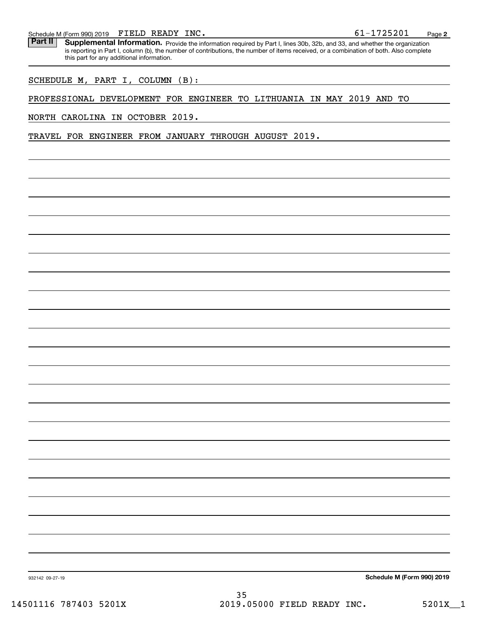Schedule M (Form 990) 2019  ${\bf FIELD}$   ${\bf READV}$   ${\bf INC}$  .  $\hphantom{\bf F}$  .  $\hphantom{\bf F}$  .  $\hphantom{\bf F}$  .  $\hphantom{\bf F}$  .  $\hphantom{\bf F}$  .  $\hphantom{\bf F}$  .  $\hphantom{\bf F}$  .  $\hphantom{\bf F}$  .  $\hphantom{\bf F}$  .  $\hphantom{\bf F}$  .  $\hphantom{\bf F}$  .  $\hphantom{\bf F}$  .  $\hphantom{\bf F}$ 

Part II | Supplemental Information. Provide the information required by Part I, lines 30b, 32b, and 33, and whether the organization is reporting in Part I, column (b), the number of contributions, the number of items received, or a combination of both. Also complete this part for any additional information.

SCHEDULE M, PART I, COLUMN (B):

#### PROFESSIONAL DEVELOPMENT FOR ENGINEER TO LITHUANIA IN MAY 2019 AND TO

NORTH CAROLINA IN OCTOBER 2019.

TRAVEL FOR ENGINEER FROM JANUARY THROUGH AUGUST 2019.

**Schedule M (Form 990) 2019**

932142 09-27-19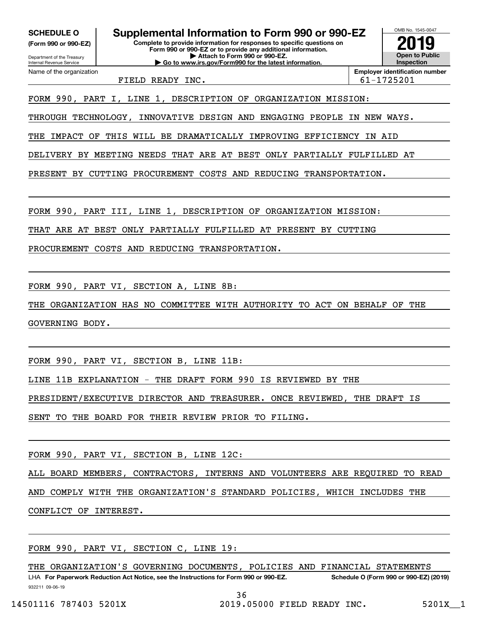**(Form 990 or 990-EZ)**

Department of the Treasury Internal Revenue Service Name of the organization

**Complete to provide information for responses to specific questions on Form 990 or 990-EZ or to provide any additional information. | Attach to Form 990 or 990-EZ. SCHEDULE O Supplemental Information to Form 990 or 990-EZ**

**| Go to www.irs.gov/Form990 for the latest information.**

**Open to Public InspectionEmployer identification number 2019**

OMB No. 1545-0047

FIELD READY INC.  $\vert$  61-1725201

FORM 990, PART I, LINE 1, DESCRIPTION OF ORGANIZATION MISSION:

THROUGH TECHNOLOGY, INNOVATIVE DESIGN AND ENGAGING PEOPLE IN NEW WAYS.

THE IMPACT OF THIS WILL BE DRAMATICALLY IMPROVING EFFICIENCY IN AID

DELIVERY BY MEETING NEEDS THAT ARE AT BEST ONLY PARTIALLY FULFILLED AT

PRESENT BY CUTTING PROCUREMENT COSTS AND REDUCING TRANSPORTATION.

FORM 990, PART III, LINE 1, DESCRIPTION OF ORGANIZATION MISSION:

THAT ARE AT BEST ONLY PARTIALLY FULFILLED AT PRESENT BY CUTTING

PROCUREMENT COSTS AND REDUCING TRANSPORTATION.

FORM 990, PART VI, SECTION A, LINE 8B:

THE ORGANIZATION HAS NO COMMITTEE WITH AUTHORITY TO ACT ON BEHALF OF THE GOVERNING BODY.

FORM 990, PART VI, SECTION B, LINE 11B:

LINE 11B EXPLANATION - THE DRAFT FORM 990 IS REVIEWED BY THE

PRESIDENT/EXECUTIVE DIRECTOR AND TREASURER. ONCE REVIEWED, THE DRAFT IS

SENT TO THE BOARD FOR THEIR REVIEW PRIOR TO FILING.

FORM 990, PART VI, SECTION B, LINE 12C:

ALL BOARD MEMBERS, CONTRACTORS, INTERNS AND VOLUNTEERS ARE REQUIRED TO READ

AND COMPLY WITH THE ORGANIZATION'S STANDARD POLICIES, WHICH INCLUDES THE

CONFLICT OF INTEREST.

FORM 990, PART VI, SECTION C, LINE 19:

THE ORGANIZATION'S GOVERNING DOCUMENTS, POLICIES AND FINANCIAL STATEMENTS

932211 09-06-19 LHA For Paperwork Reduction Act Notice, see the Instructions for Form 990 or 990-EZ. Schedule O (Form 990 or 990-EZ) (2019)

36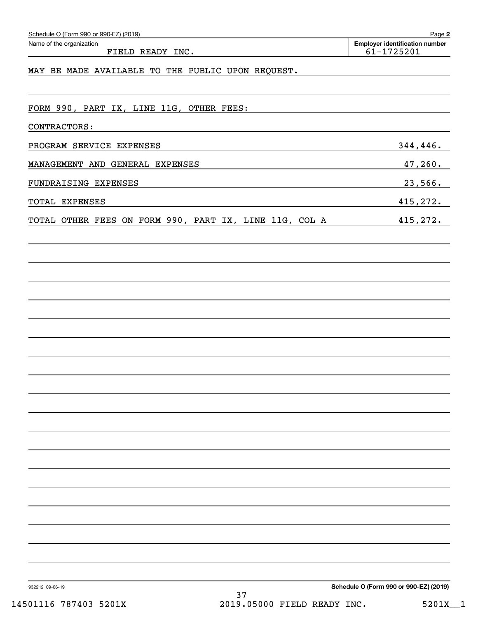| Name of the organization<br>FIELD READY INC.           |    | <b>Employer identification number</b><br>61-1725201 |
|--------------------------------------------------------|----|-----------------------------------------------------|
| MAY BE MADE AVAILABLE TO THE PUBLIC UPON REQUEST.      |    |                                                     |
|                                                        |    |                                                     |
| FORM 990, PART IX, LINE 11G, OTHER FEES:               |    |                                                     |
| CONTRACTORS:                                           |    |                                                     |
| PROGRAM SERVICE EXPENSES                               |    | 344, 446.                                           |
| MANAGEMENT AND GENERAL EXPENSES                        |    | 47,260.                                             |
| FUNDRAISING EXPENSES                                   |    | 23,566.                                             |
| TOTAL EXPENSES                                         |    | 415,272.                                            |
| TOTAL OTHER FEES ON FORM 990, PART IX, LINE 11G, COL A |    | 415,272.                                            |
|                                                        |    |                                                     |
|                                                        |    |                                                     |
|                                                        |    |                                                     |
|                                                        |    |                                                     |
|                                                        |    |                                                     |
|                                                        |    |                                                     |
|                                                        |    |                                                     |
|                                                        |    |                                                     |
|                                                        |    |                                                     |
|                                                        |    |                                                     |
|                                                        |    |                                                     |
|                                                        |    |                                                     |
|                                                        |    |                                                     |
|                                                        |    |                                                     |
|                                                        |    |                                                     |
|                                                        |    |                                                     |
|                                                        |    |                                                     |
|                                                        |    |                                                     |
|                                                        |    |                                                     |
|                                                        |    |                                                     |
| 932212 09-06-19                                        | 37 | Schedule O (Form 990 or 990-EZ) (2019)              |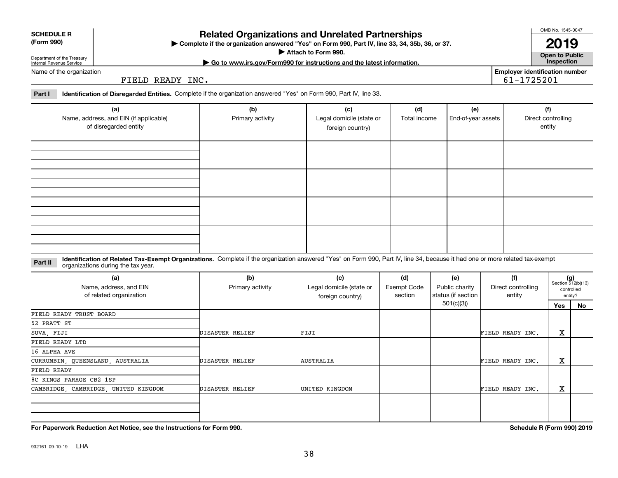### **Related Organizations and Unrelated Partnerships**

**Complete if the organization answered "Yes" on Form 990, Part IV, line 33, 34, 35b, 36, or 37.** |

**Attach to Form 990.**  |

FIELD READY INC.

**Part I Identification of Disregarded Entities.**  Complete if the organization answered "Yes" on Form 990, Part IV, line 33.

| (a)<br>Name, address, and EIN (if applicable)<br>of disregarded entity | (b)<br>Primary activity | (c)<br>Legal domicile (state or<br>foreign country) | (d)<br>Total income | (e)<br>End-of-year assets | (f)<br>Direct controlling<br>entity |
|------------------------------------------------------------------------|-------------------------|-----------------------------------------------------|---------------------|---------------------------|-------------------------------------|
|                                                                        |                         |                                                     |                     |                           |                                     |
|                                                                        |                         |                                                     |                     |                           |                                     |
|                                                                        |                         |                                                     |                     |                           |                                     |
|                                                                        |                         |                                                     |                     |                           |                                     |

#### **Identification of Related Tax-Exempt Organizations.** Complete if the organization answered "Yes" on Form 990, Part IV, line 34, because it had one or more related tax-exempt **Part II** organizations during the tax year.

| (a)<br>Name, address, and EIN<br>of related organization | (b)<br>Primary activity | (c)<br>Legal domicile (state or<br>foreign country) | (d)<br><b>Exempt Code</b><br>section | (e)<br>Public charity<br>status (if section | (f)<br>Direct controlling<br>entity |     | $(g)$<br>Section 512(b)(13)<br>controlled<br>entity? |
|----------------------------------------------------------|-------------------------|-----------------------------------------------------|--------------------------------------|---------------------------------------------|-------------------------------------|-----|------------------------------------------------------|
|                                                          |                         |                                                     |                                      | 501(c)(3))                                  |                                     | Yes | No                                                   |
| FIELD READY TRUST BOARD                                  |                         |                                                     |                                      |                                             |                                     |     |                                                      |
| 52 PRATT ST                                              |                         |                                                     |                                      |                                             |                                     |     |                                                      |
| SUVA, FIJI                                               | DISASTER RELIEF         | FIJI                                                |                                      |                                             | FIELD READY INC.                    | х   |                                                      |
| FIELD READY LTD                                          |                         |                                                     |                                      |                                             |                                     |     |                                                      |
| 16 ALPHA AVE                                             |                         |                                                     |                                      |                                             |                                     |     |                                                      |
| CURRUMBIN, QUEENSLAND, AUSTRALIA                         | DISASTER RELIEF         | AUSTRALIA                                           |                                      |                                             | FIELD READY INC.                    | Χ   |                                                      |
| FIELD READY                                              |                         |                                                     |                                      |                                             |                                     |     |                                                      |
| 8C KINGS PARAGE CB2 1SP                                  |                         |                                                     |                                      |                                             |                                     |     |                                                      |
| CAMBRIDGE, CAMBRIDGE, UNITED KINGDOM                     | DISASTER RELIEF         | UNITED KINGDOM                                      |                                      |                                             | FIELD READY INC.                    | х   |                                                      |
|                                                          |                         |                                                     |                                      |                                             |                                     |     |                                                      |
|                                                          |                         |                                                     |                                      |                                             |                                     |     |                                                      |

38

**For Paperwork Reduction Act Notice, see the Instructions for Form 990. Schedule R (Form 990) 2019**

OMB No. 1545-0047

**Open to Public 2019**

**Employer identification number**

61-1725201

**| Go to www.irs.gov/Form990 for instructions and the latest information. Inspection**

**SCHEDULE R (Form 990)**

Department of the Treasury Internal Revenue Service

Name of the organization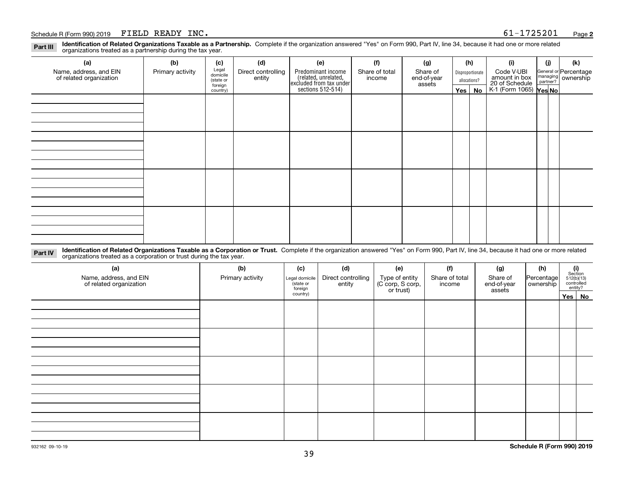#### Schedule R (Form 990) 2019  ${\tt FIELD}$   ${\tt READV}$   ${\tt INC}$  .  ${\tt Page}$

**Identification of Related Organizations Taxable as a Partnership.** Complete if the organization answered "Yes" on Form 990, Part IV, line 34, because it had one or more related **Part III** organizations treated as a partnership during the tax year.

| (a)                                               | (b)              | (c)                  | (d)                          | (e)                                                                 | (f) | (g)                      |                         | (h) | (i)                                      | (j) | (k)                                             |  |  |                                                           |  |  |  |  |  |  |  |
|---------------------------------------------------|------------------|----------------------|------------------------------|---------------------------------------------------------------------|-----|--------------------------|-------------------------|-----|------------------------------------------|-----|-------------------------------------------------|--|--|-----------------------------------------------------------|--|--|--|--|--|--|--|
| Name, address, and EIN<br>of related organization | Primary activity | Legal<br>domicile    | Direct controlling<br>entity | Predominant income                                                  |     | Share of total<br>income | Share of<br>end-of-year |     |                                          |     | Code V-UBI<br>Disproportionate<br>amount in box |  |  | General or Percentage<br>managing<br>partner?<br>partner? |  |  |  |  |  |  |  |
|                                                   |                  | (state or<br>foreign |                              |                                                                     |     | assets                   | allocations?            |     |                                          |     |                                                 |  |  |                                                           |  |  |  |  |  |  |  |
|                                                   |                  | country)             |                              | related, unrelated,<br>excluded from tax under<br>sections 512-514) |     |                          | Yes $ $                 | No  | 20 of Schedule<br>K-1 (Form 1065) Yes No |     |                                                 |  |  |                                                           |  |  |  |  |  |  |  |
|                                                   |                  |                      |                              |                                                                     |     |                          |                         |     |                                          |     |                                                 |  |  |                                                           |  |  |  |  |  |  |  |
|                                                   |                  |                      |                              |                                                                     |     |                          |                         |     |                                          |     |                                                 |  |  |                                                           |  |  |  |  |  |  |  |
|                                                   |                  |                      |                              |                                                                     |     |                          |                         |     |                                          |     |                                                 |  |  |                                                           |  |  |  |  |  |  |  |
|                                                   |                  |                      |                              |                                                                     |     |                          |                         |     |                                          |     |                                                 |  |  |                                                           |  |  |  |  |  |  |  |
|                                                   |                  |                      |                              |                                                                     |     |                          |                         |     |                                          |     |                                                 |  |  |                                                           |  |  |  |  |  |  |  |
|                                                   |                  |                      |                              |                                                                     |     |                          |                         |     |                                          |     |                                                 |  |  |                                                           |  |  |  |  |  |  |  |
|                                                   |                  |                      |                              |                                                                     |     |                          |                         |     |                                          |     |                                                 |  |  |                                                           |  |  |  |  |  |  |  |
|                                                   |                  |                      |                              |                                                                     |     |                          |                         |     |                                          |     |                                                 |  |  |                                                           |  |  |  |  |  |  |  |
|                                                   |                  |                      |                              |                                                                     |     |                          |                         |     |                                          |     |                                                 |  |  |                                                           |  |  |  |  |  |  |  |
|                                                   |                  |                      |                              |                                                                     |     |                          |                         |     |                                          |     |                                                 |  |  |                                                           |  |  |  |  |  |  |  |
|                                                   |                  |                      |                              |                                                                     |     |                          |                         |     |                                          |     |                                                 |  |  |                                                           |  |  |  |  |  |  |  |
|                                                   |                  |                      |                              |                                                                     |     |                          |                         |     |                                          |     |                                                 |  |  |                                                           |  |  |  |  |  |  |  |
|                                                   |                  |                      |                              |                                                                     |     |                          |                         |     |                                          |     |                                                 |  |  |                                                           |  |  |  |  |  |  |  |
|                                                   |                  |                      |                              |                                                                     |     |                          |                         |     |                                          |     |                                                 |  |  |                                                           |  |  |  |  |  |  |  |
|                                                   |                  |                      |                              |                                                                     |     |                          |                         |     |                                          |     |                                                 |  |  |                                                           |  |  |  |  |  |  |  |
|                                                   |                  |                      |                              |                                                                     |     |                          |                         |     |                                          |     |                                                 |  |  |                                                           |  |  |  |  |  |  |  |
|                                                   |                  |                      |                              |                                                                     |     |                          |                         |     |                                          |     |                                                 |  |  |                                                           |  |  |  |  |  |  |  |

**Identification of Related Organizations Taxable as a Corporation or Trust.** Complete if the organization answered "Yes" on Form 990, Part IV, line 34, because it had one or more related **Part IV** organizations treated as a corporation or trust during the tax year.

| (a)<br>Name, address, and EIN<br>of related organization | (b)<br>Primary activity | (c)<br>Legal domicile<br>(state or<br>foreign | (d)<br>Direct controlling<br>entity | (e)<br>Type of entity<br>(C corp, S corp,<br>or trust) | (f)<br>Share of total<br>income | (g)<br>Share of<br>end-of-year<br>assets | (h)<br>Percentage<br>ownership | $\begin{array}{c} \textbf{(i)}\\ \text{Section}\\ 512 \text{(b)} \text{(13)}\\ \text{controlled}\\ \text{entity?} \end{array}$ |  |  |
|----------------------------------------------------------|-------------------------|-----------------------------------------------|-------------------------------------|--------------------------------------------------------|---------------------------------|------------------------------------------|--------------------------------|--------------------------------------------------------------------------------------------------------------------------------|--|--|
|                                                          |                         | country)                                      |                                     |                                                        |                                 |                                          |                                | Yes No                                                                                                                         |  |  |
|                                                          |                         |                                               |                                     |                                                        |                                 |                                          |                                |                                                                                                                                |  |  |
|                                                          |                         |                                               |                                     |                                                        |                                 |                                          |                                |                                                                                                                                |  |  |
|                                                          |                         |                                               |                                     |                                                        |                                 |                                          |                                |                                                                                                                                |  |  |
|                                                          |                         |                                               |                                     |                                                        |                                 |                                          |                                |                                                                                                                                |  |  |
|                                                          |                         |                                               |                                     |                                                        |                                 |                                          |                                |                                                                                                                                |  |  |
|                                                          |                         |                                               |                                     |                                                        |                                 |                                          |                                |                                                                                                                                |  |  |
|                                                          |                         |                                               |                                     |                                                        |                                 |                                          |                                |                                                                                                                                |  |  |
|                                                          |                         |                                               |                                     |                                                        |                                 |                                          |                                |                                                                                                                                |  |  |
|                                                          |                         |                                               |                                     |                                                        |                                 |                                          |                                |                                                                                                                                |  |  |
|                                                          |                         |                                               |                                     |                                                        |                                 |                                          |                                |                                                                                                                                |  |  |
|                                                          |                         |                                               |                                     |                                                        |                                 |                                          |                                |                                                                                                                                |  |  |
|                                                          |                         |                                               |                                     |                                                        |                                 |                                          |                                |                                                                                                                                |  |  |
|                                                          |                         |                                               |                                     |                                                        |                                 |                                          |                                |                                                                                                                                |  |  |
|                                                          |                         |                                               |                                     |                                                        |                                 |                                          |                                |                                                                                                                                |  |  |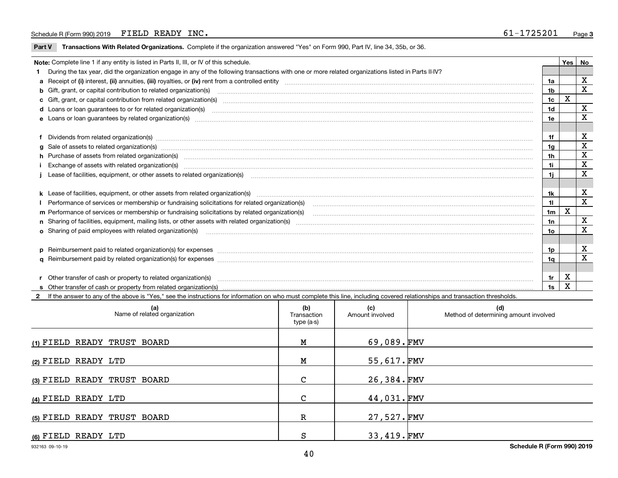#### Schedule R (Form 990) 2019  ${\tt FIELD}$   ${\tt READV}$   ${\tt INC}$  .  ${\tt Page}$

 $\overline{\phantom{a}}$ 

**Part V** T**ransactions With Related Organizations.** Complete if the organization answered "Yes" on Form 990, Part IV, line 34, 35b, or 36.

| Note: Complete line 1 if any entity is listed in Parts II, III, or IV of this schedule. |                                                                                                                                                                                                                                |                |   |                         |  |  |
|-----------------------------------------------------------------------------------------|--------------------------------------------------------------------------------------------------------------------------------------------------------------------------------------------------------------------------------|----------------|---|-------------------------|--|--|
|                                                                                         | During the tax year, did the organization engage in any of the following transactions with one or more related organizations listed in Parts II-IV?                                                                            |                |   |                         |  |  |
|                                                                                         |                                                                                                                                                                                                                                |                |   | X                       |  |  |
|                                                                                         |                                                                                                                                                                                                                                | 1 <sub>b</sub> |   | $\overline{\mathbf{X}}$ |  |  |
|                                                                                         | c Gift, grant, or capital contribution from related organization(s) manufaction content and content of the content of the contribution from related organization(s) manufaction content and content and content of the content | 1c             | x |                         |  |  |
|                                                                                         |                                                                                                                                                                                                                                | 1 <sub>d</sub> |   | х                       |  |  |
|                                                                                         |                                                                                                                                                                                                                                | 1e             |   | X                       |  |  |
|                                                                                         |                                                                                                                                                                                                                                |                |   |                         |  |  |
|                                                                                         | f Dividends from related organization(s) manufactured contains and contained a series of the contact of the contact of the contact of the contact of the contact of the contact of the contact of the contact of the contact o | 1f             |   | X                       |  |  |
|                                                                                         |                                                                                                                                                                                                                                | 1g             |   | X                       |  |  |
|                                                                                         | h Purchase of assets from related organization(s) manufactured and content to content the content of assets from related organization(s)                                                                                       | 1h             |   | X                       |  |  |
|                                                                                         | Exchange of assets with related organization(s) www.communically.communically contract and a set of assets with related organization(s) www.communically.communically and a set of a set or manufacture of the set of a set of | 1i.            |   | X                       |  |  |
|                                                                                         |                                                                                                                                                                                                                                | 1i.            |   | x                       |  |  |
|                                                                                         |                                                                                                                                                                                                                                |                |   |                         |  |  |
|                                                                                         | k Lease of facilities, equipment, or other assets from related organization(s) manufaction content to the manufacture of facilities, equipment, or other assets from related organization(s) manufacture manufacture manufactu | 1k             |   | X                       |  |  |
|                                                                                         | Performance of services or membership or fundraising solicitations for related organization(s)                                                                                                                                 | 11             |   | $\mathbf X$             |  |  |
|                                                                                         | m Performance of services or membership or fundraising solicitations by related organization(s)                                                                                                                                | 1m             | X |                         |  |  |
|                                                                                         |                                                                                                                                                                                                                                | 1n             |   | х                       |  |  |
|                                                                                         |                                                                                                                                                                                                                                | 10             |   | X                       |  |  |
|                                                                                         |                                                                                                                                                                                                                                |                |   |                         |  |  |
|                                                                                         | p Reimbursement paid to related organization(s) for expenses [1111] and the content of the content of the content of the content of the content of the content of the content of the content of the content of the content of  | 1p             |   | X                       |  |  |
|                                                                                         |                                                                                                                                                                                                                                | 1q             |   | x                       |  |  |
|                                                                                         |                                                                                                                                                                                                                                |                |   |                         |  |  |
|                                                                                         | r Other transfer of cash or property to related organization(s)                                                                                                                                                                | 1r             | х |                         |  |  |
|                                                                                         |                                                                                                                                                                                                                                | 1s             | X |                         |  |  |

**2**If the answer to any of the above is "Yes," see the instructions for information on who must complete this line, including covered relationships and transaction thresholds.

| (a)<br>Name of related organization | (b)<br>Transaction<br>type (a-s) | (c)<br>Amount involved | (d)<br>Method of determining amount involved |
|-------------------------------------|----------------------------------|------------------------|----------------------------------------------|
| (1) FIELD READY TRUST BOARD         | М                                | 69,089. $FMV$          |                                              |
| (2) FIELD READY LTD                 | М                                | 55,617.FMV             |                                              |
| (3) FIELD READY TRUST BOARD         | C                                | 26,384.FMV             |                                              |
| (4) FIELD READY LTD                 | $\mathsf{C}$                     | 44,031.FMV             |                                              |
| (5) FIELD READY TRUST BOARD         | $\mathbb R$                      | 27,527.FMV             |                                              |
| (6) FIELD READY LTD                 | S                                | 33,419.FMV             |                                              |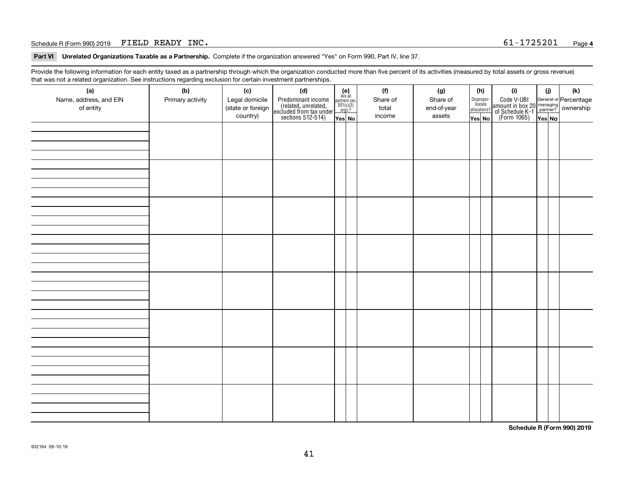#### Schedule R (Form 990) 2019  ${\tt FIELD}$   ${\tt READV}$   ${\tt INC}$  .  ${\tt SChedule}$   ${\tt NCM}$   ${\tt S1-1725201}$   ${\tt Page}$

**Part VI Unrelated Organizations Taxable as a Partnership. Complete if the organization answered "Yes" on Form 990, Part IV, line 37.** 

Provide the following information for each entity taxed as a partnership through which the organization conducted more than five percent of its activities (measured by total assets or gross revenue) that was not a related organization. See instructions regarding exclusion for certain investment partnerships.

| ັ                      | ັ<br>ັ           |                   |                                                                                            |                                                                                             |          |             |                                       |                                                                                                                                       |        |     |  |  |  |  |  |  |  |  |  |  |  |  |  |  |  |  |  |  |  |  |  |  |  |
|------------------------|------------------|-------------------|--------------------------------------------------------------------------------------------|---------------------------------------------------------------------------------------------|----------|-------------|---------------------------------------|---------------------------------------------------------------------------------------------------------------------------------------|--------|-----|--|--|--|--|--|--|--|--|--|--|--|--|--|--|--|--|--|--|--|--|--|--|--|
| (a)                    | (b)              | (c)               | (d)                                                                                        | (e)<br>Are all                                                                              | (f)      | (g)         | (h)                                   | (i)                                                                                                                                   | (i)    | (k) |  |  |  |  |  |  |  |  |  |  |  |  |  |  |  |  |  |  |  |  |  |  |  |
| Name, address, and EIN | Primary activity | Legal domicile    |                                                                                            | $\begin{array}{c}\n\text{partners} \text{ sec.} \\ 501(c)(3) \\ \text{orgs.?}\n\end{array}$ | Share of | Share of    | Dispropor-<br>tionate<br>allocations? |                                                                                                                                       |        |     |  |  |  |  |  |  |  |  |  |  |  |  |  |  |  |  |  |  |  |  |  |  |  |
| of entity              |                  | (state or foreign | Predominant income<br>(related, unrelated,<br>excluded from tax under<br>sections 512-514) |                                                                                             | total    | end-of-year |                                       | Code V-UBI<br>  amount in box 20 managing<br>  of Schedule K-1 partner? ownership<br>  of Schedule K-1 partner? ownership<br>  Yes No |        |     |  |  |  |  |  |  |  |  |  |  |  |  |  |  |  |  |  |  |  |  |  |  |  |
|                        |                  | country)          |                                                                                            | Yes No                                                                                      | income   | assets      | Yes No                                |                                                                                                                                       | Yes No |     |  |  |  |  |  |  |  |  |  |  |  |  |  |  |  |  |  |  |  |  |  |  |  |
|                        |                  |                   |                                                                                            |                                                                                             |          |             |                                       |                                                                                                                                       |        |     |  |  |  |  |  |  |  |  |  |  |  |  |  |  |  |  |  |  |  |  |  |  |  |
|                        |                  |                   |                                                                                            |                                                                                             |          |             |                                       |                                                                                                                                       |        |     |  |  |  |  |  |  |  |  |  |  |  |  |  |  |  |  |  |  |  |  |  |  |  |
|                        |                  |                   |                                                                                            |                                                                                             |          |             |                                       |                                                                                                                                       |        |     |  |  |  |  |  |  |  |  |  |  |  |  |  |  |  |  |  |  |  |  |  |  |  |
|                        |                  |                   |                                                                                            |                                                                                             |          |             |                                       |                                                                                                                                       |        |     |  |  |  |  |  |  |  |  |  |  |  |  |  |  |  |  |  |  |  |  |  |  |  |
|                        |                  |                   |                                                                                            |                                                                                             |          |             |                                       |                                                                                                                                       |        |     |  |  |  |  |  |  |  |  |  |  |  |  |  |  |  |  |  |  |  |  |  |  |  |
|                        |                  |                   |                                                                                            |                                                                                             |          |             |                                       |                                                                                                                                       |        |     |  |  |  |  |  |  |  |  |  |  |  |  |  |  |  |  |  |  |  |  |  |  |  |
|                        |                  |                   |                                                                                            |                                                                                             |          |             |                                       |                                                                                                                                       |        |     |  |  |  |  |  |  |  |  |  |  |  |  |  |  |  |  |  |  |  |  |  |  |  |
|                        |                  |                   |                                                                                            |                                                                                             |          |             |                                       |                                                                                                                                       |        |     |  |  |  |  |  |  |  |  |  |  |  |  |  |  |  |  |  |  |  |  |  |  |  |
|                        |                  |                   |                                                                                            |                                                                                             |          |             |                                       |                                                                                                                                       |        |     |  |  |  |  |  |  |  |  |  |  |  |  |  |  |  |  |  |  |  |  |  |  |  |
|                        |                  |                   |                                                                                            |                                                                                             |          |             |                                       |                                                                                                                                       |        |     |  |  |  |  |  |  |  |  |  |  |  |  |  |  |  |  |  |  |  |  |  |  |  |
|                        |                  |                   |                                                                                            |                                                                                             |          |             |                                       |                                                                                                                                       |        |     |  |  |  |  |  |  |  |  |  |  |  |  |  |  |  |  |  |  |  |  |  |  |  |
|                        |                  |                   |                                                                                            |                                                                                             |          |             |                                       |                                                                                                                                       |        |     |  |  |  |  |  |  |  |  |  |  |  |  |  |  |  |  |  |  |  |  |  |  |  |
|                        |                  |                   |                                                                                            |                                                                                             |          |             |                                       |                                                                                                                                       |        |     |  |  |  |  |  |  |  |  |  |  |  |  |  |  |  |  |  |  |  |  |  |  |  |
|                        |                  |                   |                                                                                            |                                                                                             |          |             |                                       |                                                                                                                                       |        |     |  |  |  |  |  |  |  |  |  |  |  |  |  |  |  |  |  |  |  |  |  |  |  |
|                        |                  |                   |                                                                                            |                                                                                             |          |             |                                       |                                                                                                                                       |        |     |  |  |  |  |  |  |  |  |  |  |  |  |  |  |  |  |  |  |  |  |  |  |  |
|                        |                  |                   |                                                                                            |                                                                                             |          |             |                                       |                                                                                                                                       |        |     |  |  |  |  |  |  |  |  |  |  |  |  |  |  |  |  |  |  |  |  |  |  |  |
|                        |                  |                   |                                                                                            |                                                                                             |          |             |                                       |                                                                                                                                       |        |     |  |  |  |  |  |  |  |  |  |  |  |  |  |  |  |  |  |  |  |  |  |  |  |
|                        |                  |                   |                                                                                            |                                                                                             |          |             |                                       |                                                                                                                                       |        |     |  |  |  |  |  |  |  |  |  |  |  |  |  |  |  |  |  |  |  |  |  |  |  |
|                        |                  |                   |                                                                                            |                                                                                             |          |             |                                       |                                                                                                                                       |        |     |  |  |  |  |  |  |  |  |  |  |  |  |  |  |  |  |  |  |  |  |  |  |  |
|                        |                  |                   |                                                                                            |                                                                                             |          |             |                                       |                                                                                                                                       |        |     |  |  |  |  |  |  |  |  |  |  |  |  |  |  |  |  |  |  |  |  |  |  |  |
|                        |                  |                   |                                                                                            |                                                                                             |          |             |                                       |                                                                                                                                       |        |     |  |  |  |  |  |  |  |  |  |  |  |  |  |  |  |  |  |  |  |  |  |  |  |
|                        |                  |                   |                                                                                            |                                                                                             |          |             |                                       |                                                                                                                                       |        |     |  |  |  |  |  |  |  |  |  |  |  |  |  |  |  |  |  |  |  |  |  |  |  |
|                        |                  |                   |                                                                                            |                                                                                             |          |             |                                       |                                                                                                                                       |        |     |  |  |  |  |  |  |  |  |  |  |  |  |  |  |  |  |  |  |  |  |  |  |  |
|                        |                  |                   |                                                                                            |                                                                                             |          |             |                                       |                                                                                                                                       |        |     |  |  |  |  |  |  |  |  |  |  |  |  |  |  |  |  |  |  |  |  |  |  |  |
|                        |                  |                   |                                                                                            |                                                                                             |          |             |                                       |                                                                                                                                       |        |     |  |  |  |  |  |  |  |  |  |  |  |  |  |  |  |  |  |  |  |  |  |  |  |
|                        |                  |                   |                                                                                            |                                                                                             |          |             |                                       |                                                                                                                                       |        |     |  |  |  |  |  |  |  |  |  |  |  |  |  |  |  |  |  |  |  |  |  |  |  |
|                        |                  |                   |                                                                                            |                                                                                             |          |             |                                       |                                                                                                                                       |        |     |  |  |  |  |  |  |  |  |  |  |  |  |  |  |  |  |  |  |  |  |  |  |  |
|                        |                  |                   |                                                                                            |                                                                                             |          |             |                                       |                                                                                                                                       |        |     |  |  |  |  |  |  |  |  |  |  |  |  |  |  |  |  |  |  |  |  |  |  |  |
|                        |                  |                   |                                                                                            |                                                                                             |          |             |                                       |                                                                                                                                       |        |     |  |  |  |  |  |  |  |  |  |  |  |  |  |  |  |  |  |  |  |  |  |  |  |
|                        |                  |                   |                                                                                            |                                                                                             |          |             |                                       |                                                                                                                                       |        |     |  |  |  |  |  |  |  |  |  |  |  |  |  |  |  |  |  |  |  |  |  |  |  |
|                        |                  |                   |                                                                                            |                                                                                             |          |             |                                       |                                                                                                                                       |        |     |  |  |  |  |  |  |  |  |  |  |  |  |  |  |  |  |  |  |  |  |  |  |  |
|                        |                  |                   |                                                                                            |                                                                                             |          |             |                                       |                                                                                                                                       |        |     |  |  |  |  |  |  |  |  |  |  |  |  |  |  |  |  |  |  |  |  |  |  |  |
|                        |                  |                   |                                                                                            |                                                                                             |          |             |                                       |                                                                                                                                       |        |     |  |  |  |  |  |  |  |  |  |  |  |  |  |  |  |  |  |  |  |  |  |  |  |
|                        |                  |                   |                                                                                            |                                                                                             |          |             |                                       |                                                                                                                                       |        |     |  |  |  |  |  |  |  |  |  |  |  |  |  |  |  |  |  |  |  |  |  |  |  |
|                        |                  |                   |                                                                                            |                                                                                             |          |             |                                       |                                                                                                                                       |        |     |  |  |  |  |  |  |  |  |  |  |  |  |  |  |  |  |  |  |  |  |  |  |  |
|                        |                  |                   |                                                                                            |                                                                                             |          |             |                                       |                                                                                                                                       |        |     |  |  |  |  |  |  |  |  |  |  |  |  |  |  |  |  |  |  |  |  |  |  |  |

**Schedule R (Form 990) 2019**